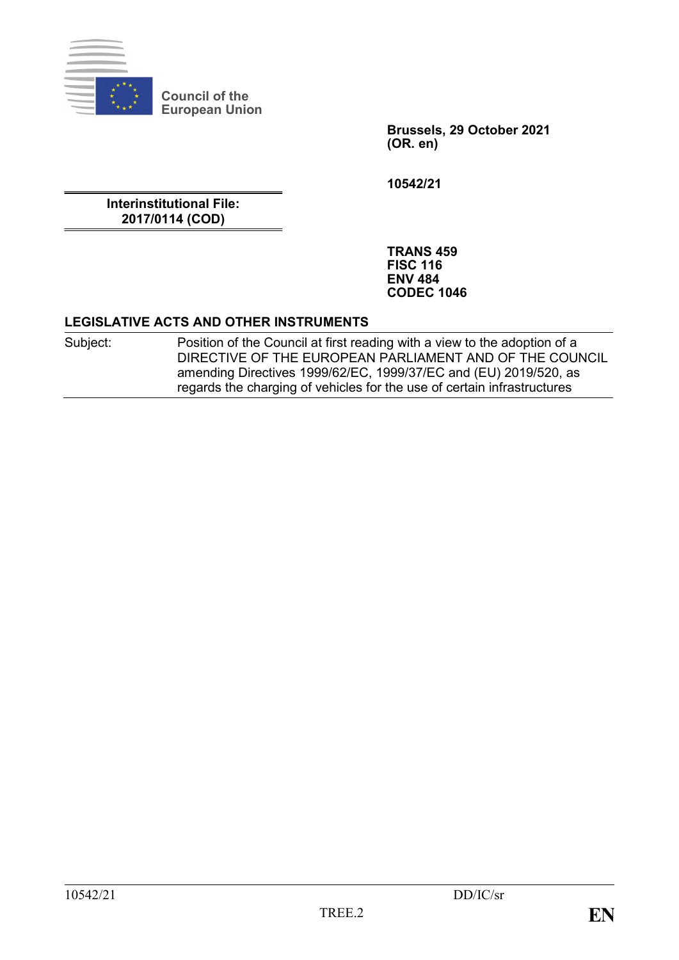

**Council of the European Union**

> **Brussels, 29 October 2021 (OR. en)**

**10542/21**

**Interinstitutional File: 2017/0114 (COD)**

> **TRANS 459 FISC 116 ENV 484 CODEC 1046**

#### **LEGISLATIVE ACTS AND OTHER INSTRUMENTS**

Subject: Position of the Council at first reading with a view to the adoption of a DIRECTIVE OF THE EUROPEAN PARLIAMENT AND OF THE COUNCIL amending Directives 1999/62/EC, 1999/37/EC and (EU) 2019/520, as regards the charging of vehicles for the use of certain infrastructures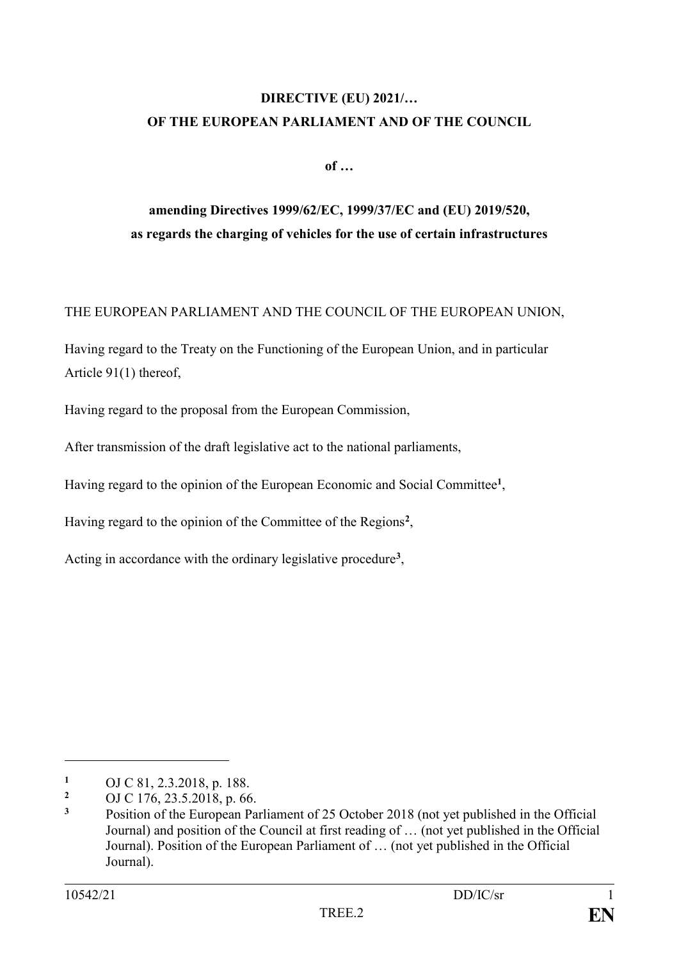# **DIRECTIVE (EU) 2021/… OF THE EUROPEAN PARLIAMENT AND OF THE COUNCIL**

**of …**

# **amending Directives 1999/62/EC, 1999/37/EC and (EU) 2019/520, as regards the charging of vehicles for the use of certain infrastructures**

## THE EUROPEAN PARLIAMENT AND THE COUNCIL OF THE EUROPEAN UNION,

Having regard to the Treaty on the Functioning of the European Union, and in particular Article 91(1) thereof,

Having regard to the proposal from the European Commission,

After transmission of the draft legislative act to the national parliaments,

Having regard to the opinion of the European Economic and Social Committee**<sup>1</sup>** ,

Having regard to the opinion of the Committee of the Regions**<sup>2</sup>** ,

Acting in accordance with the ordinary legislative procedure**<sup>3</sup>** ,

<sup>1</sup> OJ C 81, 2.3.2018, p. 188.

<sup>&</sup>lt;sup>2</sup> OJ C 176, 23.5.2018, p. 66.<br><sup>3</sup> Position of the European Pa

**<sup>3</sup>** Position of the European Parliament of 25 October 2018 (not yet published in the Official Journal) and position of the Council at first reading of … (not yet published in the Official Journal). Position of the European Parliament of … (not yet published in the Official Journal).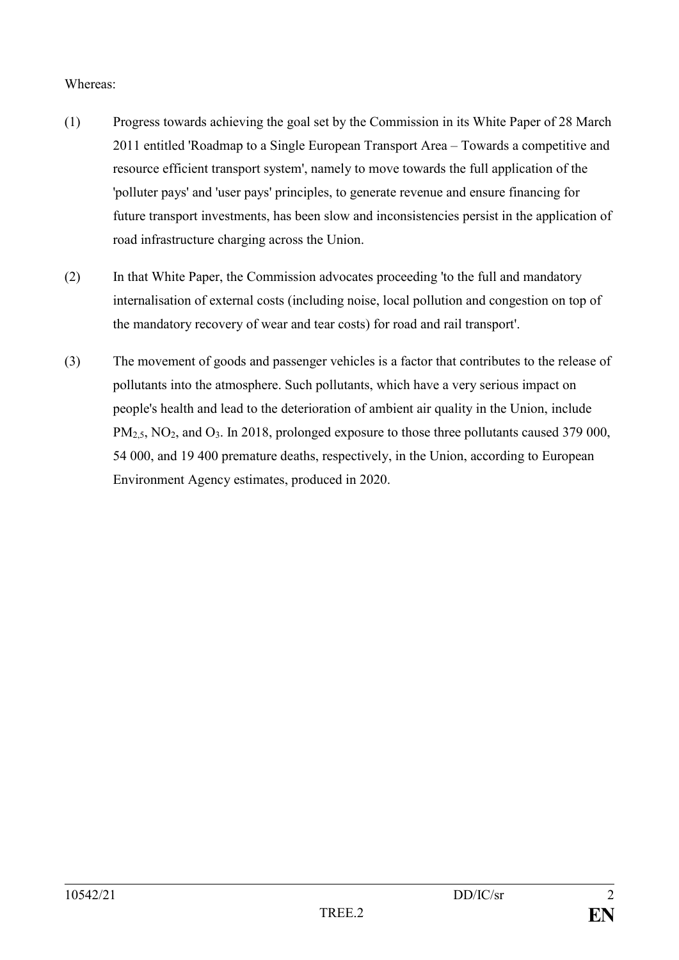#### Whereas:

- (1) Progress towards achieving the goal set by the Commission in its White Paper of 28 March 2011 entitled 'Roadmap to a Single European Transport Area – Towards a competitive and resource efficient transport system', namely to move towards the full application of the 'polluter pays' and 'user pays' principles, to generate revenue and ensure financing for future transport investments, has been slow and inconsistencies persist in the application of road infrastructure charging across the Union.
- (2) In that White Paper, the Commission advocates proceeding 'to the full and mandatory internalisation of external costs (including noise, local pollution and congestion on top of the mandatory recovery of wear and tear costs) for road and rail transport'.
- (3) The movement of goods and passenger vehicles is a factor that contributes to the release of pollutants into the atmosphere. Such pollutants, which have a very serious impact on people's health and lead to the deterioration of ambient air quality in the Union, include PM<sub>2.5</sub>, NO<sub>2</sub>, and O<sub>3</sub>. In 2018, prolonged exposure to those three pollutants caused 379 000, 54 000, and 19 400 premature deaths, respectively, in the Union, according to European Environment Agency estimates, produced in 2020.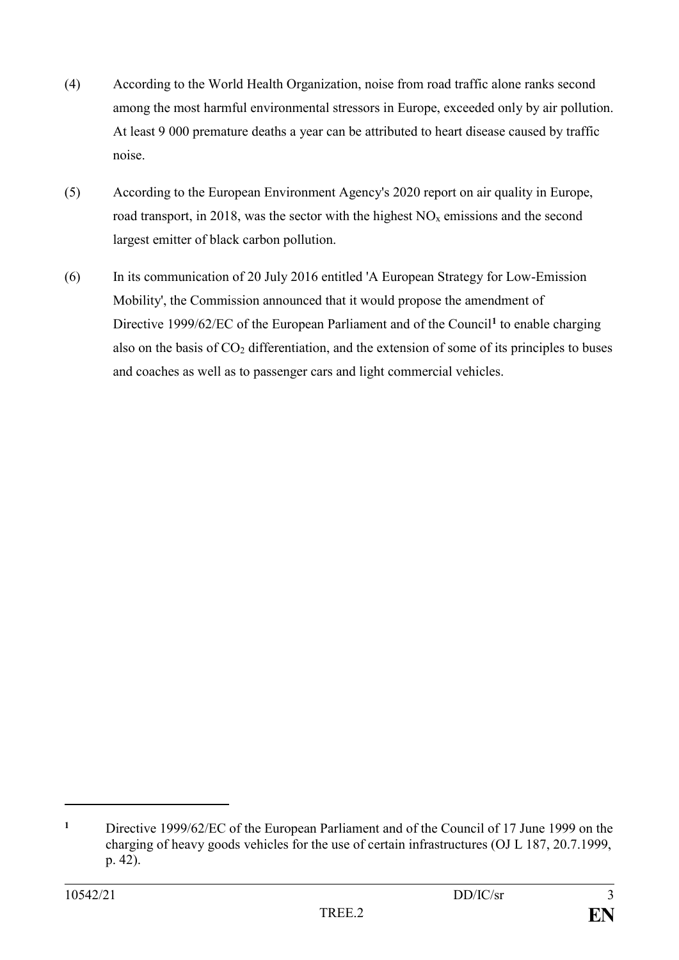- (4) According to the World Health Organization, noise from road traffic alone ranks second among the most harmful environmental stressors in Europe, exceeded only by air pollution. At least 9 000 premature deaths a year can be attributed to heart disease caused by traffic noise.
- (5) According to the European Environment Agency's 2020 report on air quality in Europe, road transport, in 2018, was the sector with the highest  $NO<sub>x</sub>$  emissions and the second largest emitter of black carbon pollution.
- (6) In its communication of 20 July 2016 entitled 'A European Strategy for Low-Emission Mobility', the Commission announced that it would propose the amendment of Directive 1999/62/EC of the European Parliament and of the Council**<sup>1</sup>** to enable charging also on the basis of  $CO<sub>2</sub>$  differentiation, and the extension of some of its principles to buses and coaches as well as to passenger cars and light commercial vehicles.

**<sup>1</sup>** Directive 1999/62/EC of the European Parliament and of the Council of 17 June 1999 on the charging of heavy goods vehicles for the use of certain infrastructures (OJ L 187, 20.7.1999, p. 42).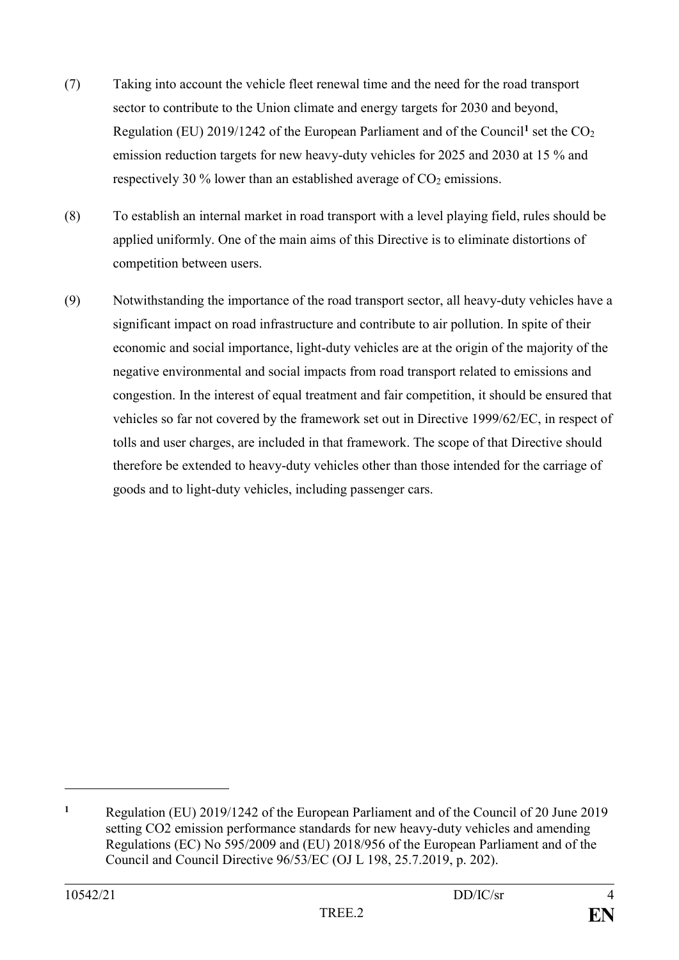- (7) Taking into account the vehicle fleet renewal time and the need for the road transport sector to contribute to the Union climate and energy targets for 2030 and beyond, Regulation (EU) 2019/1242 of the European Parliament and of the Council<sup>1</sup> set the CO<sub>2</sub> emission reduction targets for new heavy-duty vehicles for 2025 and 2030 at 15 % and respectively 30 % lower than an established average of  $CO<sub>2</sub>$  emissions.
- (8) To establish an internal market in road transport with a level playing field, rules should be applied uniformly. One of the main aims of this Directive is to eliminate distortions of competition between users.
- (9) Notwithstanding the importance of the road transport sector, all heavy-duty vehicles have a significant impact on road infrastructure and contribute to air pollution. In spite of their economic and social importance, light-duty vehicles are at the origin of the majority of the negative environmental and social impacts from road transport related to emissions and congestion. In the interest of equal treatment and fair competition, it should be ensured that vehicles so far not covered by the framework set out in Directive 1999/62/EC, in respect of tolls and user charges, are included in that framework. The scope of that Directive should therefore be extended to heavy-duty vehicles other than those intended for the carriage of goods and to light-duty vehicles, including passenger cars.

**<sup>1</sup>** Regulation (EU) 2019/1242 of the European Parliament and of the Council of 20 June 2019 setting CO2 emission performance standards for new heavy-duty vehicles and amending Regulations (EC) No 595/2009 and (EU) 2018/956 of the European Parliament and of the Council and Council Directive 96/53/EC (OJ L 198, 25.7.2019, p. 202).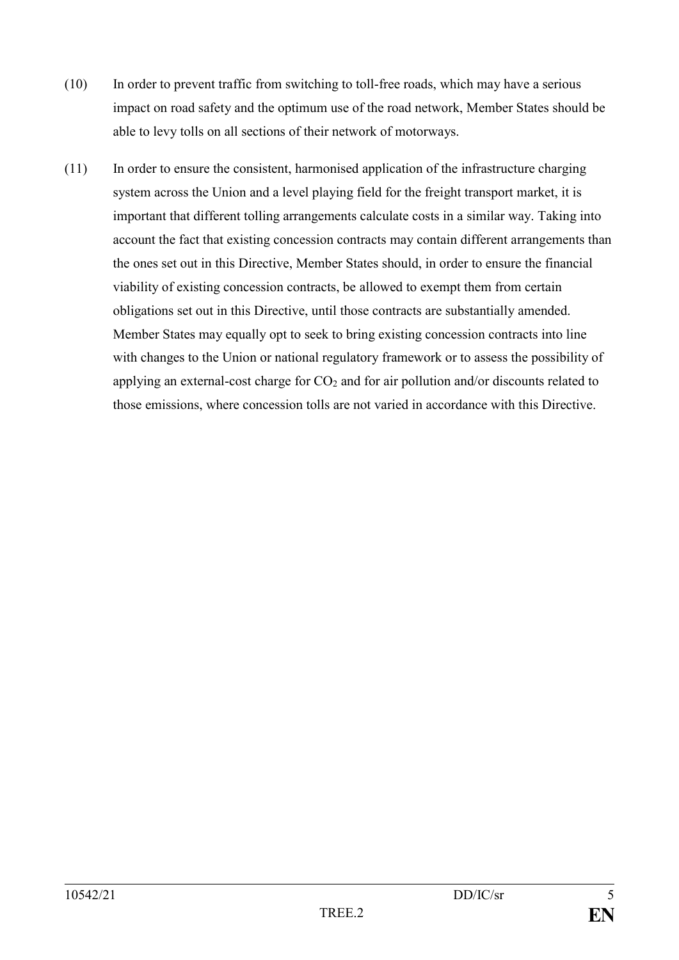- (10) In order to prevent traffic from switching to toll-free roads, which may have a serious impact on road safety and the optimum use of the road network, Member States should be able to levy tolls on all sections of their network of motorways.
- (11) In order to ensure the consistent, harmonised application of the infrastructure charging system across the Union and a level playing field for the freight transport market, it is important that different tolling arrangements calculate costs in a similar way. Taking into account the fact that existing concession contracts may contain different arrangements than the ones set out in this Directive, Member States should, in order to ensure the financial viability of existing concession contracts, be allowed to exempt them from certain obligations set out in this Directive, until those contracts are substantially amended. Member States may equally opt to seek to bring existing concession contracts into line with changes to the Union or national regulatory framework or to assess the possibility of applying an external-cost charge for  $CO<sub>2</sub>$  and for air pollution and/or discounts related to those emissions, where concession tolls are not varied in accordance with this Directive.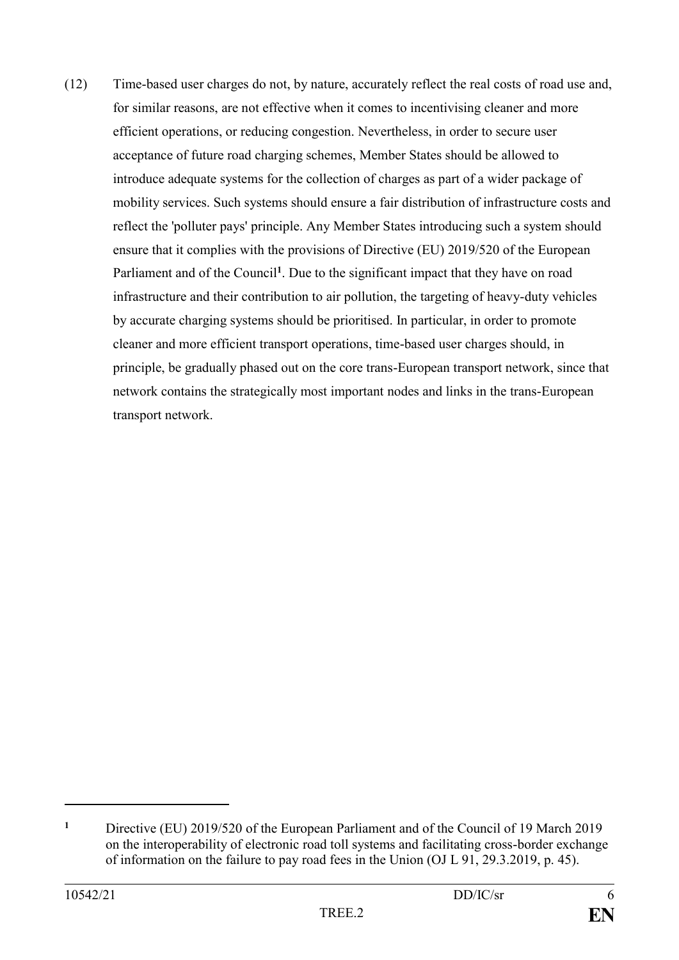(12) Time-based user charges do not, by nature, accurately reflect the real costs of road use and, for similar reasons, are not effective when it comes to incentivising cleaner and more efficient operations, or reducing congestion. Nevertheless, in order to secure user acceptance of future road charging schemes, Member States should be allowed to introduce adequate systems for the collection of charges as part of a wider package of mobility services. Such systems should ensure a fair distribution of infrastructure costs and reflect the 'polluter pays' principle. Any Member States introducing such a system should ensure that it complies with the provisions of Directive (EU) 2019/520 of the European Parliament and of the Council<sup>1</sup>. Due to the significant impact that they have on road infrastructure and their contribution to air pollution, the targeting of heavy-duty vehicles by accurate charging systems should be prioritised. In particular, in order to promote cleaner and more efficient transport operations, time-based user charges should, in principle, be gradually phased out on the core trans-European transport network, since that network contains the strategically most important nodes and links in the trans-European transport network.

**<sup>1</sup>** Directive (EU) 2019/520 of the European Parliament and of the Council of 19 March 2019 on the interoperability of electronic road toll systems and facilitating cross-border exchange of information on the failure to pay road fees in the Union (OJ L 91, 29.3.2019, p. 45).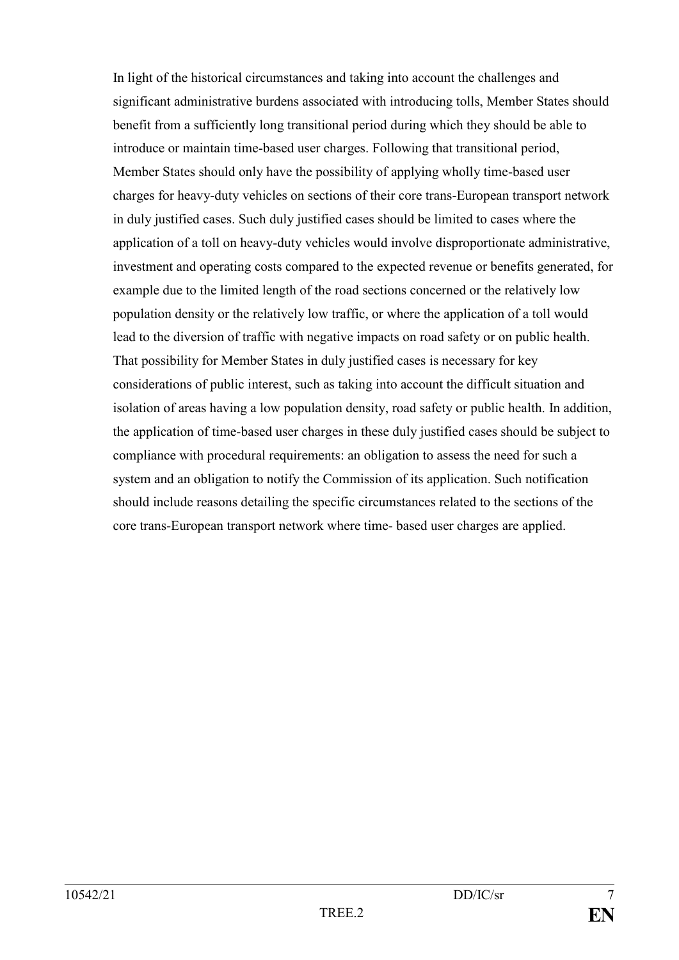In light of the historical circumstances and taking into account the challenges and significant administrative burdens associated with introducing tolls, Member States should benefit from a sufficiently long transitional period during which they should be able to introduce or maintain time-based user charges. Following that transitional period, Member States should only have the possibility of applying wholly time-based user charges for heavy-duty vehicles on sections of their core trans-European transport network in duly justified cases. Such duly justified cases should be limited to cases where the application of a toll on heavy-duty vehicles would involve disproportionate administrative, investment and operating costs compared to the expected revenue or benefits generated, for example due to the limited length of the road sections concerned or the relatively low population density or the relatively low traffic, or where the application of a toll would lead to the diversion of traffic with negative impacts on road safety or on public health. That possibility for Member States in duly justified cases is necessary for key considerations of public interest, such as taking into account the difficult situation and isolation of areas having a low population density, road safety or public health. In addition, the application of time-based user charges in these duly justified cases should be subject to compliance with procedural requirements: an obligation to assess the need for such a system and an obligation to notify the Commission of its application. Such notification should include reasons detailing the specific circumstances related to the sections of the core trans-European transport network where time- based user charges are applied.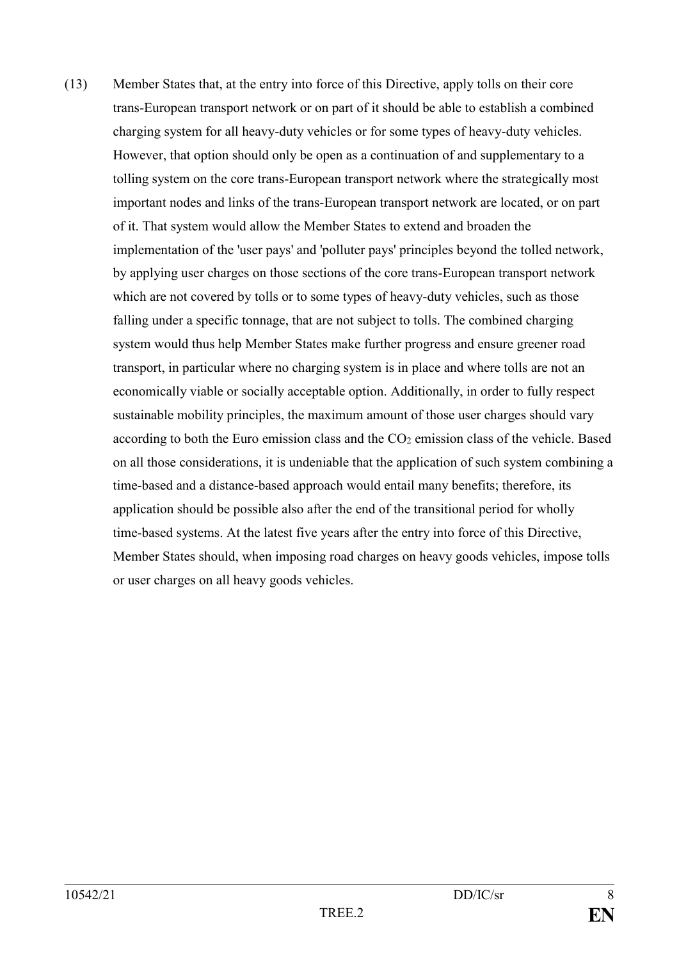(13) Member States that, at the entry into force of this Directive, apply tolls on their core trans-European transport network or on part of it should be able to establish a combined charging system for all heavy-duty vehicles or for some types of heavy-duty vehicles. However, that option should only be open as a continuation of and supplementary to a tolling system on the core trans-European transport network where the strategically most important nodes and links of the trans-European transport network are located, or on part of it. That system would allow the Member States to extend and broaden the implementation of the 'user pays' and 'polluter pays' principles beyond the tolled network, by applying user charges on those sections of the core trans-European transport network which are not covered by tolls or to some types of heavy-duty vehicles, such as those falling under a specific tonnage, that are not subject to tolls. The combined charging system would thus help Member States make further progress and ensure greener road transport, in particular where no charging system is in place and where tolls are not an economically viable or socially acceptable option. Additionally, in order to fully respect sustainable mobility principles, the maximum amount of those user charges should vary according to both the Euro emission class and the  $CO<sub>2</sub>$  emission class of the vehicle. Based on all those considerations, it is undeniable that the application of such system combining a time-based and a distance-based approach would entail many benefits; therefore, its application should be possible also after the end of the transitional period for wholly time-based systems. At the latest five years after the entry into force of this Directive, Member States should, when imposing road charges on heavy goods vehicles, impose tolls or user charges on all heavy goods vehicles.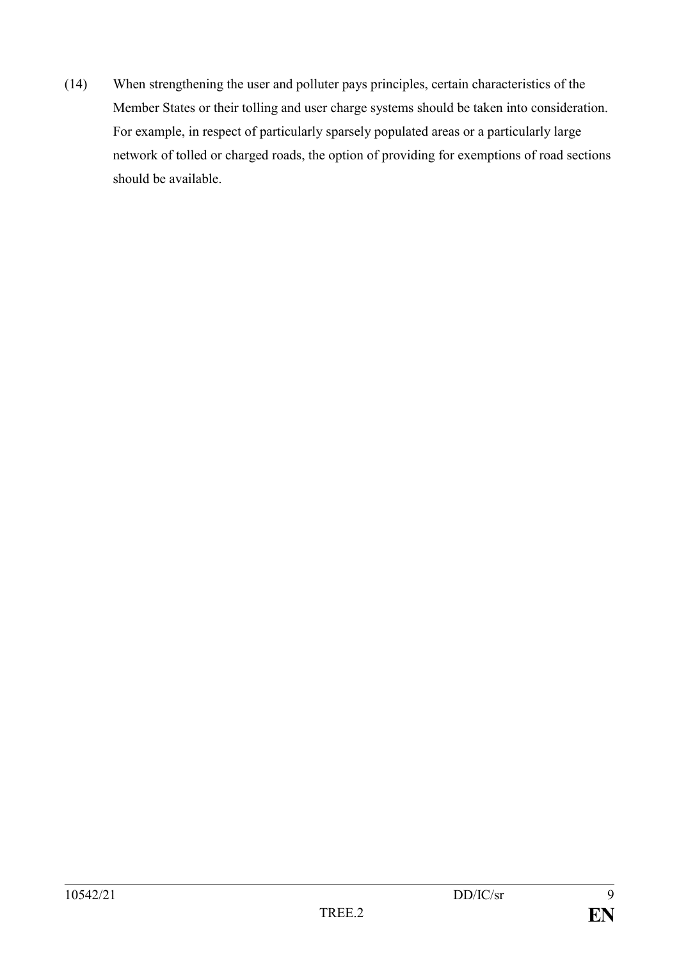(14) When strengthening the user and polluter pays principles, certain characteristics of the Member States or their tolling and user charge systems should be taken into consideration. For example, in respect of particularly sparsely populated areas or a particularly large network of tolled or charged roads, the option of providing for exemptions of road sections should be available.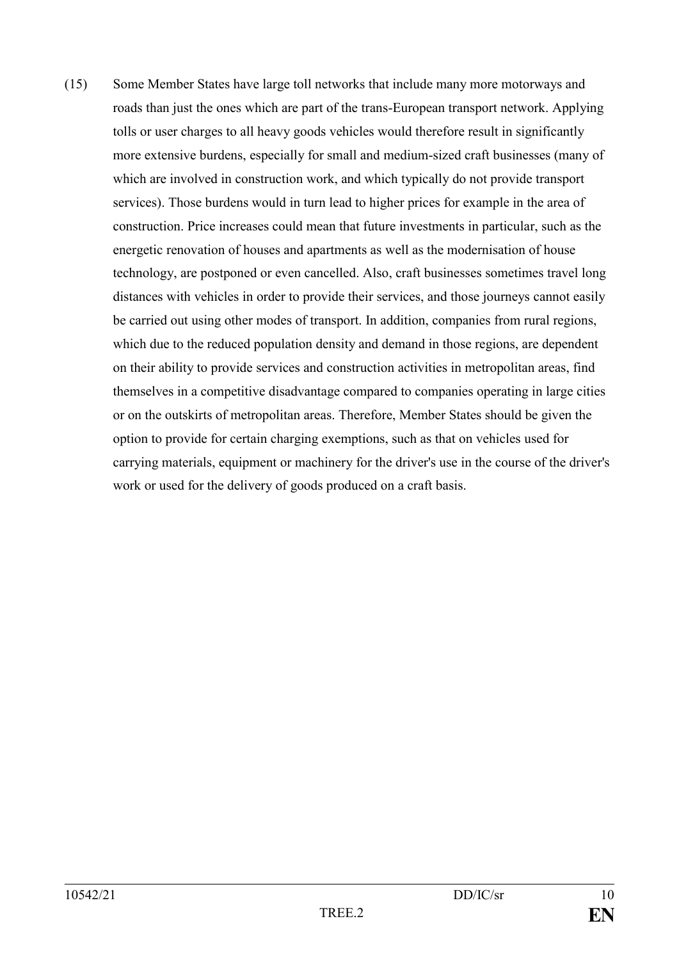(15) Some Member States have large toll networks that include many more motorways and roads than just the ones which are part of the trans-European transport network. Applying tolls or user charges to all heavy goods vehicles would therefore result in significantly more extensive burdens, especially for small and medium-sized craft businesses (many of which are involved in construction work, and which typically do not provide transport services). Those burdens would in turn lead to higher prices for example in the area of construction. Price increases could mean that future investments in particular, such as the energetic renovation of houses and apartments as well as the modernisation of house technology, are postponed or even cancelled. Also, craft businesses sometimes travel long distances with vehicles in order to provide their services, and those journeys cannot easily be carried out using other modes of transport. In addition, companies from rural regions, which due to the reduced population density and demand in those regions, are dependent on their ability to provide services and construction activities in metropolitan areas, find themselves in a competitive disadvantage compared to companies operating in large cities or on the outskirts of metropolitan areas. Therefore, Member States should be given the option to provide for certain charging exemptions, such as that on vehicles used for carrying materials, equipment or machinery for the driver's use in the course of the driver's work or used for the delivery of goods produced on a craft basis.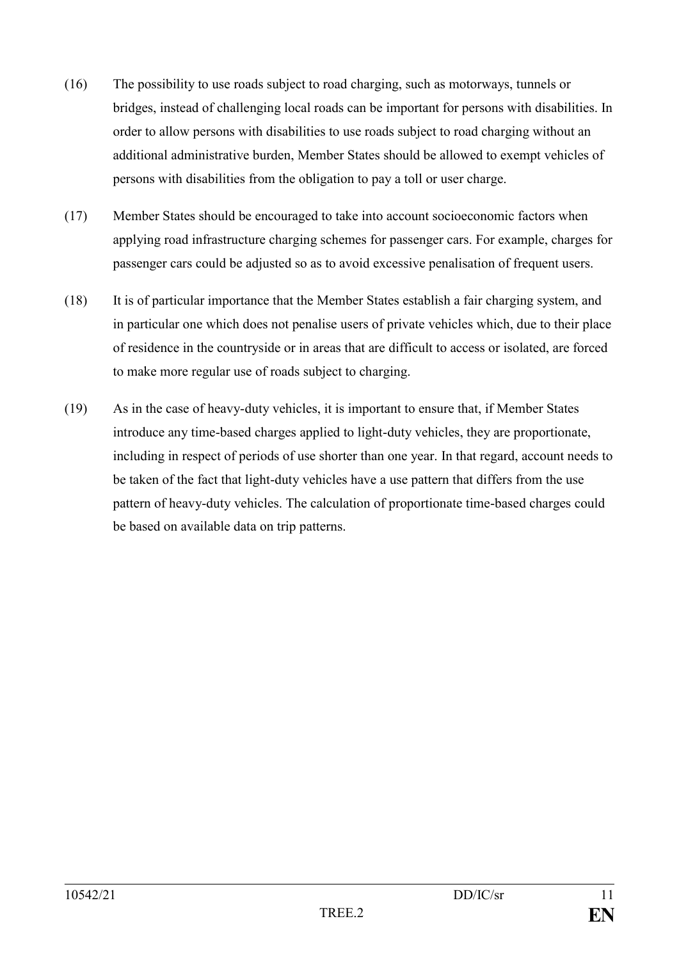- (16) The possibility to use roads subject to road charging, such as motorways, tunnels or bridges, instead of challenging local roads can be important for persons with disabilities. In order to allow persons with disabilities to use roads subject to road charging without an additional administrative burden, Member States should be allowed to exempt vehicles of persons with disabilities from the obligation to pay a toll or user charge.
- (17) Member States should be encouraged to take into account socioeconomic factors when applying road infrastructure charging schemes for passenger cars. For example, charges for passenger cars could be adjusted so as to avoid excessive penalisation of frequent users.
- (18) It is of particular importance that the Member States establish a fair charging system, and in particular one which does not penalise users of private vehicles which, due to their place of residence in the countryside or in areas that are difficult to access or isolated, are forced to make more regular use of roads subject to charging.
- (19) As in the case of heavy-duty vehicles, it is important to ensure that, if Member States introduce any time-based charges applied to light-duty vehicles, they are proportionate, including in respect of periods of use shorter than one year. In that regard, account needs to be taken of the fact that light-duty vehicles have a use pattern that differs from the use pattern of heavy-duty vehicles. The calculation of proportionate time-based charges could be based on available data on trip patterns.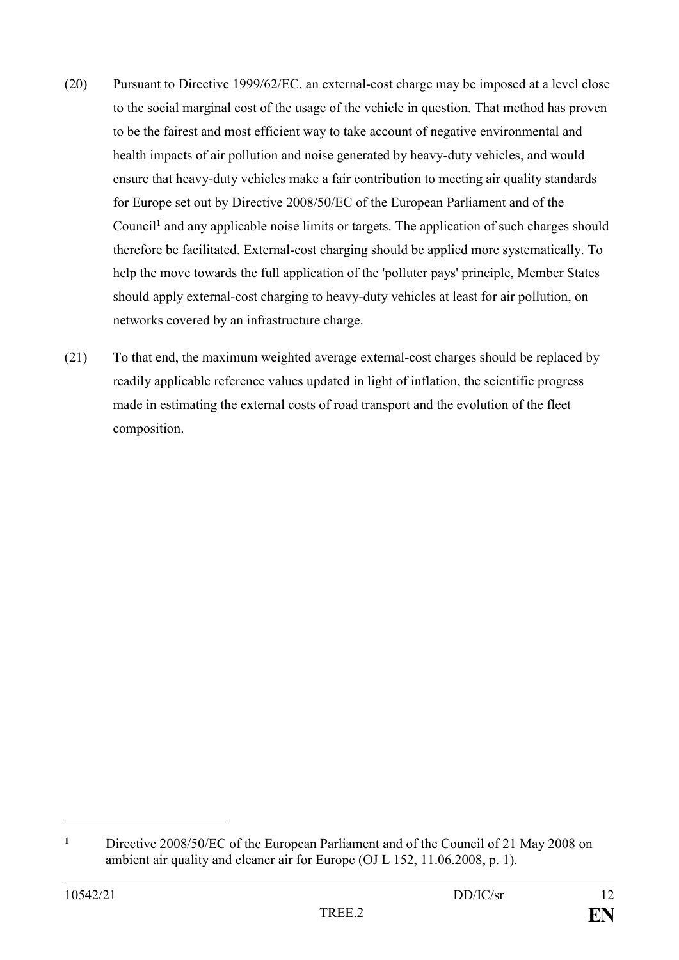- (20) Pursuant to Directive 1999/62/EC, an external-cost charge may be imposed at a level close to the social marginal cost of the usage of the vehicle in question. That method has proven to be the fairest and most efficient way to take account of negative environmental and health impacts of air pollution and noise generated by heavy-duty vehicles, and would ensure that heavy-duty vehicles make a fair contribution to meeting air quality standards for Europe set out by Directive 2008/50/EC of the European Parliament and of the Council**<sup>1</sup>** and any applicable noise limits or targets. The application of such charges should therefore be facilitated. External-cost charging should be applied more systematically. To help the move towards the full application of the 'polluter pays' principle, Member States should apply external-cost charging to heavy-duty vehicles at least for air pollution, on networks covered by an infrastructure charge.
- (21) To that end, the maximum weighted average external-cost charges should be replaced by readily applicable reference values updated in light of inflation, the scientific progress made in estimating the external costs of road transport and the evolution of the fleet composition.

**<sup>1</sup>** Directive 2008/50/EC of the European Parliament and of the Council of 21 May 2008 on ambient air quality and cleaner air for Europe (OJ L 152, 11.06.2008, p. 1).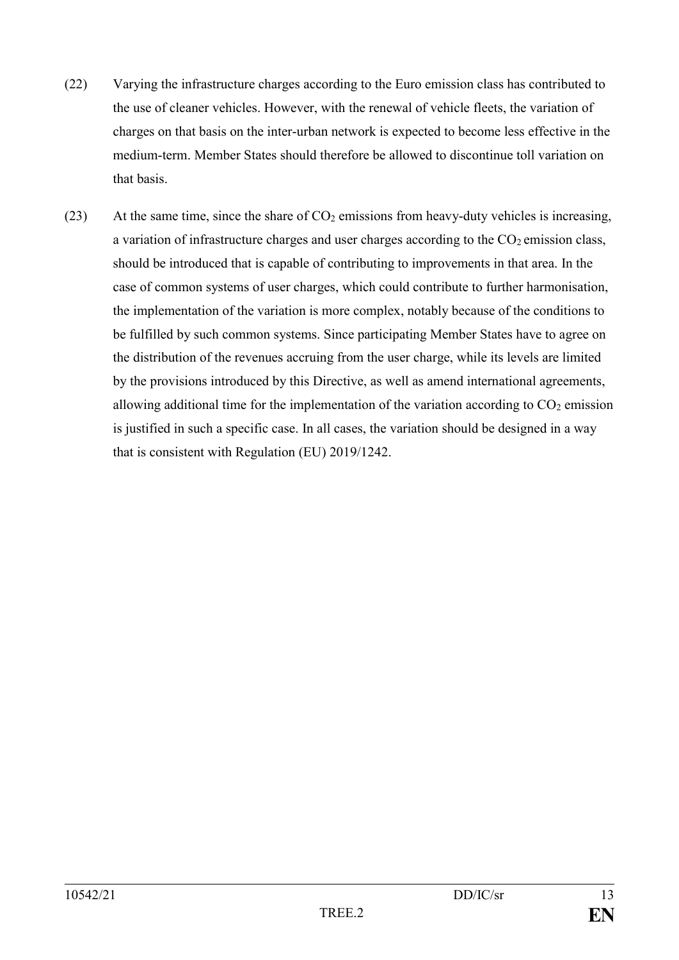- (22) Varying the infrastructure charges according to the Euro emission class has contributed to the use of cleaner vehicles. However, with the renewal of vehicle fleets, the variation of charges on that basis on the inter-urban network is expected to become less effective in the medium-term. Member States should therefore be allowed to discontinue toll variation on that basis.
- (23) At the same time, since the share of  $CO<sub>2</sub>$  emissions from heavy-duty vehicles is increasing, a variation of infrastructure charges and user charges according to the  $CO<sub>2</sub>$  emission class, should be introduced that is capable of contributing to improvements in that area. In the case of common systems of user charges, which could contribute to further harmonisation, the implementation of the variation is more complex, notably because of the conditions to be fulfilled by such common systems. Since participating Member States have to agree on the distribution of the revenues accruing from the user charge, while its levels are limited by the provisions introduced by this Directive, as well as amend international agreements, allowing additional time for the implementation of the variation according to  $CO<sub>2</sub>$  emission is justified in such a specific case. In all cases, the variation should be designed in a way that is consistent with Regulation (EU) 2019/1242.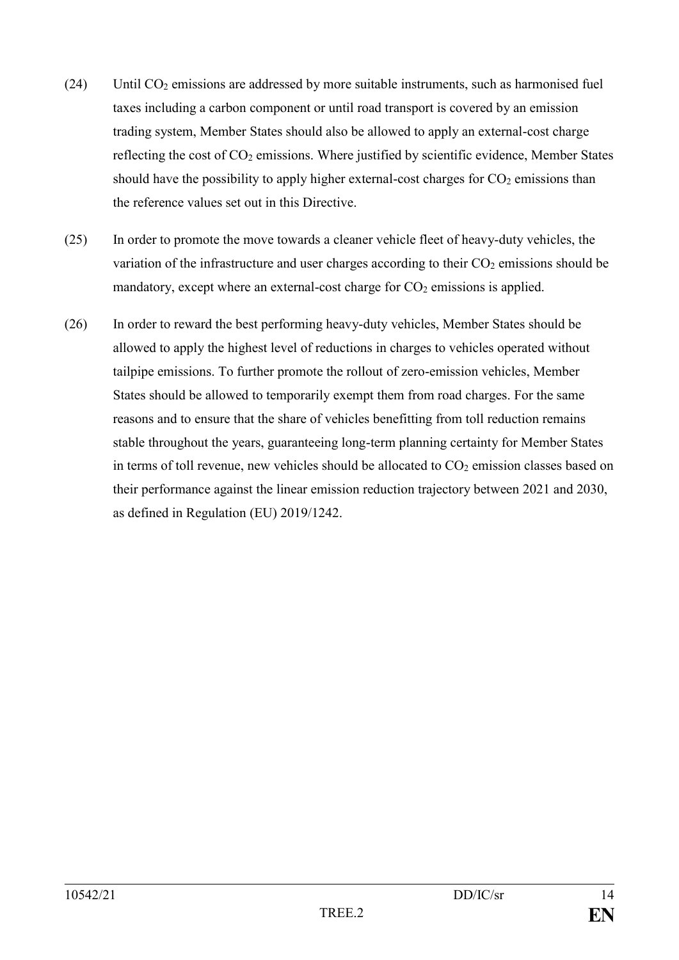- (24) Until  $CO<sub>2</sub>$  emissions are addressed by more suitable instruments, such as harmonised fuel taxes including a carbon component or until road transport is covered by an emission trading system, Member States should also be allowed to apply an external-cost charge reflecting the cost of CO<sub>2</sub> emissions. Where justified by scientific evidence, Member States should have the possibility to apply higher external-cost charges for  $CO<sub>2</sub>$  emissions than the reference values set out in this Directive.
- (25) In order to promote the move towards a cleaner vehicle fleet of heavy-duty vehicles, the variation of the infrastructure and user charges according to their  $CO<sub>2</sub>$  emissions should be mandatory, except where an external-cost charge for CO<sub>2</sub> emissions is applied.
- (26) In order to reward the best performing heavy-duty vehicles, Member States should be allowed to apply the highest level of reductions in charges to vehicles operated without tailpipe emissions. To further promote the rollout of zero-emission vehicles, Member States should be allowed to temporarily exempt them from road charges. For the same reasons and to ensure that the share of vehicles benefitting from toll reduction remains stable throughout the years, guaranteeing long-term planning certainty for Member States in terms of toll revenue, new vehicles should be allocated to  $CO<sub>2</sub>$  emission classes based on their performance against the linear emission reduction trajectory between 2021 and 2030, as defined in Regulation (EU) 2019/1242.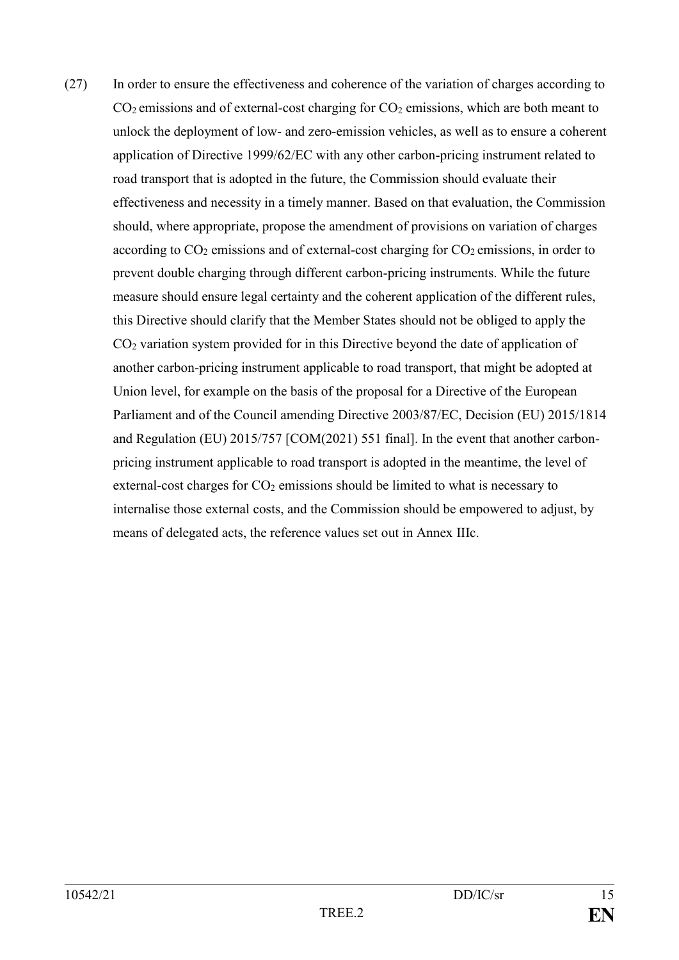(27) In order to ensure the effectiveness and coherence of the variation of charges according to  $CO<sub>2</sub>$  emissions and of external-cost charging for  $CO<sub>2</sub>$  emissions, which are both meant to unlock the deployment of low- and zero-emission vehicles, as well as to ensure a coherent application of Directive 1999/62/EC with any other carbon-pricing instrument related to road transport that is adopted in the future, the Commission should evaluate their effectiveness and necessity in a timely manner. Based on that evaluation, the Commission should, where appropriate, propose the amendment of provisions on variation of charges according to  $CO<sub>2</sub>$  emissions and of external-cost charging for  $CO<sub>2</sub>$  emissions, in order to prevent double charging through different carbon-pricing instruments. While the future measure should ensure legal certainty and the coherent application of the different rules, this Directive should clarify that the Member States should not be obliged to apply the CO<sup>2</sup> variation system provided for in this Directive beyond the date of application of another carbon-pricing instrument applicable to road transport, that might be adopted at Union level, for example on the basis of the proposal for a Directive of the European Parliament and of the Council amending Directive 2003/87/EC, Decision (EU) 2015/1814 and Regulation (EU) 2015/757 [COM(2021) 551 final]. In the event that another carbonpricing instrument applicable to road transport is adopted in the meantime, the level of external-cost charges for  $CO<sub>2</sub>$  emissions should be limited to what is necessary to internalise those external costs, and the Commission should be empowered to adjust, by means of delegated acts, the reference values set out in Annex IIIc.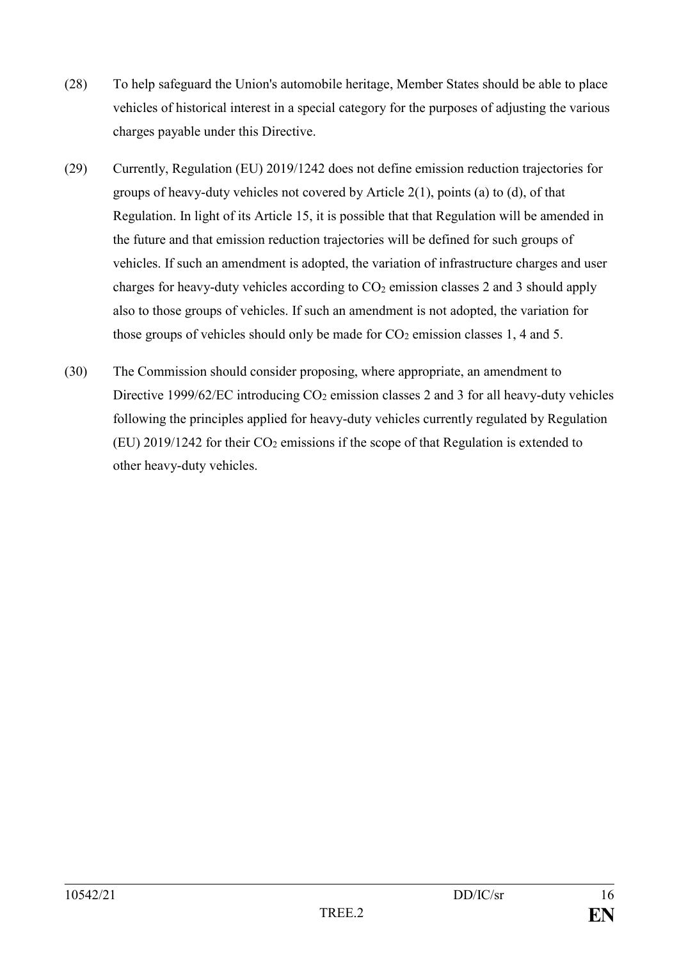- (28) To help safeguard the Union's automobile heritage, Member States should be able to place vehicles of historical interest in a special category for the purposes of adjusting the various charges payable under this Directive.
- (29) Currently, Regulation (EU) 2019/1242 does not define emission reduction trajectories for groups of heavy-duty vehicles not covered by Article 2(1), points (a) to (d), of that Regulation. In light of its Article 15, it is possible that that Regulation will be amended in the future and that emission reduction trajectories will be defined for such groups of vehicles. If such an amendment is adopted, the variation of infrastructure charges and user charges for heavy-duty vehicles according to  $CO<sub>2</sub>$  emission classes 2 and 3 should apply also to those groups of vehicles. If such an amendment is not adopted, the variation for those groups of vehicles should only be made for  $CO<sub>2</sub>$  emission classes 1, 4 and 5.
- (30) The Commission should consider proposing, where appropriate, an amendment to Directive 1999/62/EC introducing  $CO<sub>2</sub>$  emission classes 2 and 3 for all heavy-duty vehicles following the principles applied for heavy-duty vehicles currently regulated by Regulation (EU) 2019/1242 for their  $CO<sub>2</sub>$  emissions if the scope of that Regulation is extended to other heavy-duty vehicles.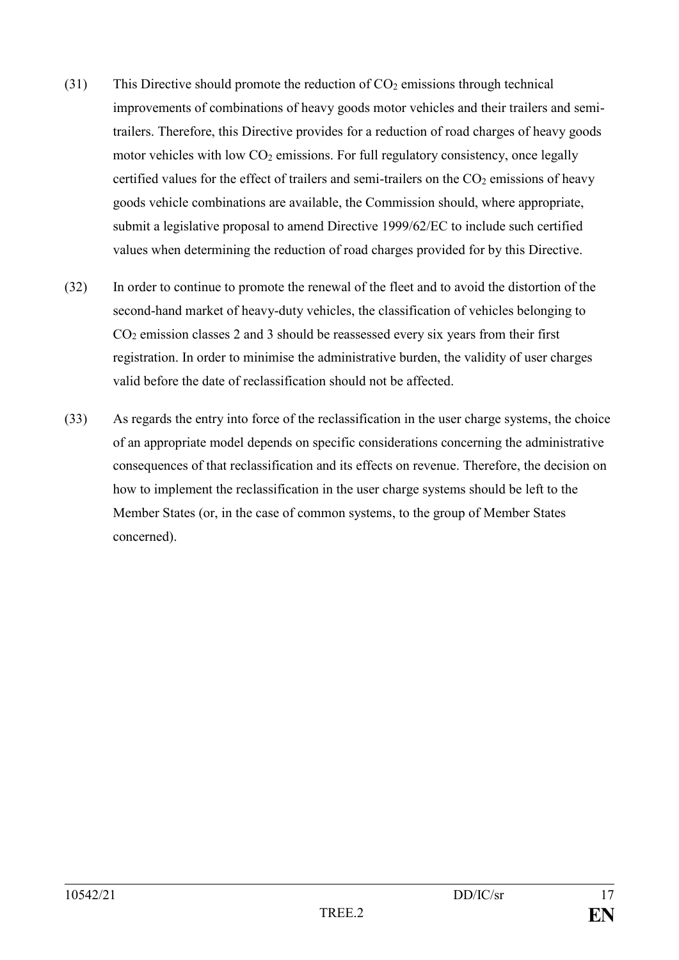- (31) This Directive should promote the reduction of  $CO<sub>2</sub>$  emissions through technical improvements of combinations of heavy goods motor vehicles and their trailers and semitrailers. Therefore, this Directive provides for a reduction of road charges of heavy goods motor vehicles with low  $CO<sub>2</sub>$  emissions. For full regulatory consistency, once legally certified values for the effect of trailers and semi-trailers on the  $CO<sub>2</sub>$  emissions of heavy goods vehicle combinations are available, the Commission should, where appropriate, submit a legislative proposal to amend Directive 1999/62/EC to include such certified values when determining the reduction of road charges provided for by this Directive.
- (32) In order to continue to promote the renewal of the fleet and to avoid the distortion of the second-hand market of heavy-duty vehicles, the classification of vehicles belonging to CO<sup>2</sup> emission classes 2 and 3 should be reassessed every six years from their first registration. In order to minimise the administrative burden, the validity of user charges valid before the date of reclassification should not be affected.
- (33) As regards the entry into force of the reclassification in the user charge systems, the choice of an appropriate model depends on specific considerations concerning the administrative consequences of that reclassification and its effects on revenue. Therefore, the decision on how to implement the reclassification in the user charge systems should be left to the Member States (or, in the case of common systems, to the group of Member States concerned).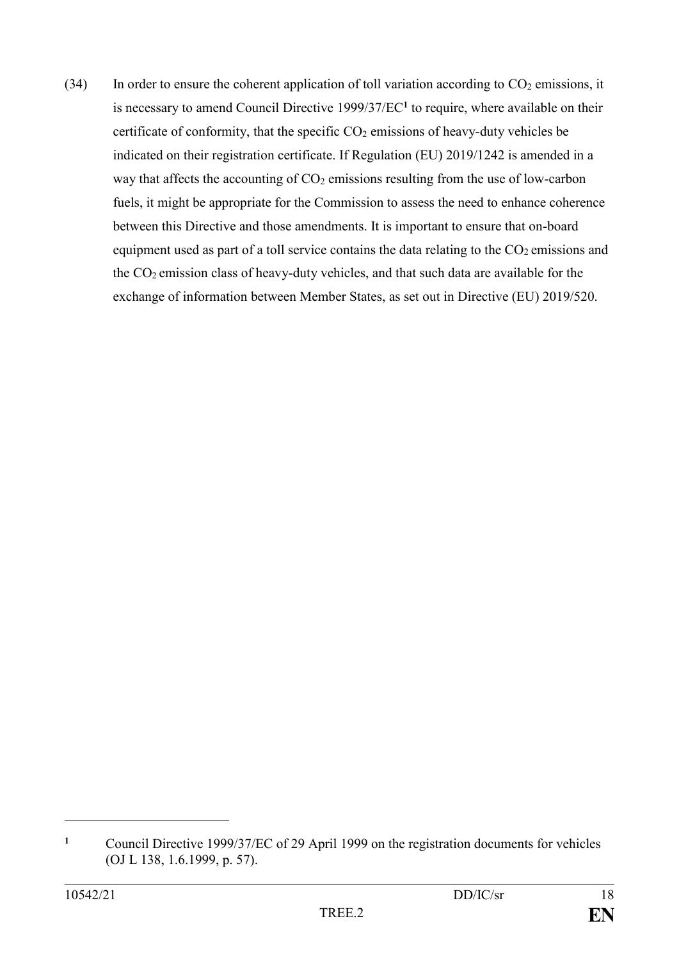(34) In order to ensure the coherent application of toll variation according to  $CO<sub>2</sub>$  emissions, it is necessary to amend Council Directive 1999/37/EC**<sup>1</sup>** to require, where available on their certificate of conformity, that the specific  $CO<sub>2</sub>$  emissions of heavy-duty vehicles be indicated on their registration certificate. If Regulation (EU) 2019/1242 is amended in a way that affects the accounting of  $CO<sub>2</sub>$  emissions resulting from the use of low-carbon fuels, it might be appropriate for the Commission to assess the need to enhance coherence between this Directive and those amendments. It is important to ensure that on-board equipment used as part of a toll service contains the data relating to the  $CO<sub>2</sub>$  emissions and the CO2 emission class of heavy-duty vehicles, and that such data are available for the exchange of information between Member States, as set out in Directive (EU) 2019/520.

**<sup>1</sup>** Council Directive 1999/37/EC of 29 April 1999 on the registration documents for vehicles (OJ L 138, 1.6.1999, p. 57).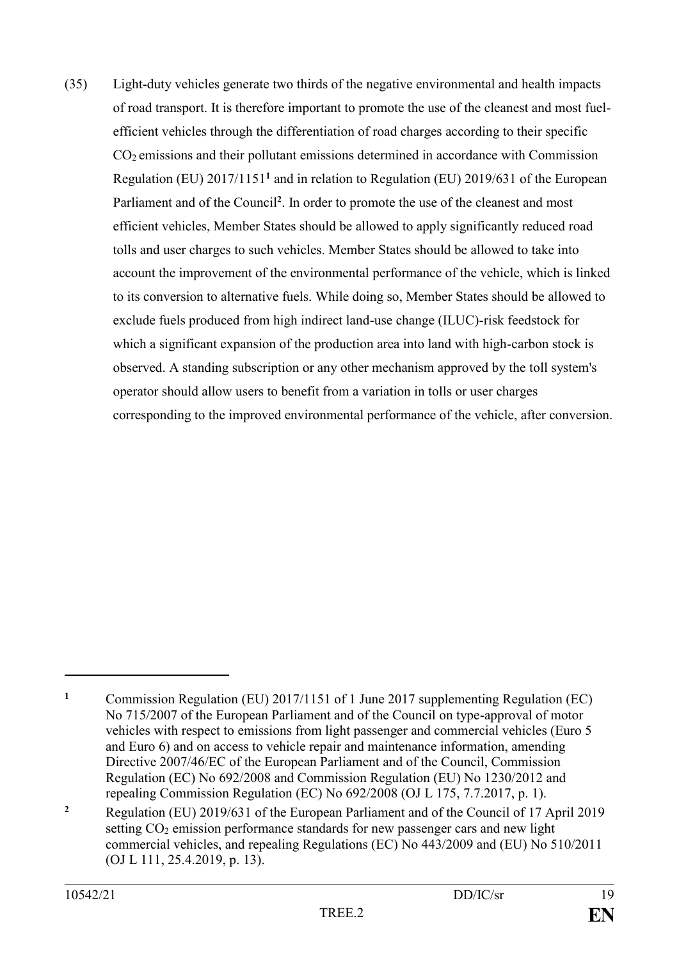(35) Light-duty vehicles generate two thirds of the negative environmental and health impacts of road transport. It is therefore important to promote the use of the cleanest and most fuelefficient vehicles through the differentiation of road charges according to their specific CO2 emissions and their pollutant emissions determined in accordance with Commission Regulation (EU) 2017/1151**<sup>1</sup>** and in relation to Regulation (EU) 2019/631 of the European Parliament and of the Council**<sup>2</sup>** . In order to promote the use of the cleanest and most efficient vehicles, Member States should be allowed to apply significantly reduced road tolls and user charges to such vehicles. Member States should be allowed to take into account the improvement of the environmental performance of the vehicle, which is linked to its conversion to alternative fuels. While doing so, Member States should be allowed to exclude fuels produced from high indirect land-use change (ILUC)-risk feedstock for which a significant expansion of the production area into land with high-carbon stock is observed. A standing subscription or any other mechanism approved by the toll system's operator should allow users to benefit from a variation in tolls or user charges corresponding to the improved environmental performance of the vehicle, after conversion.

**<sup>1</sup>** Commission Regulation (EU) 2017/1151 of 1 June 2017 supplementing Regulation (EC) No 715/2007 of the European Parliament and of the Council on type-approval of motor vehicles with respect to emissions from light passenger and commercial vehicles (Euro 5 and Euro 6) and on access to vehicle repair and maintenance information, amending Directive 2007/46/EC of the European Parliament and of the Council, Commission Regulation (EC) No 692/2008 and Commission Regulation (EU) No 1230/2012 and repealing Commission Regulation (EC) No 692/2008 (OJ L 175, 7.7.2017, p. 1).

**<sup>2</sup>** Regulation (EU) 2019/631 of the European Parliament and of the Council of 17 April 2019 setting CO<sub>2</sub> emission performance standards for new passenger cars and new light commercial vehicles, and repealing Regulations (EC) No 443/2009 and (EU) No 510/2011 (OJ L 111, 25.4.2019, p. 13).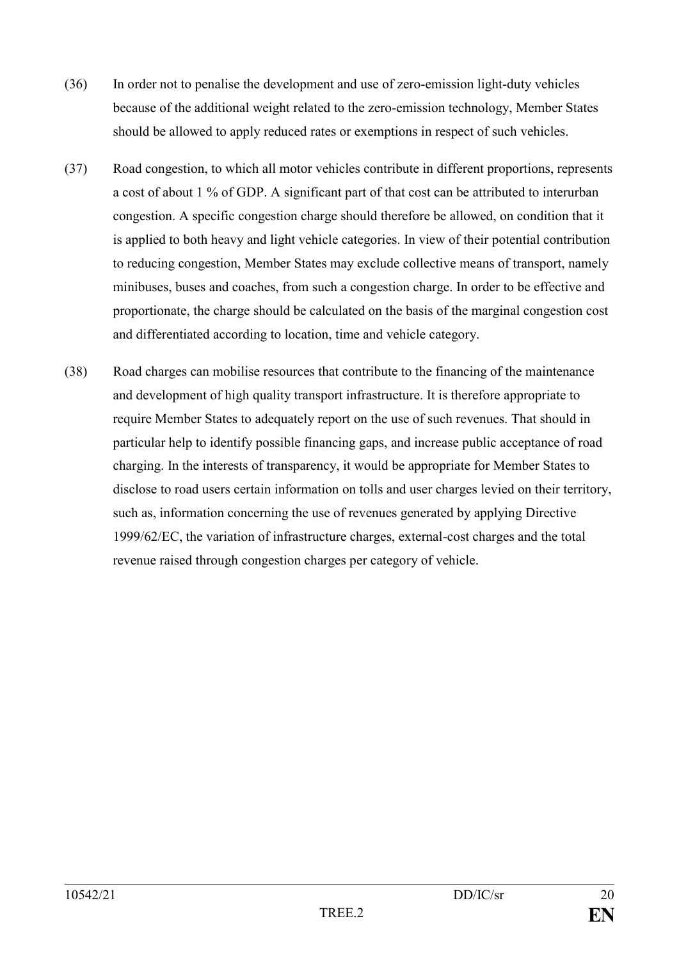- (36) In order not to penalise the development and use of zero-emission light-duty vehicles because of the additional weight related to the zero-emission technology, Member States should be allowed to apply reduced rates or exemptions in respect of such vehicles.
- (37) Road congestion, to which all motor vehicles contribute in different proportions, represents a cost of about 1 % of GDP. A significant part of that cost can be attributed to interurban congestion. A specific congestion charge should therefore be allowed, on condition that it is applied to both heavy and light vehicle categories. In view of their potential contribution to reducing congestion, Member States may exclude collective means of transport, namely minibuses, buses and coaches, from such a congestion charge. In order to be effective and proportionate, the charge should be calculated on the basis of the marginal congestion cost and differentiated according to location, time and vehicle category.
- (38) Road charges can mobilise resources that contribute to the financing of the maintenance and development of high quality transport infrastructure. It is therefore appropriate to require Member States to adequately report on the use of such revenues. That should in particular help to identify possible financing gaps, and increase public acceptance of road charging. In the interests of transparency, it would be appropriate for Member States to disclose to road users certain information on tolls and user charges levied on their territory, such as, information concerning the use of revenues generated by applying Directive 1999/62/EC, the variation of infrastructure charges, external-cost charges and the total revenue raised through congestion charges per category of vehicle.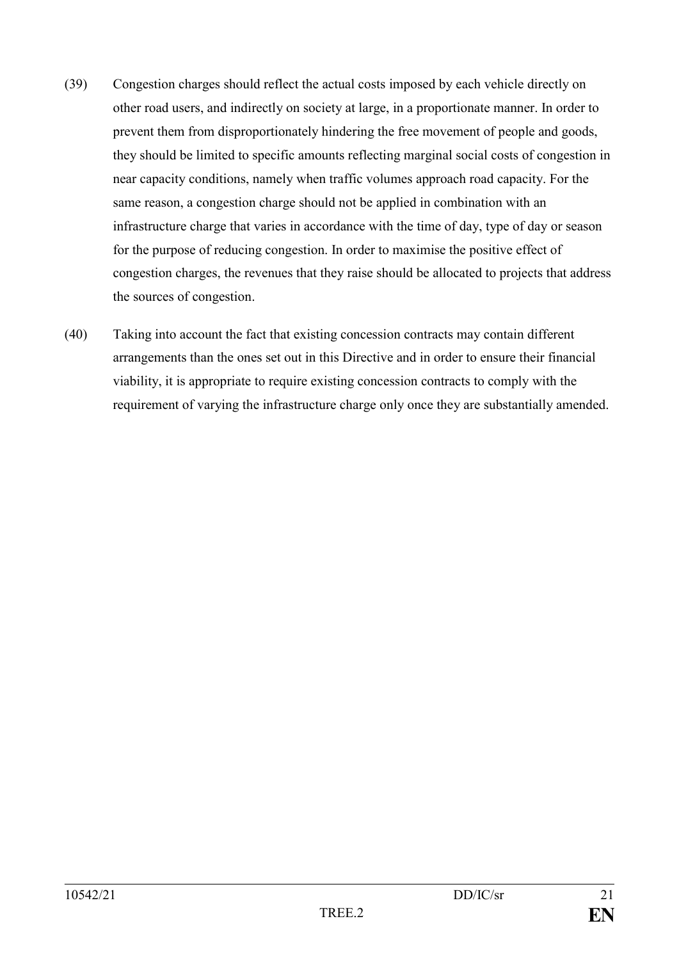- (39) Congestion charges should reflect the actual costs imposed by each vehicle directly on other road users, and indirectly on society at large, in a proportionate manner. In order to prevent them from disproportionately hindering the free movement of people and goods, they should be limited to specific amounts reflecting marginal social costs of congestion in near capacity conditions, namely when traffic volumes approach road capacity. For the same reason, a congestion charge should not be applied in combination with an infrastructure charge that varies in accordance with the time of day, type of day or season for the purpose of reducing congestion. In order to maximise the positive effect of congestion charges, the revenues that they raise should be allocated to projects that address the sources of congestion.
- (40) Taking into account the fact that existing concession contracts may contain different arrangements than the ones set out in this Directive and in order to ensure their financial viability, it is appropriate to require existing concession contracts to comply with the requirement of varying the infrastructure charge only once they are substantially amended.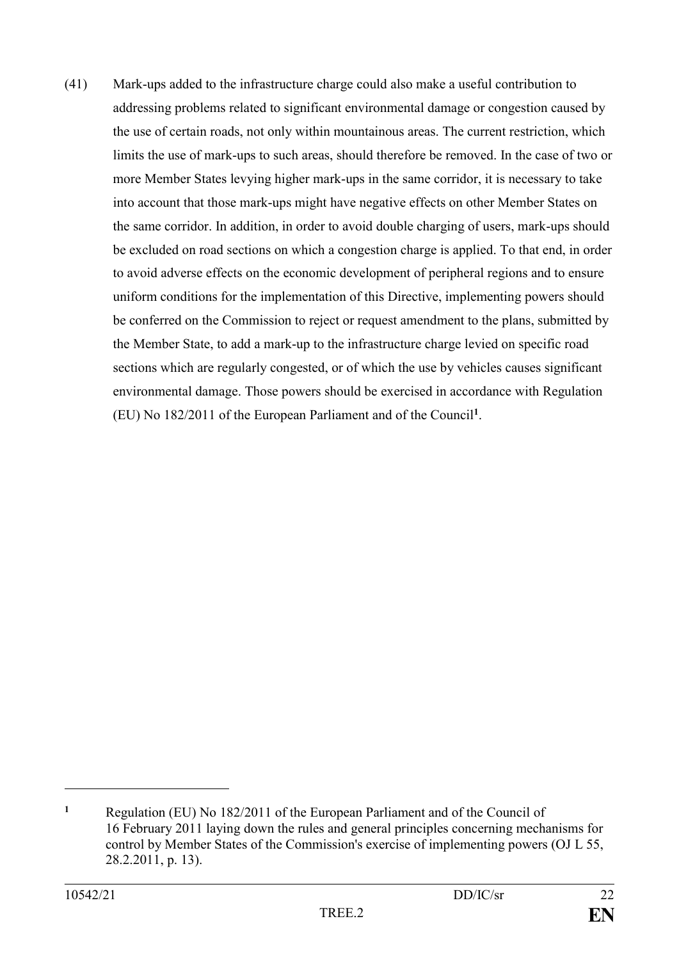(41) Mark-ups added to the infrastructure charge could also make a useful contribution to addressing problems related to significant environmental damage or congestion caused by the use of certain roads, not only within mountainous areas. The current restriction, which limits the use of mark-ups to such areas, should therefore be removed. In the case of two or more Member States levying higher mark-ups in the same corridor, it is necessary to take into account that those mark-ups might have negative effects on other Member States on the same corridor. In addition, in order to avoid double charging of users, mark-ups should be excluded on road sections on which a congestion charge is applied. To that end, in order to avoid adverse effects on the economic development of peripheral regions and to ensure uniform conditions for the implementation of this Directive, implementing powers should be conferred on the Commission to reject or request amendment to the plans, submitted by the Member State, to add a mark-up to the infrastructure charge levied on specific road sections which are regularly congested, or of which the use by vehicles causes significant environmental damage. Those powers should be exercised in accordance with Regulation (EU) No 182/2011 of the European Parliament and of the Council**<sup>1</sup>** .

**<sup>1</sup>** Regulation (EU) No 182/2011 of the European Parliament and of the Council of 16 February 2011 laying down the rules and general principles concerning mechanisms for control by Member States of the Commission's exercise of implementing powers (OJ L 55, 28.2.2011, p. 13).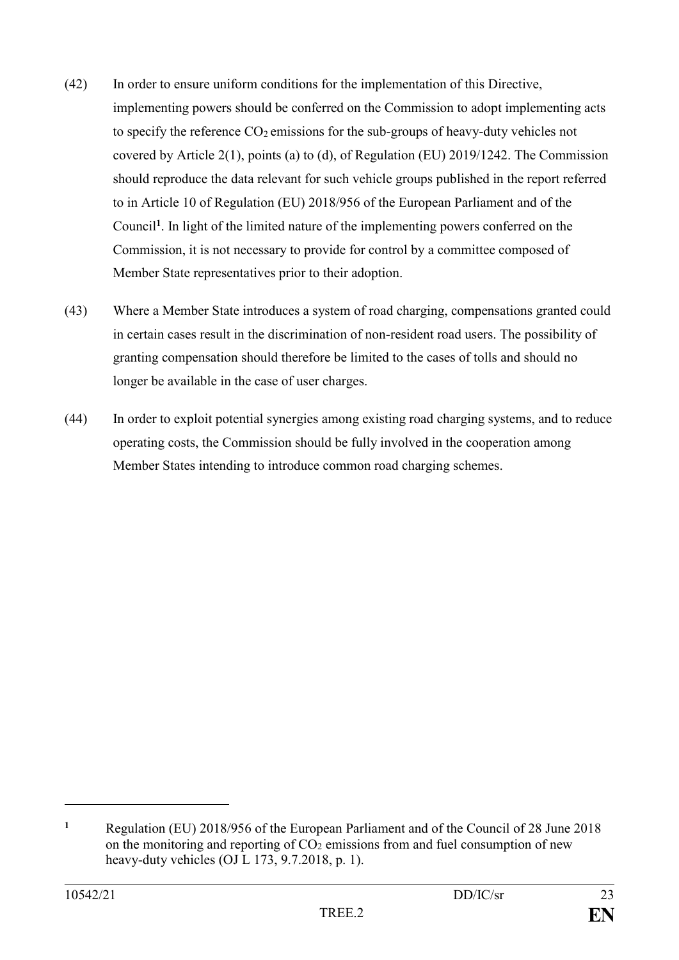- (42) In order to ensure uniform conditions for the implementation of this Directive, implementing powers should be conferred on the Commission to adopt implementing acts to specify the reference  $CO_2$  emissions for the sub-groups of heavy-duty vehicles not covered by Article 2(1), points (a) to (d), of Regulation (EU) 2019/1242. The Commission should reproduce the data relevant for such vehicle groups published in the report referred to in Article 10 of Regulation (EU) 2018/956 of the European Parliament and of the Council**<sup>1</sup>** . In light of the limited nature of the implementing powers conferred on the Commission, it is not necessary to provide for control by a committee composed of Member State representatives prior to their adoption.
- (43) Where a Member State introduces a system of road charging, compensations granted could in certain cases result in the discrimination of non-resident road users. The possibility of granting compensation should therefore be limited to the cases of tolls and should no longer be available in the case of user charges.
- (44) In order to exploit potential synergies among existing road charging systems, and to reduce operating costs, the Commission should be fully involved in the cooperation among Member States intending to introduce common road charging schemes.

**<sup>1</sup>** Regulation (EU) 2018/956 of the European Parliament and of the Council of 28 June 2018 on the monitoring and reporting of  $CO<sub>2</sub>$  emissions from and fuel consumption of new heavy-duty vehicles (OJ L 173, 9.7.2018, p. 1).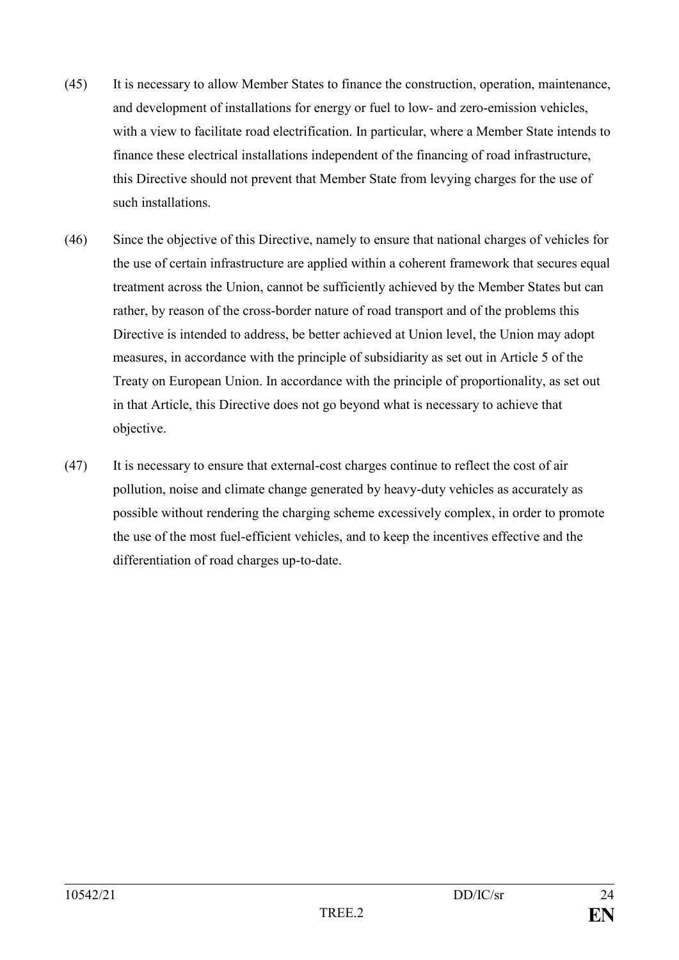- (45) It is necessary to allow Member States to finance the construction, operation, maintenance, and development of installations for energy or fuel to low- and zero-emission vehicles, with a view to facilitate road electrification. In particular, where a Member State intends to finance these electrical installations independent of the financing of road infrastructure, this Directive should not prevent that Member State from levying charges for the use of such installations.
- (46) Since the objective of this Directive, namely to ensure that national charges of vehicles for the use of certain infrastructure are applied within a coherent framework that secures equal treatment across the Union, cannot be sufficiently achieved by the Member States but can rather, by reason of the cross-border nature of road transport and of the problems this Directive is intended to address, be better achieved at Union level, the Union may adopt measures, in accordance with the principle of subsidiarity as set out in Article 5 of the Treaty on European Union. In accordance with the principle of proportionality, as set out in that Article, this Directive does not go beyond what is necessary to achieve that objective.
- (47) It is necessary to ensure that external-cost charges continue to reflect the cost of air pollution, noise and climate change generated by heavy-duty vehicles as accurately as possible without rendering the charging scheme excessively complex, in order to promote the use of the most fuel-efficient vehicles, and to keep the incentives effective and the differentiation of road charges up-to-date.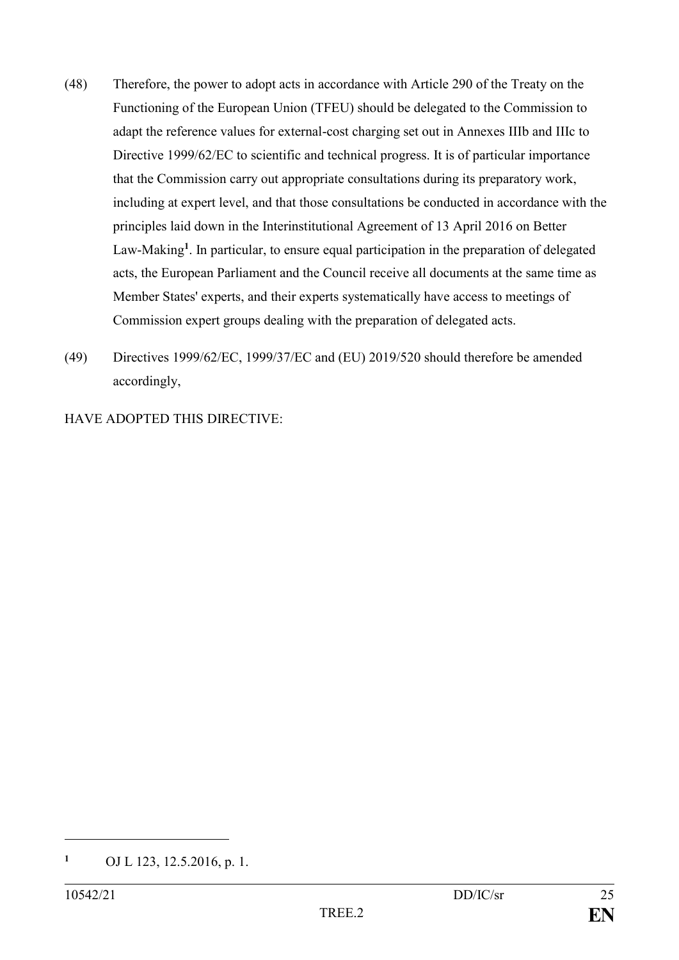- (48) Therefore, the power to adopt acts in accordance with Article 290 of the Treaty on the Functioning of the European Union (TFEU) should be delegated to the Commission to adapt the reference values for external-cost charging set out in Annexes IIIb and IIIc to Directive 1999/62/EC to scientific and technical progress. It is of particular importance that the Commission carry out appropriate consultations during its preparatory work, including at expert level, and that those consultations be conducted in accordance with the principles laid down in the Interinstitutional Agreement of 13 April 2016 on Better Law-Making**<sup>1</sup>** . In particular, to ensure equal participation in the preparation of delegated acts, the European Parliament and the Council receive all documents at the same time as Member States' experts, and their experts systematically have access to meetings of Commission expert groups dealing with the preparation of delegated acts.
- (49) Directives 1999/62/EC, 1999/37/EC and (EU) 2019/520 should therefore be amended accordingly,

HAVE ADOPTED THIS DIRECTIVE:

1

**<sup>1</sup>** OJ L 123, 12.5.2016, p. 1.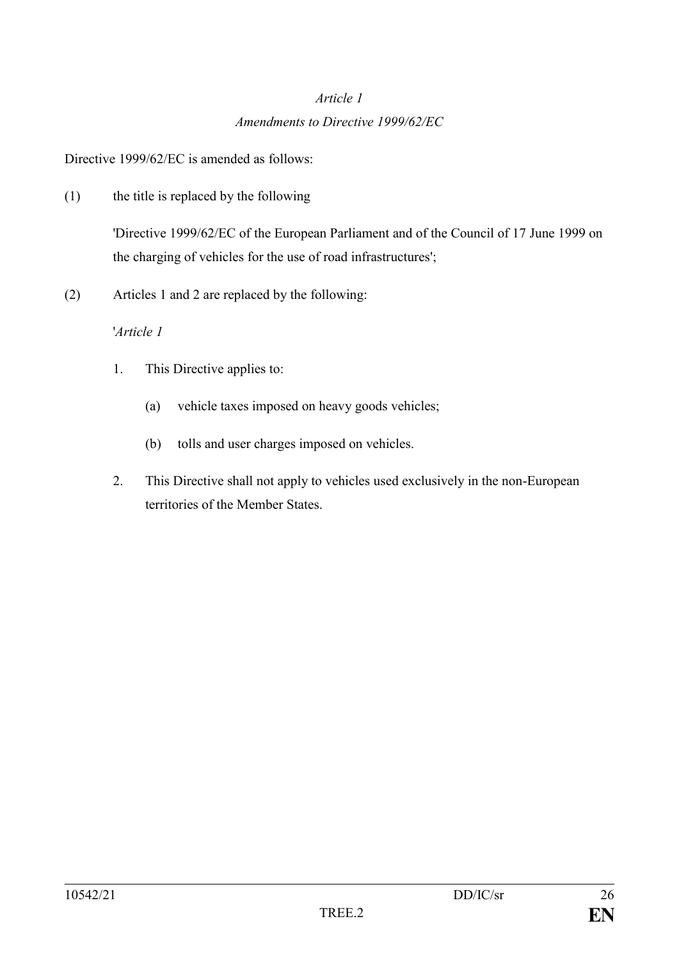# *Article 1 Amendments to Directive 1999/62/EC*

Directive 1999/62/EC is amended as follows:

(1) the title is replaced by the following

'Directive 1999/62/EC of the European Parliament and of the Council of 17 June 1999 on the charging of vehicles for the use of road infrastructures';

(2) Articles 1 and 2 are replaced by the following:

### '*Article 1*

- 1. This Directive applies to:
	- (a) vehicle taxes imposed on heavy goods vehicles;
	- (b) tolls and user charges imposed on vehicles.
- 2. This Directive shall not apply to vehicles used exclusively in the non-European territories of the Member States.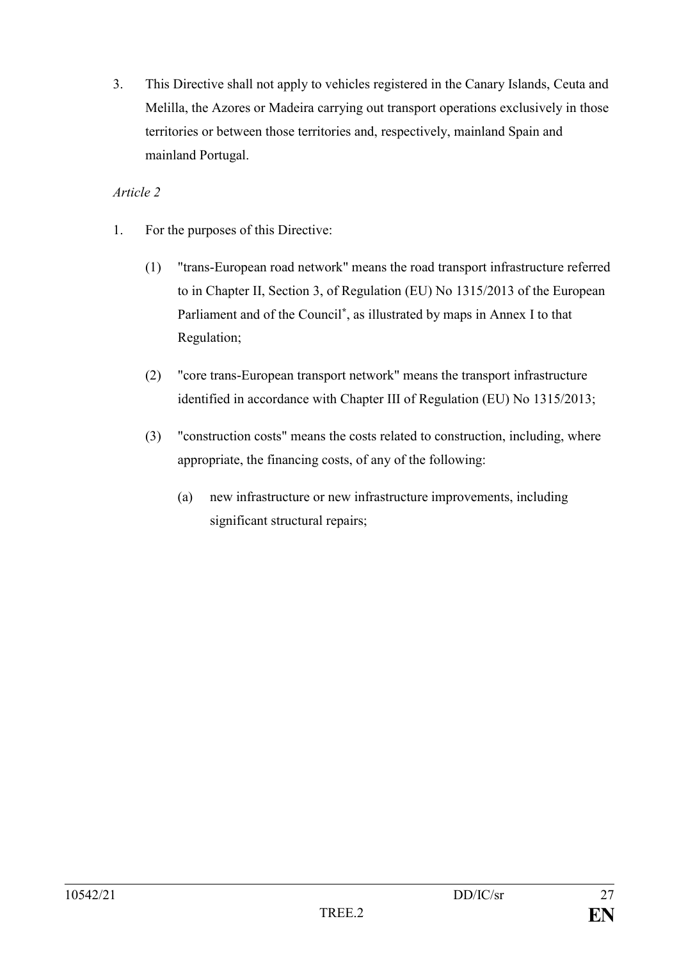3. This Directive shall not apply to vehicles registered in the Canary Islands, Ceuta and Melilla, the Azores or Madeira carrying out transport operations exclusively in those territories or between those territories and, respectively, mainland Spain and mainland Portugal.

### *Article 2*

- 1. For the purposes of this Directive:
	- (1) "trans-European road network" means the road transport infrastructure referred to in Chapter II, Section 3, of Regulation (EU) No 1315/2013 of the European Parliament and of the Council**\*** , as illustrated by maps in Annex I to that Regulation;
	- (2) "core trans-European transport network" means the transport infrastructure identified in accordance with Chapter III of Regulation (EU) No 1315/2013;
	- (3) "construction costs" means the costs related to construction, including, where appropriate, the financing costs, of any of the following:
		- (a) new infrastructure or new infrastructure improvements, including significant structural repairs;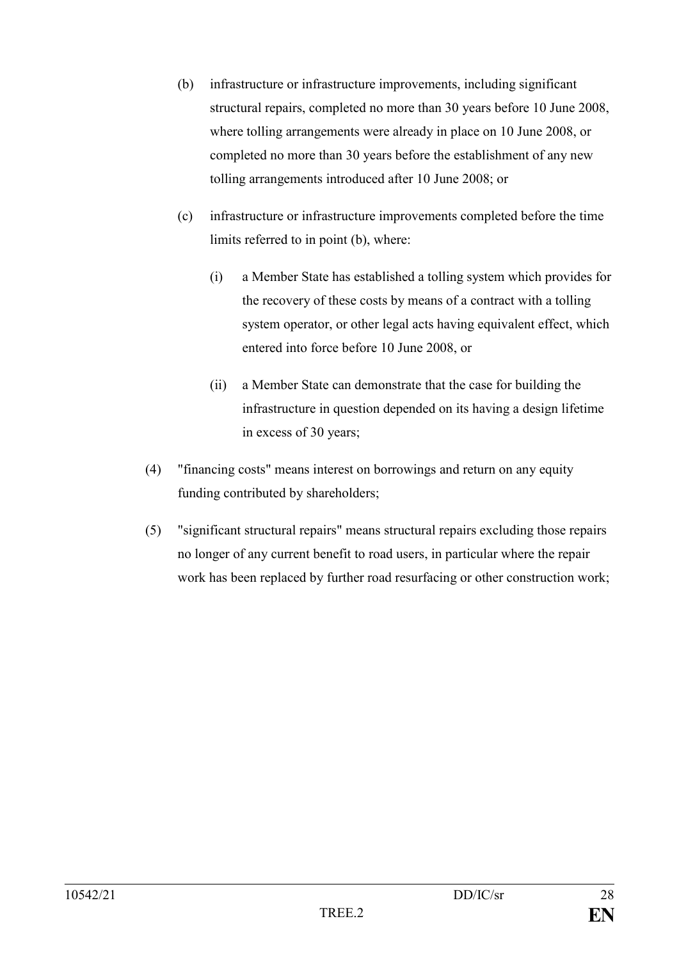- (b) infrastructure or infrastructure improvements, including significant structural repairs, completed no more than 30 years before 10 June 2008, where tolling arrangements were already in place on 10 June 2008, or completed no more than 30 years before the establishment of any new tolling arrangements introduced after 10 June 2008; or
- (c) infrastructure or infrastructure improvements completed before the time limits referred to in point (b), where:
	- (i) a Member State has established a tolling system which provides for the recovery of these costs by means of a contract with a tolling system operator, or other legal acts having equivalent effect, which entered into force before 10 June 2008, or
	- (ii) a Member State can demonstrate that the case for building the infrastructure in question depended on its having a design lifetime in excess of 30 years;
- (4) "financing costs" means interest on borrowings and return on any equity funding contributed by shareholders;
- (5) "significant structural repairs" means structural repairs excluding those repairs no longer of any current benefit to road users, in particular where the repair work has been replaced by further road resurfacing or other construction work;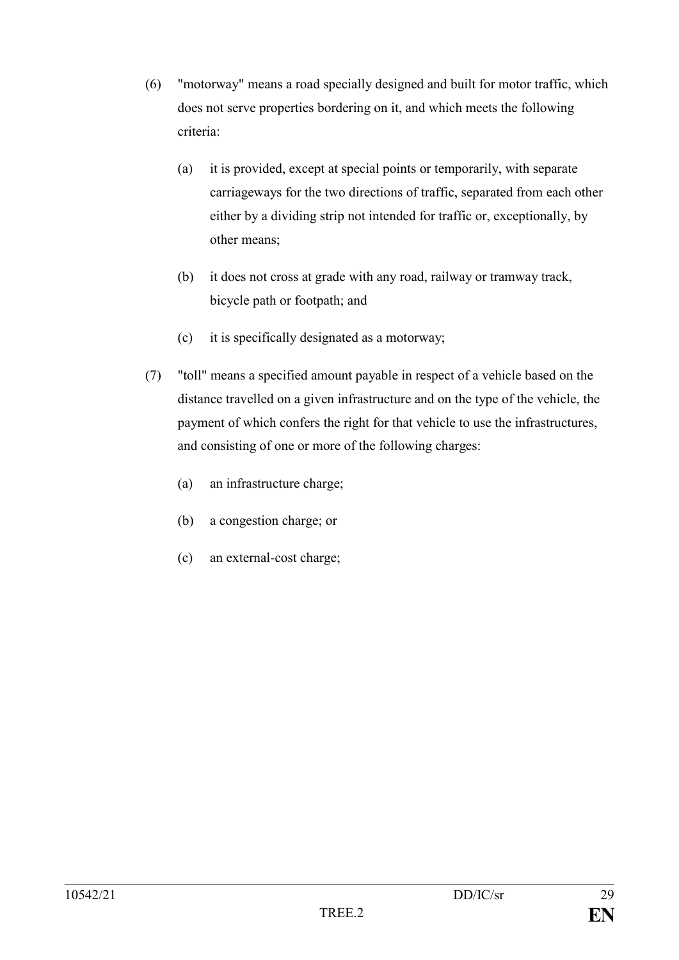- (6) "motorway" means a road specially designed and built for motor traffic, which does not serve properties bordering on it, and which meets the following criteria:
	- (a) it is provided, except at special points or temporarily, with separate carriageways for the two directions of traffic, separated from each other either by a dividing strip not intended for traffic or, exceptionally, by other means;
	- (b) it does not cross at grade with any road, railway or tramway track, bicycle path or footpath; and
	- (c) it is specifically designated as a motorway;
- (7) "toll" means a specified amount payable in respect of a vehicle based on the distance travelled on a given infrastructure and on the type of the vehicle, the payment of which confers the right for that vehicle to use the infrastructures, and consisting of one or more of the following charges:
	- (a) an infrastructure charge;
	- (b) a congestion charge; or
	- (c) an external-cost charge;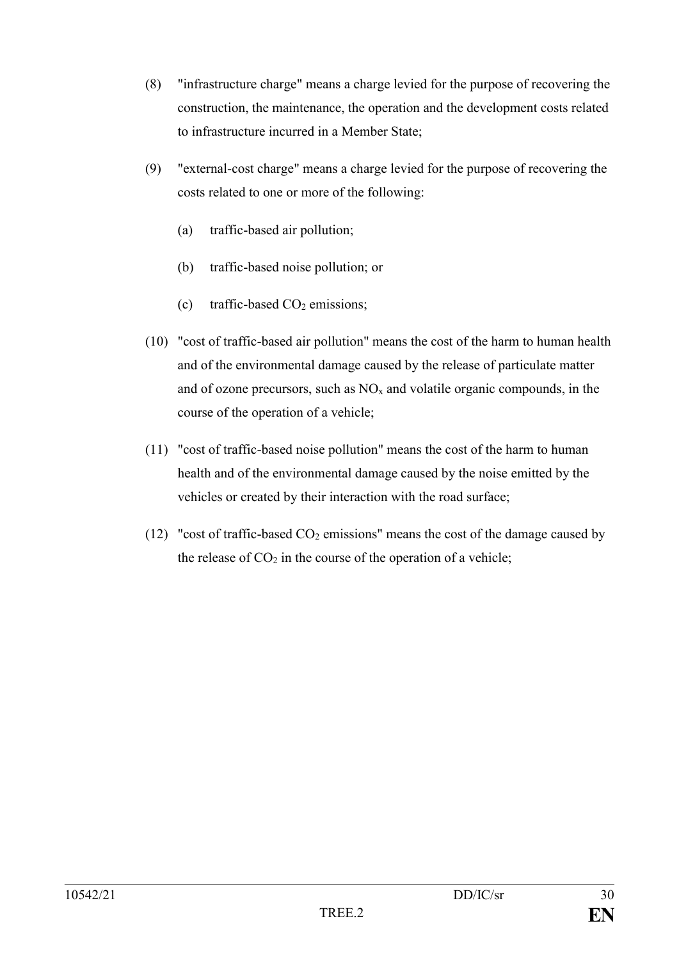- (8) "infrastructure charge" means a charge levied for the purpose of recovering the construction, the maintenance, the operation and the development costs related to infrastructure incurred in a Member State;
- (9) "external-cost charge" means a charge levied for the purpose of recovering the costs related to one or more of the following:
	- (a) traffic-based air pollution;
	- (b) traffic-based noise pollution; or
	- (c) traffic-based  $CO<sub>2</sub>$  emissions;
- (10) "cost of traffic-based air pollution" means the cost of the harm to human health and of the environmental damage caused by the release of particulate matter and of ozone precursors, such as  $NO<sub>x</sub>$  and volatile organic compounds, in the course of the operation of a vehicle;
- (11) "cost of traffic-based noise pollution" means the cost of the harm to human health and of the environmental damage caused by the noise emitted by the vehicles or created by their interaction with the road surface;
- (12) "cost of traffic-based  $CO<sub>2</sub>$  emissions" means the cost of the damage caused by the release of  $CO<sub>2</sub>$  in the course of the operation of a vehicle;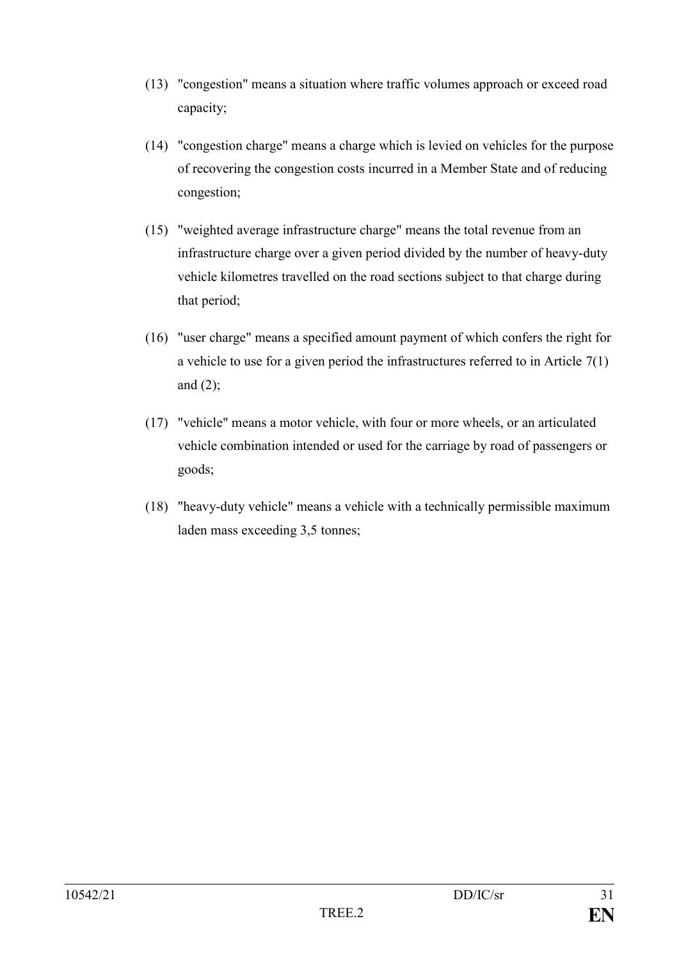- (13) "congestion" means a situation where traffic volumes approach or exceed road capacity;
- (14) "congestion charge" means a charge which is levied on vehicles for the purpose of recovering the congestion costs incurred in a Member State and of reducing congestion;
- (15) "weighted average infrastructure charge" means the total revenue from an infrastructure charge over a given period divided by the number of heavy-duty vehicle kilometres travelled on the road sections subject to that charge during that period;
- (16) "user charge" means a specified amount payment of which confers the right for a vehicle to use for a given period the infrastructures referred to in Article 7(1) and  $(2)$ ;
- (17) "vehicle" means a motor vehicle, with four or more wheels, or an articulated vehicle combination intended or used for the carriage by road of passengers or goods;
- (18) "heavy-duty vehicle" means a vehicle with a technically permissible maximum laden mass exceeding 3,5 tonnes;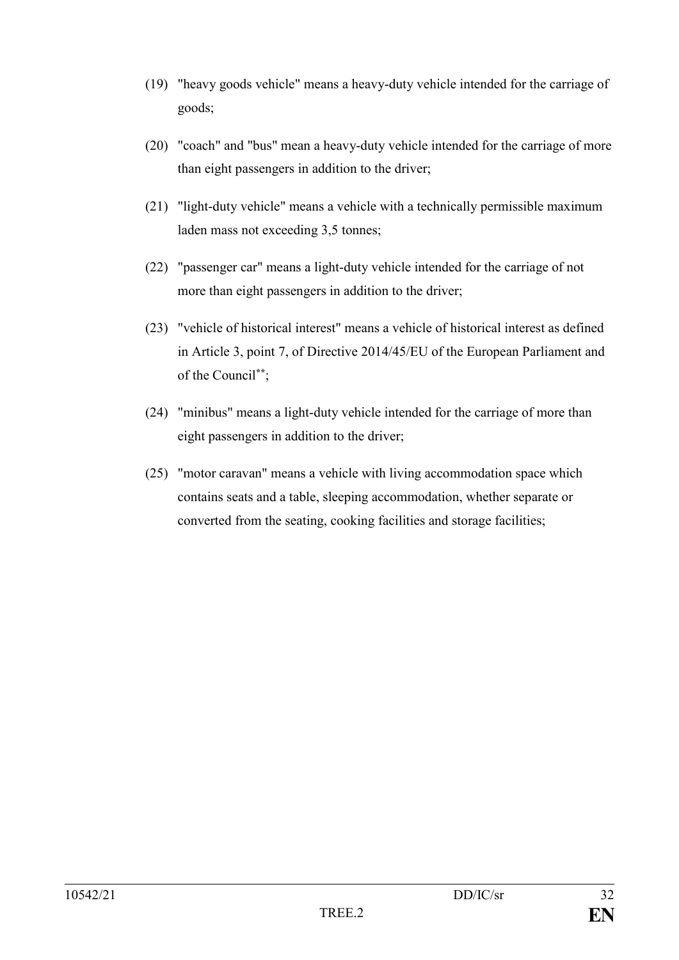- (19) "heavy goods vehicle" means a heavy-duty vehicle intended for the carriage of goods;
- (20) "coach" and "bus" mean a heavy-duty vehicle intended for the carriage of more than eight passengers in addition to the driver;
- (21) "light-duty vehicle" means a vehicle with a technically permissible maximum laden mass not exceeding 3,5 tonnes;
- (22) "passenger car" means a light-duty vehicle intended for the carriage of not more than eight passengers in addition to the driver;
- (23) "vehicle of historical interest" means a vehicle of historical interest as defined in Article 3, point 7, of Directive 2014/45/EU of the European Parliament and of the Council**\*\***;
- (24) "minibus" means a light-duty vehicle intended for the carriage of more than eight passengers in addition to the driver;
- (25) "motor caravan" means a vehicle with living accommodation space which contains seats and a table, sleeping accommodation, whether separate or converted from the seating, cooking facilities and storage facilities;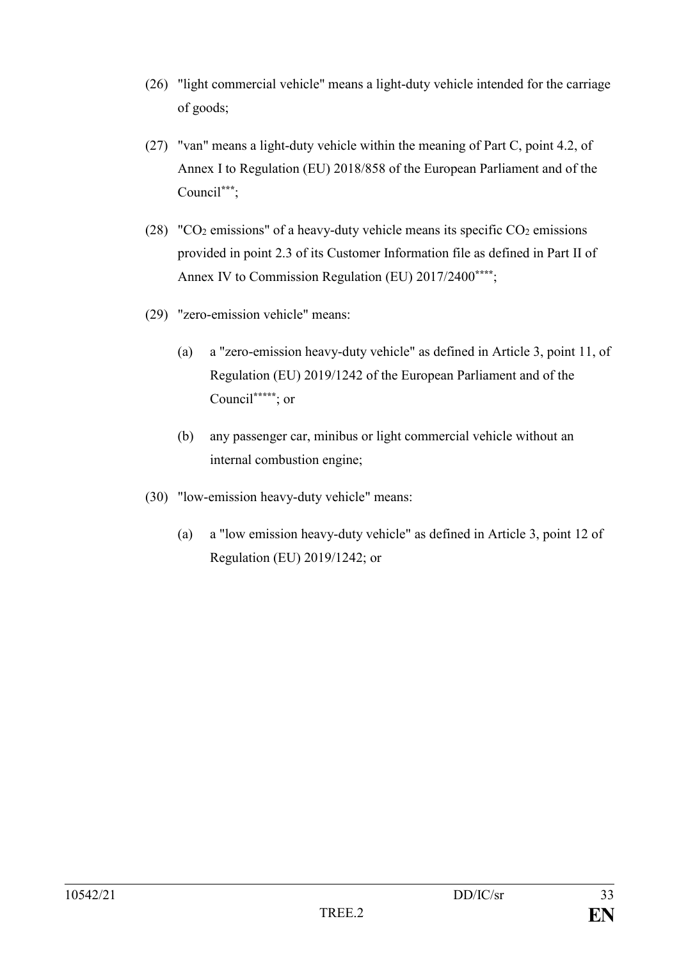- (26) "light commercial vehicle" means a light-duty vehicle intended for the carriage of goods;
- (27) "van" means a light-duty vehicle within the meaning of Part C, point 4.2, of Annex I to Regulation (EU) 2018/858 of the European Parliament and of the Council**\*\*\***;
- (28) "CO<sub>2</sub> emissions" of a heavy-duty vehicle means its specific CO<sub>2</sub> emissions provided in point 2.3 of its Customer Information file as defined in Part II of Annex IV to Commission Regulation (EU) 2017/2400**\*\*\*\***;
- (29) "zero-emission vehicle" means:
	- (a) a "zero-emission heavy-duty vehicle" as defined in Article 3, point 11, of Regulation (EU) 2019/1242 of the European Parliament and of the Council**\*\*\*\*\***; or
	- (b) any passenger car, minibus or light commercial vehicle without an internal combustion engine;
- (30) "low-emission heavy-duty vehicle" means:
	- (a) a "low emission heavy-duty vehicle" as defined in Article 3, point 12 of Regulation (EU) 2019/1242; or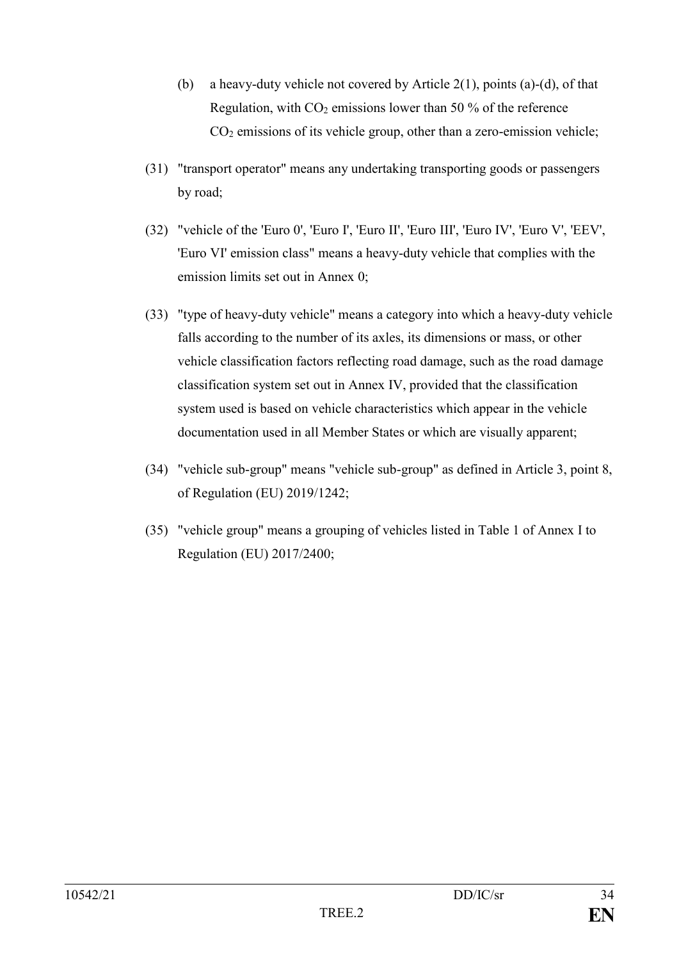- (b) a heavy-duty vehicle not covered by Article  $2(1)$ , points (a)-(d), of that Regulation, with  $CO<sub>2</sub>$  emissions lower than 50 % of the reference  $CO<sub>2</sub>$  emissions of its vehicle group, other than a zero-emission vehicle;
- (31) "transport operator" means any undertaking transporting goods or passengers by road;
- (32) "vehicle of the 'Euro 0', 'Euro I', 'Euro II', 'Euro III', 'Euro IV', 'Euro V', 'EEV', 'Euro VI' emission class" means a heavy-duty vehicle that complies with the emission limits set out in Annex 0;
- (33) "type of heavy-duty vehicle" means a category into which a heavy-duty vehicle falls according to the number of its axles, its dimensions or mass, or other vehicle classification factors reflecting road damage, such as the road damage classification system set out in Annex IV, provided that the classification system used is based on vehicle characteristics which appear in the vehicle documentation used in all Member States or which are visually apparent;
- (34) "vehicle sub-group" means "vehicle sub-group" as defined in Article 3, point 8, of Regulation (EU) 2019/1242;
- (35) "vehicle group" means a grouping of vehicles listed in Table 1 of Annex I to Regulation (EU) 2017/2400;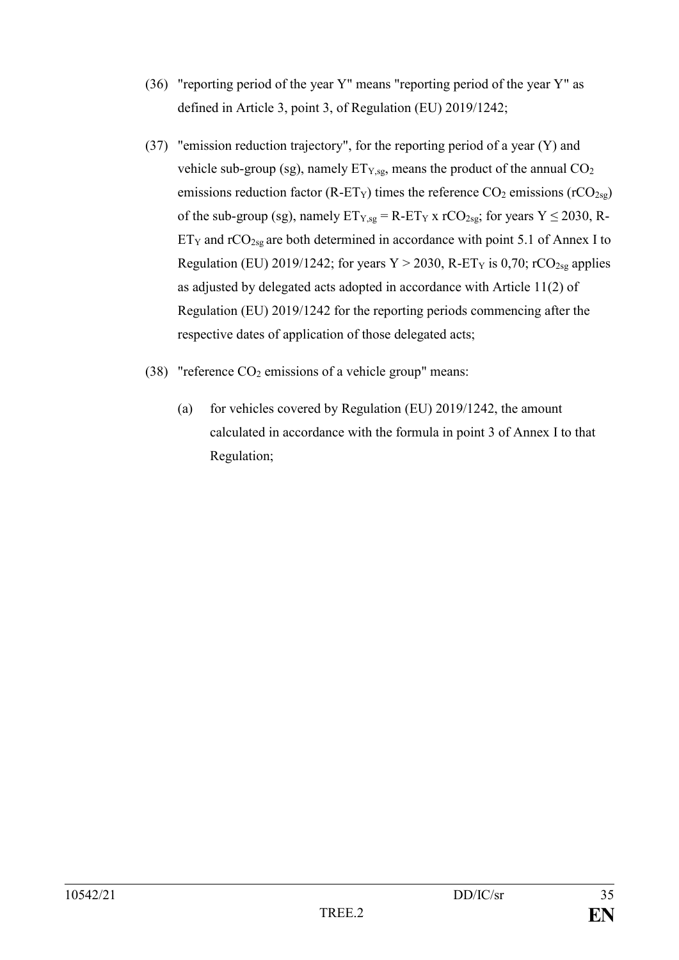- (36) "reporting period of the year Y" means "reporting period of the year Y" as defined in Article 3, point 3, of Regulation (EU) 2019/1242;
- (37) "emission reduction trajectory", for the reporting period of a year (Y) and vehicle sub-group (sg), namely  $ET_{Y,sg}$ , means the product of the annual  $CO<sub>2</sub>$ emissions reduction factor (R-ET<sub>Y</sub>) times the reference  $CO_2$  emissions (rCO<sub>2sg</sub>) of the sub-group (sg), namely  $ET_{Y,sg} = R - ET_Y x rCO_{2sg}$ ; for years  $Y \le 2030$ , R- $ET_Y$  and  $rCO_{2sg}$  are both determined in accordance with point 5.1 of Annex I to Regulation (EU) 2019/1242; for years  $Y > 2030$ , R-ET<sub>Y</sub> is 0,70; rCO<sub>2sg</sub> applies as adjusted by delegated acts adopted in accordance with Article 11(2) of Regulation (EU) 2019/1242 for the reporting periods commencing after the respective dates of application of those delegated acts;
- (38) "reference  $CO<sub>2</sub>$  emissions of a vehicle group" means:
	- (a) for vehicles covered by Regulation (EU) 2019/1242, the amount calculated in accordance with the formula in point 3 of Annex I to that Regulation;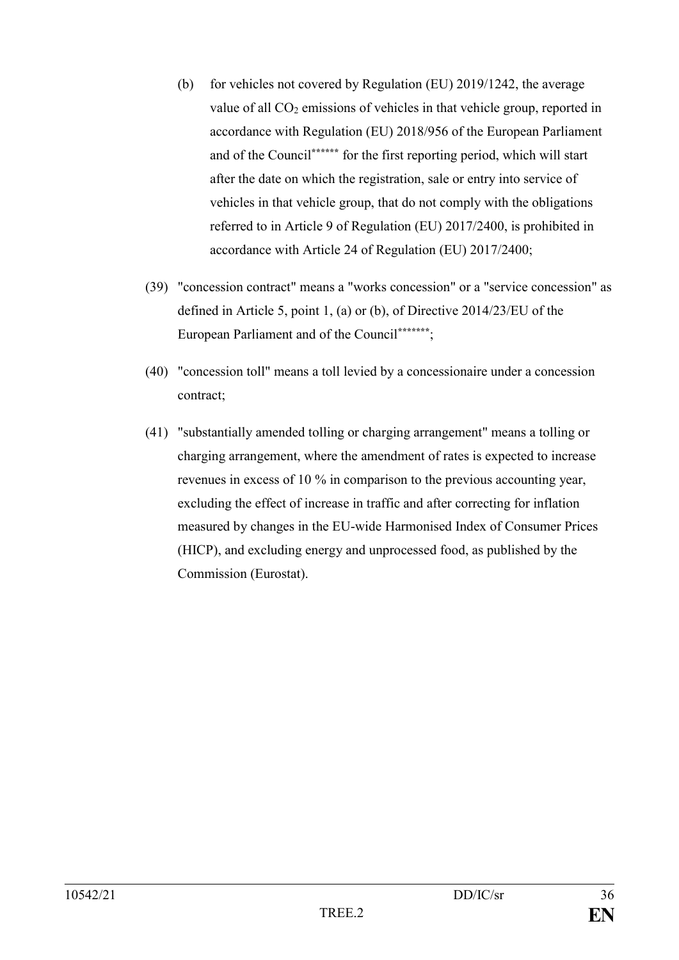- (b) for vehicles not covered by Regulation (EU) 2019/1242, the average value of all  $CO<sub>2</sub>$  emissions of vehicles in that vehicle group, reported in accordance with Regulation (EU) 2018/956 of the European Parliament and of the Council**\*\*\*\*\*\*** for the first reporting period, which will start after the date on which the registration, sale or entry into service of vehicles in that vehicle group, that do not comply with the obligations referred to in Article 9 of Regulation (EU) 2017/2400, is prohibited in accordance with Article 24 of Regulation (EU) 2017/2400;
- (39) "concession contract" means a "works concession" or a "service concession" as defined in Article 5, point 1, (a) or (b), of Directive 2014/23/EU of the European Parliament and of the Council**\*\*\*\*\*\*\***;
- (40) "concession toll" means a toll levied by a concessionaire under a concession contract;
- (41) "substantially amended tolling or charging arrangement" means a tolling or charging arrangement, where the amendment of rates is expected to increase revenues in excess of 10 % in comparison to the previous accounting year, excluding the effect of increase in traffic and after correcting for inflation measured by changes in the EU-wide Harmonised Index of Consumer Prices (HICP), and excluding energy and unprocessed food, as published by the Commission (Eurostat).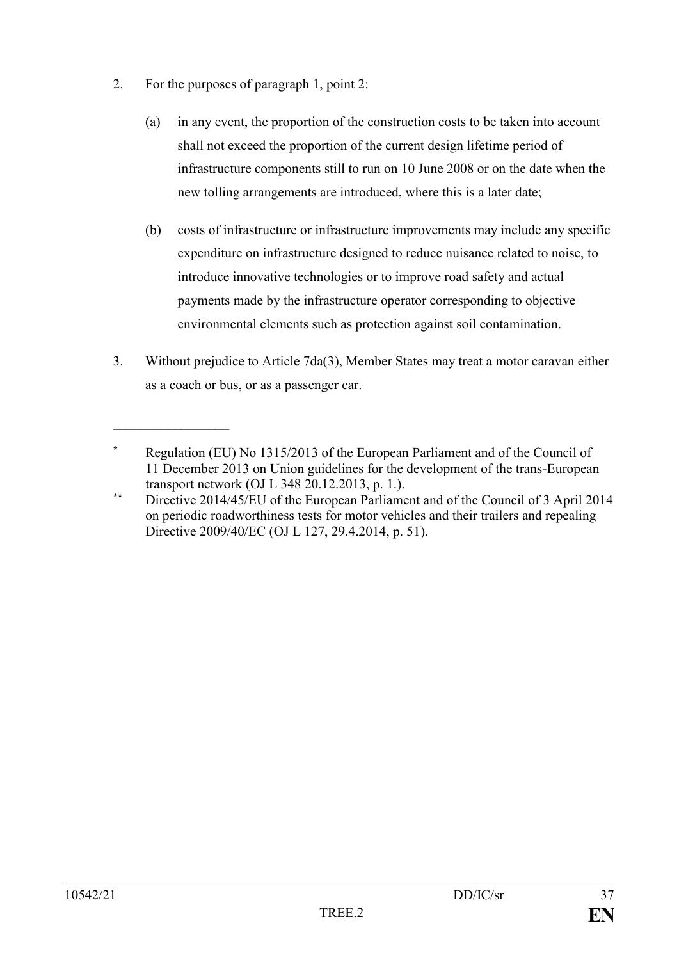2. For the purposes of paragraph 1, point 2:

 $\mathcal{L}_\text{max}$  , where  $\mathcal{L}_\text{max}$ 

- (a) in any event, the proportion of the construction costs to be taken into account shall not exceed the proportion of the current design lifetime period of infrastructure components still to run on 10 June 2008 or on the date when the new tolling arrangements are introduced, where this is a later date;
- (b) costs of infrastructure or infrastructure improvements may include any specific expenditure on infrastructure designed to reduce nuisance related to noise, to introduce innovative technologies or to improve road safety and actual payments made by the infrastructure operator corresponding to objective environmental elements such as protection against soil contamination.
- 3. Without prejudice to Article 7da(3), Member States may treat a motor caravan either as a coach or bus, or as a passenger car.

**<sup>\*</sup>** Regulation (EU) No 1315/2013 of the European Parliament and of the Council of 11 December 2013 on Union guidelines for the development of the trans-European transport network (OJ L 348 20.12.2013, p. 1.).

**<sup>\*\*</sup>** Directive 2014/45/EU of the European Parliament and of the Council of 3 April 2014 on periodic roadworthiness tests for motor vehicles and their trailers and repealing Directive 2009/40/EC (OJ L 127, 29.4.2014, p. 51).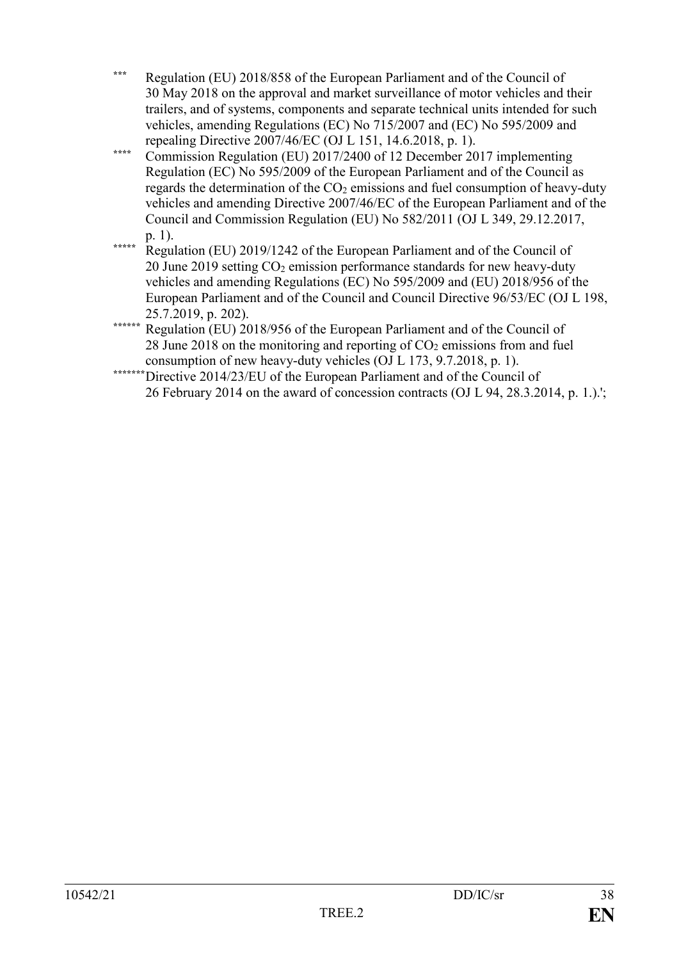- **\*\*\*** Regulation (EU) 2018/858 of the European Parliament and of the Council of 30 May 2018 on the approval and market surveillance of motor vehicles and their trailers, and of systems, components and separate technical units intended for such vehicles, amending Regulations (EC) No 715/2007 and (EC) No 595/2009 and repealing Directive 2007/46/EC (OJ L 151, 14.6.2018, p. 1).
- **\*\*\*\*** Commission Regulation (EU) 2017/2400 of 12 December 2017 implementing Regulation (EC) No 595/2009 of the European Parliament and of the Council as regards the determination of the  $CO<sub>2</sub>$  emissions and fuel consumption of heavy-duty vehicles and amending Directive 2007/46/EC of the European Parliament and of the Council and Commission Regulation (EU) No 582/2011 (OJ L 349, 29.12.2017, p. 1).
- **\*\*\*\*\*** Regulation (EU) 2019/1242 of the European Parliament and of the Council of 20 June 2019 setting CO<sup>2</sup> emission performance standards for new heavy-duty vehicles and amending Regulations (EC) No 595/2009 and (EU) 2018/956 of the European Parliament and of the Council and Council Directive 96/53/EC (OJ L 198, 25.7.2019, p. 202).
- **\*\*\*\*\*\*** Regulation (EU) 2018/956 of the European Parliament and of the Council of 28 June 2018 on the monitoring and reporting of  $CO<sub>2</sub>$  emissions from and fuel consumption of new heavy-duty vehicles (OJ L 173, 9.7.2018, p. 1).
- \*\*\*\*\*\*\*\*Directive 2014/23/EU of the European Parliament and of the Council of 26 February 2014 on the award of concession contracts (OJ L 94, 28.3.2014, p. 1.).';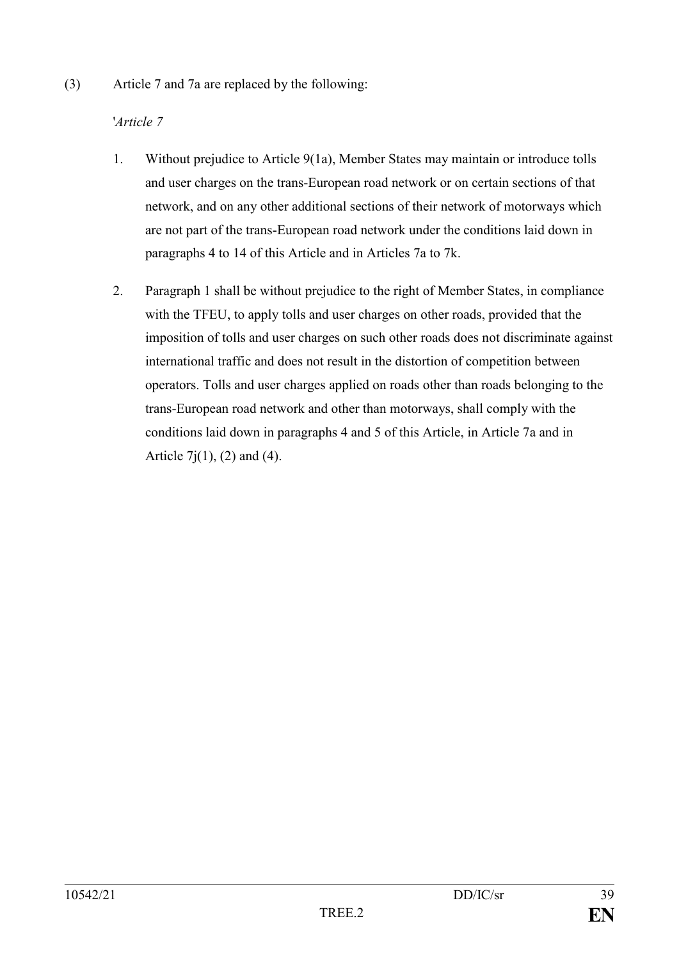(3) Article 7 and 7a are replaced by the following:

# '*Article 7*

- 1. Without prejudice to Article 9(1a), Member States may maintain or introduce tolls and user charges on the trans-European road network or on certain sections of that network, and on any other additional sections of their network of motorways which are not part of the trans-European road network under the conditions laid down in paragraphs 4 to 14 of this Article and in Articles 7a to 7k.
- 2. Paragraph 1 shall be without prejudice to the right of Member States, in compliance with the TFEU, to apply tolls and user charges on other roads, provided that the imposition of tolls and user charges on such other roads does not discriminate against international traffic and does not result in the distortion of competition between operators. Tolls and user charges applied on roads other than roads belonging to the trans-European road network and other than motorways, shall comply with the conditions laid down in paragraphs 4 and 5 of this Article, in Article 7a and in Article  $7i(1)$ , (2) and (4).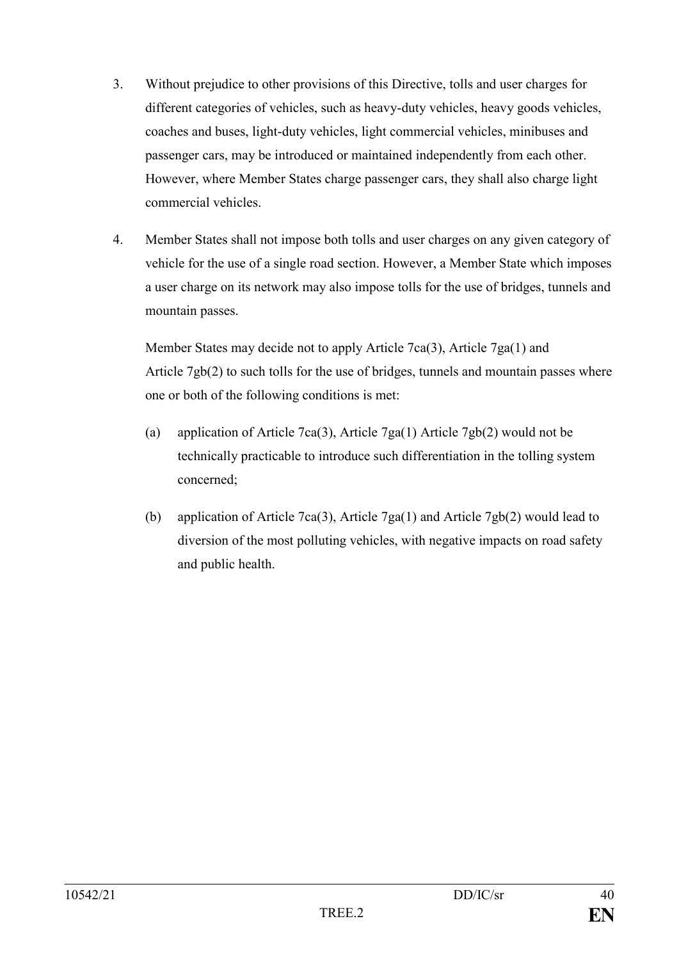- 3. Without prejudice to other provisions of this Directive, tolls and user charges for different categories of vehicles, such as heavy-duty vehicles, heavy goods vehicles, coaches and buses, light-duty vehicles, light commercial vehicles, minibuses and passenger cars, may be introduced or maintained independently from each other. However, where Member States charge passenger cars, they shall also charge light commercial vehicles.
- 4. Member States shall not impose both tolls and user charges on any given category of vehicle for the use of a single road section. However, a Member State which imposes a user charge on its network may also impose tolls for the use of bridges, tunnels and mountain passes.

Member States may decide not to apply Article 7ca(3), Article 7ga(1) and Article 7gb(2) to such tolls for the use of bridges, tunnels and mountain passes where one or both of the following conditions is met:

- (a) application of Article 7ca(3), Article 7ga(1) Article 7gb(2) would not be technically practicable to introduce such differentiation in the tolling system concerned;
- (b) application of Article 7ca(3), Article 7ga(1) and Article 7gb(2) would lead to diversion of the most polluting vehicles, with negative impacts on road safety and public health.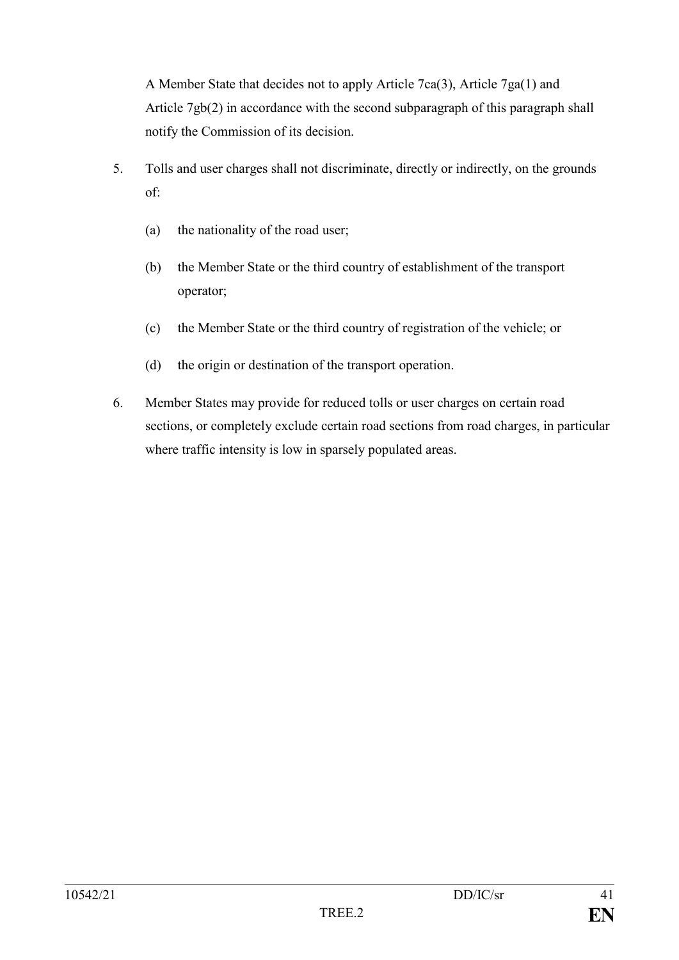A Member State that decides not to apply Article 7ca(3), Article 7ga(1) and Article 7gb(2) in accordance with the second subparagraph of this paragraph shall notify the Commission of its decision.

- 5. Tolls and user charges shall not discriminate, directly or indirectly, on the grounds of:
	- (a) the nationality of the road user;
	- (b) the Member State or the third country of establishment of the transport operator;
	- (c) the Member State or the third country of registration of the vehicle; or
	- (d) the origin or destination of the transport operation.
- 6. Member States may provide for reduced tolls or user charges on certain road sections, or completely exclude certain road sections from road charges, in particular where traffic intensity is low in sparsely populated areas.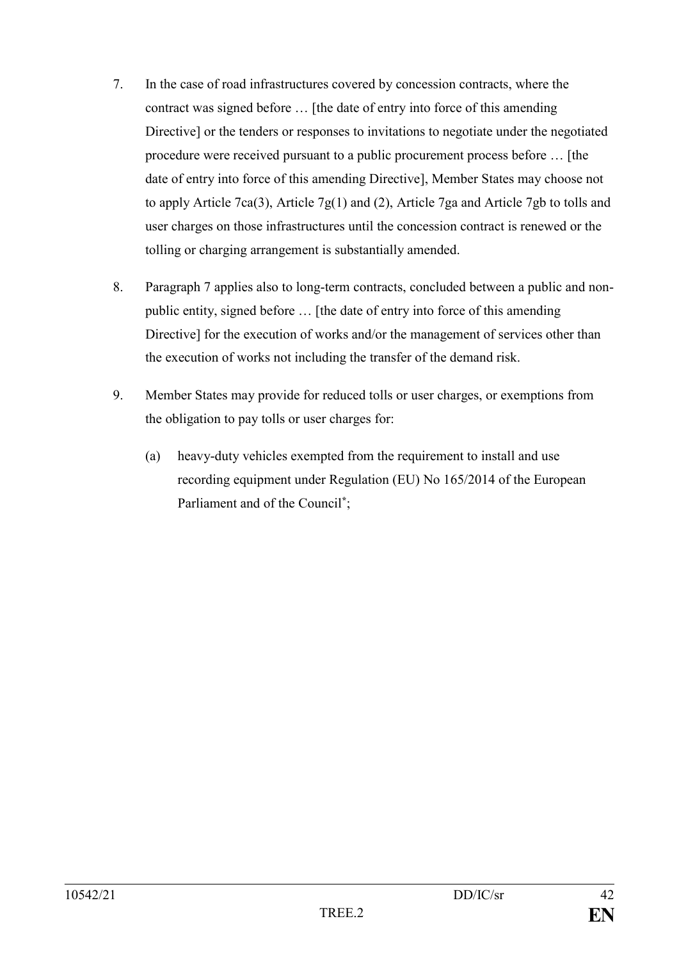- 7. In the case of road infrastructures covered by concession contracts, where the contract was signed before … [the date of entry into force of this amending Directive] or the tenders or responses to invitations to negotiate under the negotiated procedure were received pursuant to a public procurement process before … [the date of entry into force of this amending Directive], Member States may choose not to apply Article 7ca(3), Article 7g(1) and (2), Article 7ga and Article 7gb to tolls and user charges on those infrastructures until the concession contract is renewed or the tolling or charging arrangement is substantially amended.
- 8. Paragraph 7 applies also to long-term contracts, concluded between a public and nonpublic entity, signed before … [the date of entry into force of this amending Directive] for the execution of works and/or the management of services other than the execution of works not including the transfer of the demand risk.
- 9. Member States may provide for reduced tolls or user charges, or exemptions from the obligation to pay tolls or user charges for:
	- (a) heavy-duty vehicles exempted from the requirement to install and use recording equipment under Regulation (EU) No 165/2014 of the European Parliament and of the Council**\*** ;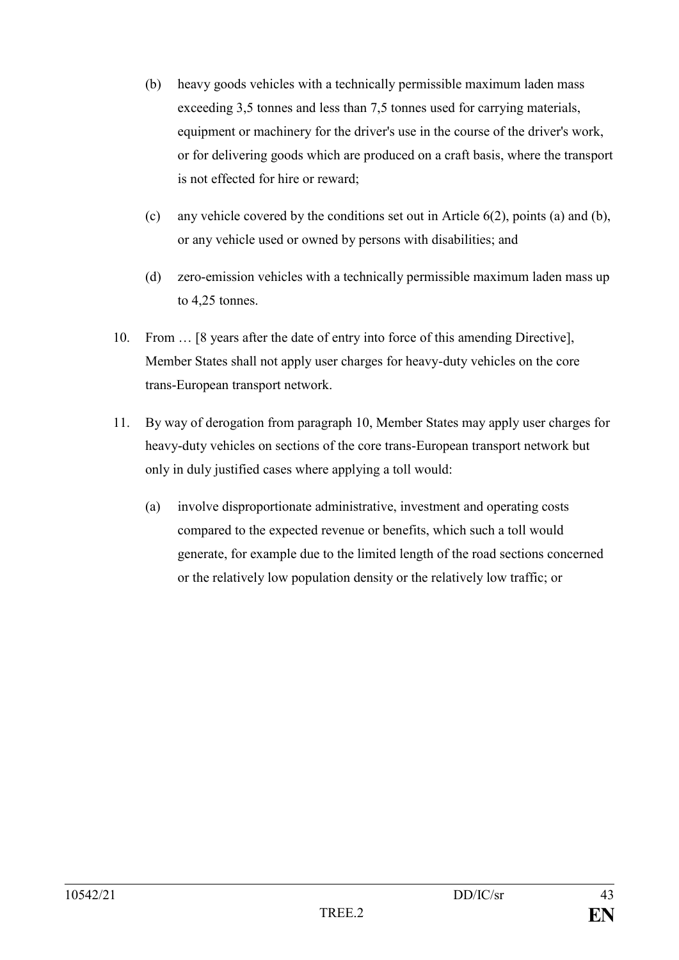- (b) heavy goods vehicles with a technically permissible maximum laden mass exceeding 3,5 tonnes and less than 7,5 tonnes used for carrying materials, equipment or machinery for the driver's use in the course of the driver's work, or for delivering goods which are produced on a craft basis, where the transport is not effected for hire or reward;
- (c) any vehicle covered by the conditions set out in Article 6(2), points (a) and (b), or any vehicle used or owned by persons with disabilities; and
- (d) zero-emission vehicles with a technically permissible maximum laden mass up to 4,25 tonnes.
- 10. From … [8 years after the date of entry into force of this amending Directive], Member States shall not apply user charges for heavy-duty vehicles on the core trans-European transport network.
- 11. By way of derogation from paragraph 10, Member States may apply user charges for heavy-duty vehicles on sections of the core trans-European transport network but only in duly justified cases where applying a toll would:
	- (a) involve disproportionate administrative, investment and operating costs compared to the expected revenue or benefits, which such a toll would generate, for example due to the limited length of the road sections concerned or the relatively low population density or the relatively low traffic; or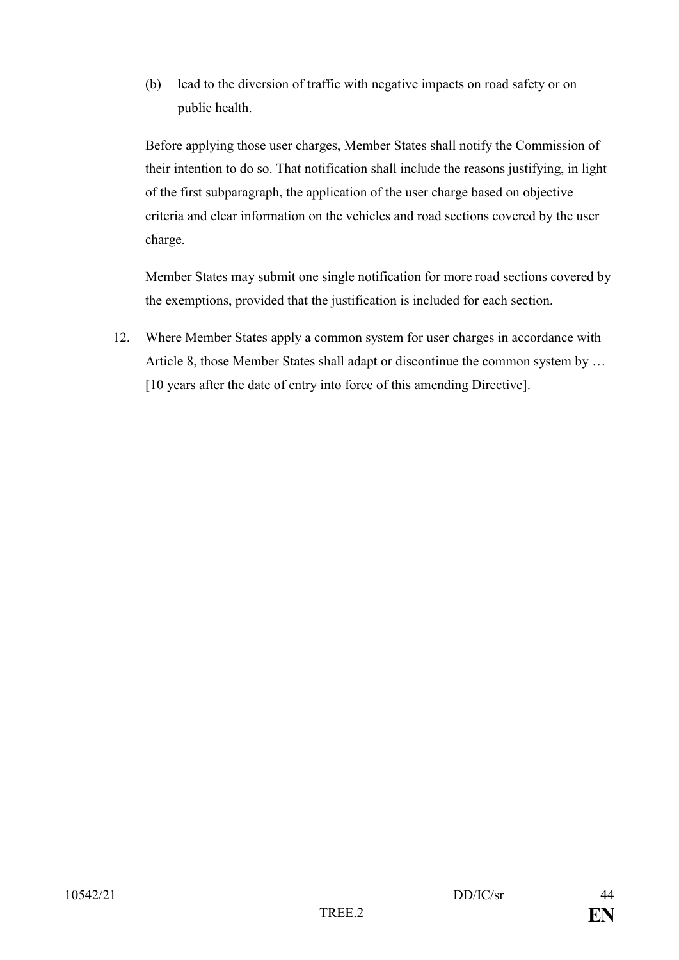(b) lead to the diversion of traffic with negative impacts on road safety or on public health.

Before applying those user charges, Member States shall notify the Commission of their intention to do so. That notification shall include the reasons justifying, in light of the first subparagraph, the application of the user charge based on objective criteria and clear information on the vehicles and road sections covered by the user charge.

Member States may submit one single notification for more road sections covered by the exemptions, provided that the justification is included for each section.

12. Where Member States apply a common system for user charges in accordance with Article 8, those Member States shall adapt or discontinue the common system by … [10 years after the date of entry into force of this amending Directive].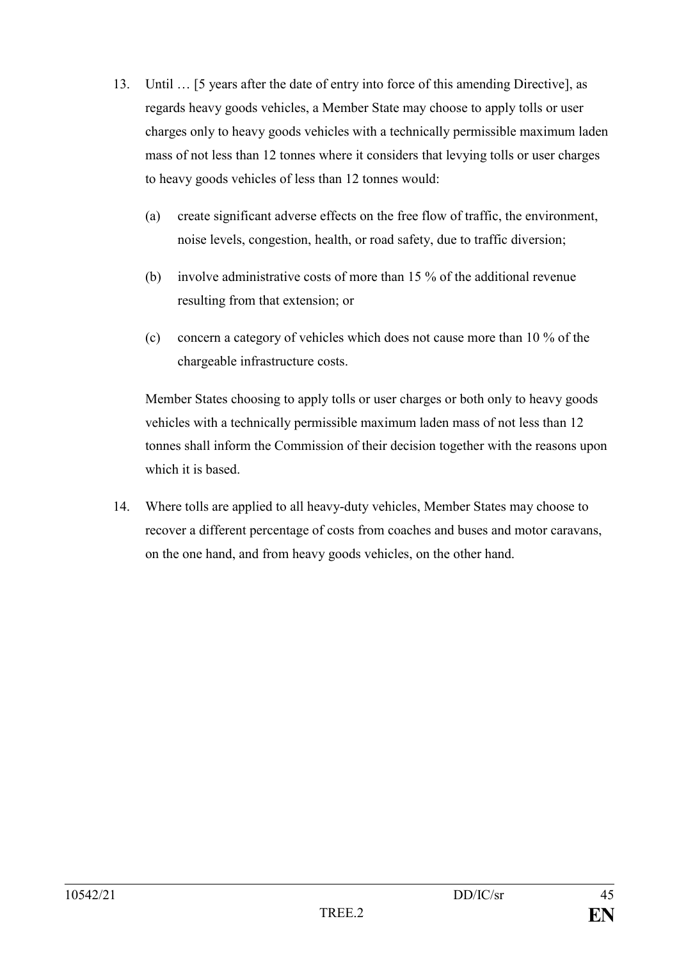- 13. Until … [5 years after the date of entry into force of this amending Directive], as regards heavy goods vehicles, a Member State may choose to apply tolls or user charges only to heavy goods vehicles with a technically permissible maximum laden mass of not less than 12 tonnes where it considers that levying tolls or user charges to heavy goods vehicles of less than 12 tonnes would:
	- (a) create significant adverse effects on the free flow of traffic, the environment, noise levels, congestion, health, or road safety, due to traffic diversion;
	- (b) involve administrative costs of more than 15 % of the additional revenue resulting from that extension; or
	- (c) concern a category of vehicles which does not cause more than 10 % of the chargeable infrastructure costs.

Member States choosing to apply tolls or user charges or both only to heavy goods vehicles with a technically permissible maximum laden mass of not less than 12 tonnes shall inform the Commission of their decision together with the reasons upon which it is based.

14. Where tolls are applied to all heavy-duty vehicles, Member States may choose to recover a different percentage of costs from coaches and buses and motor caravans, on the one hand, and from heavy goods vehicles, on the other hand.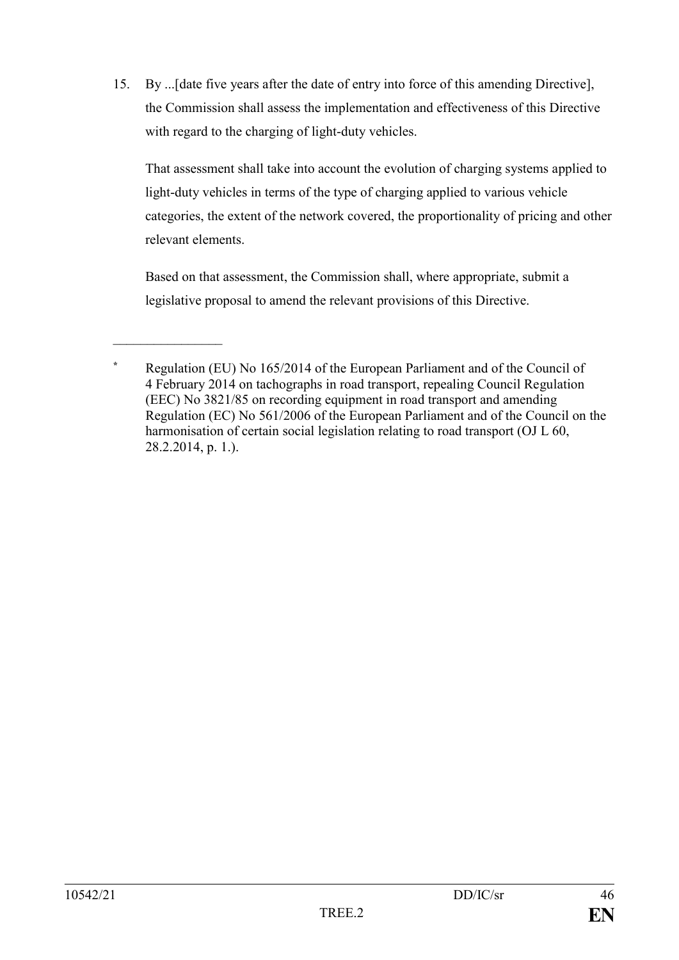15. By ...[date five years after the date of entry into force of this amending Directive], the Commission shall assess the implementation and effectiveness of this Directive with regard to the charging of light-duty vehicles.

That assessment shall take into account the evolution of charging systems applied to light-duty vehicles in terms of the type of charging applied to various vehicle categories, the extent of the network covered, the proportionality of pricing and other relevant elements.

Based on that assessment, the Commission shall, where appropriate, submit a legislative proposal to amend the relevant provisions of this Directive.

 $\frac{1}{2}$ 

**<sup>\*</sup>** Regulation (EU) No 165/2014 of the European Parliament and of the Council of 4 February 2014 on tachographs in road transport, repealing Council Regulation (EEC) No 3821/85 on recording equipment in road transport and amending Regulation (EC) No 561/2006 of the European Parliament and of the Council on the harmonisation of certain social legislation relating to road transport (OJ L 60, 28.2.2014, p. 1.).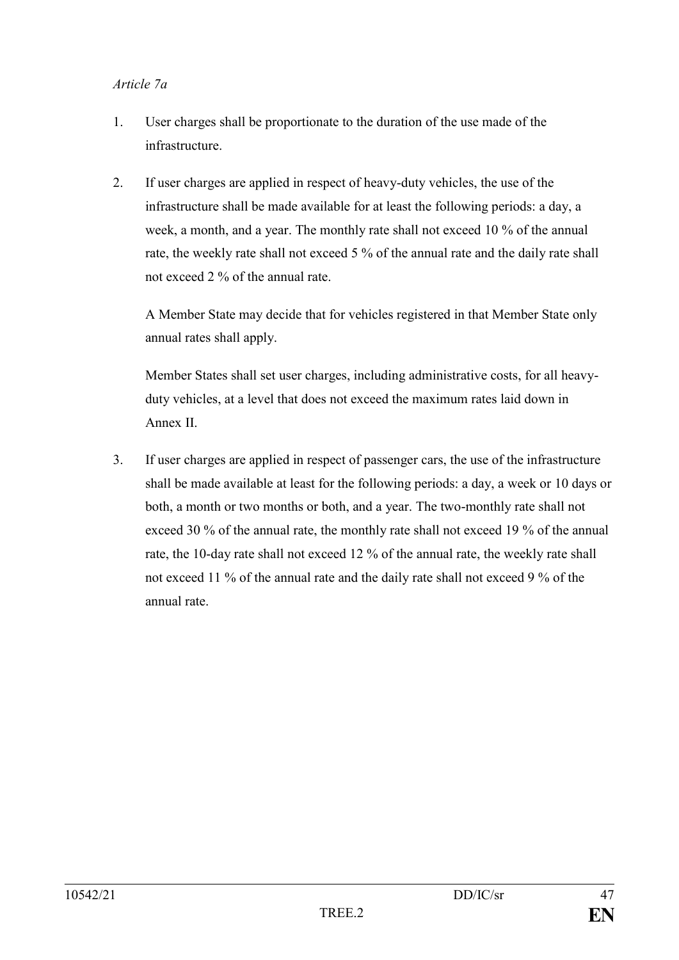#### *Article 7a*

- 1. User charges shall be proportionate to the duration of the use made of the infrastructure.
- 2. If user charges are applied in respect of heavy-duty vehicles, the use of the infrastructure shall be made available for at least the following periods: a day, a week, a month, and a year. The monthly rate shall not exceed 10 % of the annual rate, the weekly rate shall not exceed 5 % of the annual rate and the daily rate shall not exceed 2 % of the annual rate.

A Member State may decide that for vehicles registered in that Member State only annual rates shall apply.

Member States shall set user charges, including administrative costs, for all heavyduty vehicles, at a level that does not exceed the maximum rates laid down in Annex II.

3. If user charges are applied in respect of passenger cars, the use of the infrastructure shall be made available at least for the following periods: a day, a week or 10 days or both, a month or two months or both, and a year. The two-monthly rate shall not exceed 30 % of the annual rate, the monthly rate shall not exceed 19 % of the annual rate, the 10-day rate shall not exceed 12 % of the annual rate, the weekly rate shall not exceed 11 % of the annual rate and the daily rate shall not exceed 9 % of the annual rate.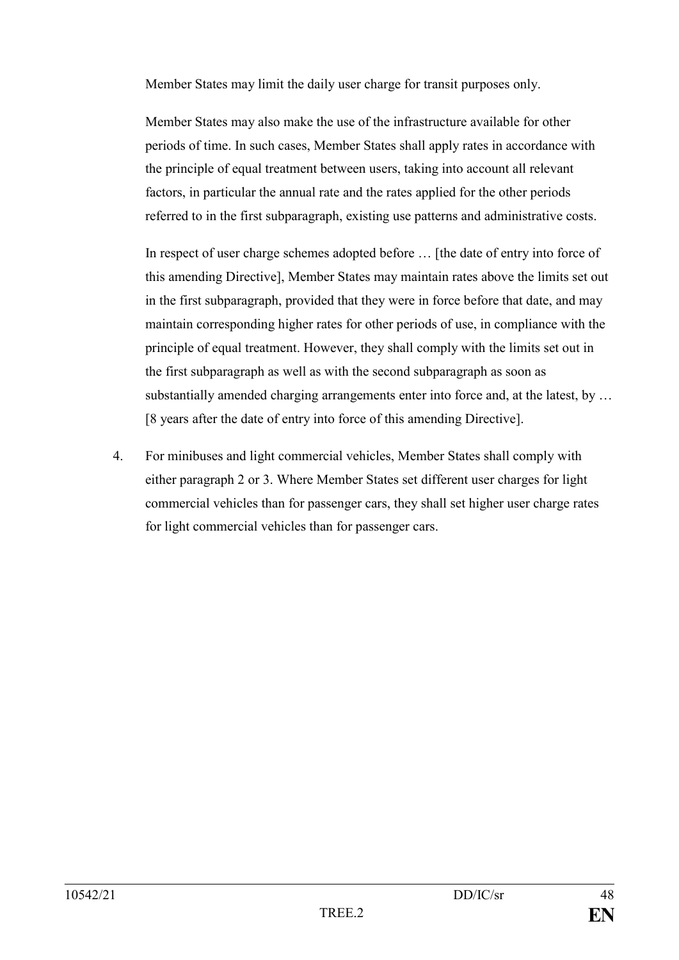Member States may limit the daily user charge for transit purposes only.

Member States may also make the use of the infrastructure available for other periods of time. In such cases, Member States shall apply rates in accordance with the principle of equal treatment between users, taking into account all relevant factors, in particular the annual rate and the rates applied for the other periods referred to in the first subparagraph, existing use patterns and administrative costs.

In respect of user charge schemes adopted before … [the date of entry into force of this amending Directive], Member States may maintain rates above the limits set out in the first subparagraph, provided that they were in force before that date, and may maintain corresponding higher rates for other periods of use, in compliance with the principle of equal treatment. However, they shall comply with the limits set out in the first subparagraph as well as with the second subparagraph as soon as substantially amended charging arrangements enter into force and, at the latest, by … [8 years after the date of entry into force of this amending Directive].

4. For minibuses and light commercial vehicles, Member States shall comply with either paragraph 2 or 3. Where Member States set different user charges for light commercial vehicles than for passenger cars, they shall set higher user charge rates for light commercial vehicles than for passenger cars.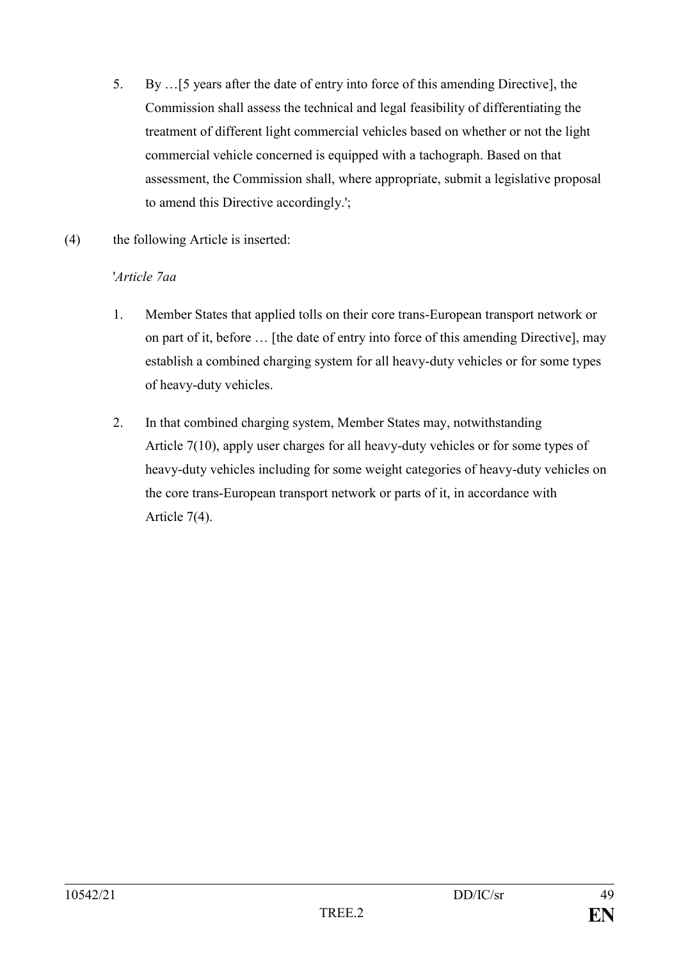- 5. By …[5 years after the date of entry into force of this amending Directive], the Commission shall assess the technical and legal feasibility of differentiating the treatment of different light commercial vehicles based on whether or not the light commercial vehicle concerned is equipped with a tachograph. Based on that assessment, the Commission shall, where appropriate, submit a legislative proposal to amend this Directive accordingly.';
- (4) the following Article is inserted:

# '*Article 7aa*

- 1. Member States that applied tolls on their core trans-European transport network or on part of it, before … [the date of entry into force of this amending Directive], may establish a combined charging system for all heavy-duty vehicles or for some types of heavy-duty vehicles.
- 2. In that combined charging system, Member States may, notwithstanding Article 7(10), apply user charges for all heavy-duty vehicles or for some types of heavy-duty vehicles including for some weight categories of heavy-duty vehicles on the core trans-European transport network or parts of it, in accordance with Article 7(4).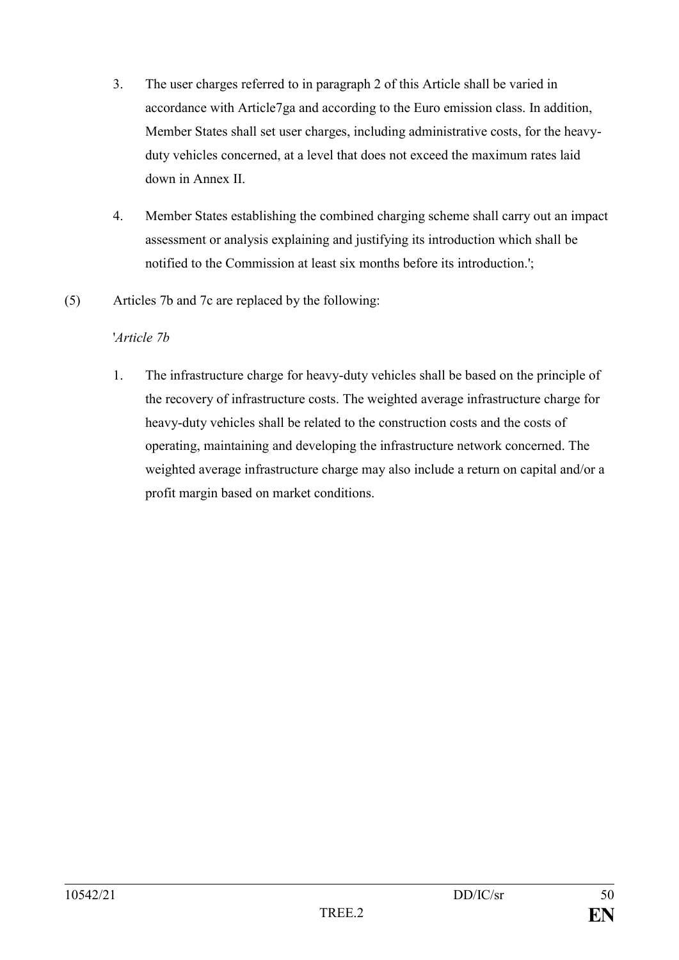- 3. The user charges referred to in paragraph 2 of this Article shall be varied in accordance with Article7ga and according to the Euro emission class. In addition, Member States shall set user charges, including administrative costs, for the heavyduty vehicles concerned, at a level that does not exceed the maximum rates laid down in Annex II.
- 4. Member States establishing the combined charging scheme shall carry out an impact assessment or analysis explaining and justifying its introduction which shall be notified to the Commission at least six months before its introduction.';
- (5) Articles 7b and 7c are replaced by the following:

# '*Article 7b*

1. The infrastructure charge for heavy-duty vehicles shall be based on the principle of the recovery of infrastructure costs. The weighted average infrastructure charge for heavy-duty vehicles shall be related to the construction costs and the costs of operating, maintaining and developing the infrastructure network concerned. The weighted average infrastructure charge may also include a return on capital and/or a profit margin based on market conditions.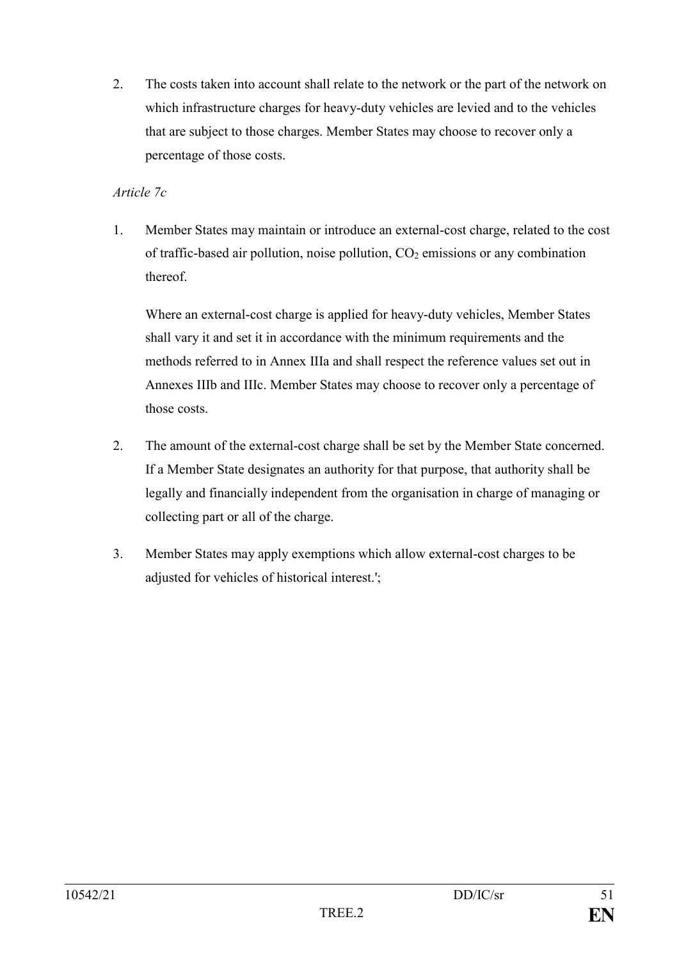2. The costs taken into account shall relate to the network or the part of the network on which infrastructure charges for heavy-duty vehicles are levied and to the vehicles that are subject to those charges. Member States may choose to recover only a percentage of those costs.

# *Article 7c*

1. Member States may maintain or introduce an external-cost charge, related to the cost of traffic-based air pollution, noise pollution,  $CO<sub>2</sub>$  emissions or any combination thereof.

Where an external-cost charge is applied for heavy-duty vehicles, Member States shall vary it and set it in accordance with the minimum requirements and the methods referred to in Annex IIIa and shall respect the reference values set out in Annexes IIIb and IIIc. Member States may choose to recover only a percentage of those costs.

- 2. The amount of the external-cost charge shall be set by the Member State concerned. If a Member State designates an authority for that purpose, that authority shall be legally and financially independent from the organisation in charge of managing or collecting part or all of the charge.
- 3. Member States may apply exemptions which allow external-cost charges to be adjusted for vehicles of historical interest.';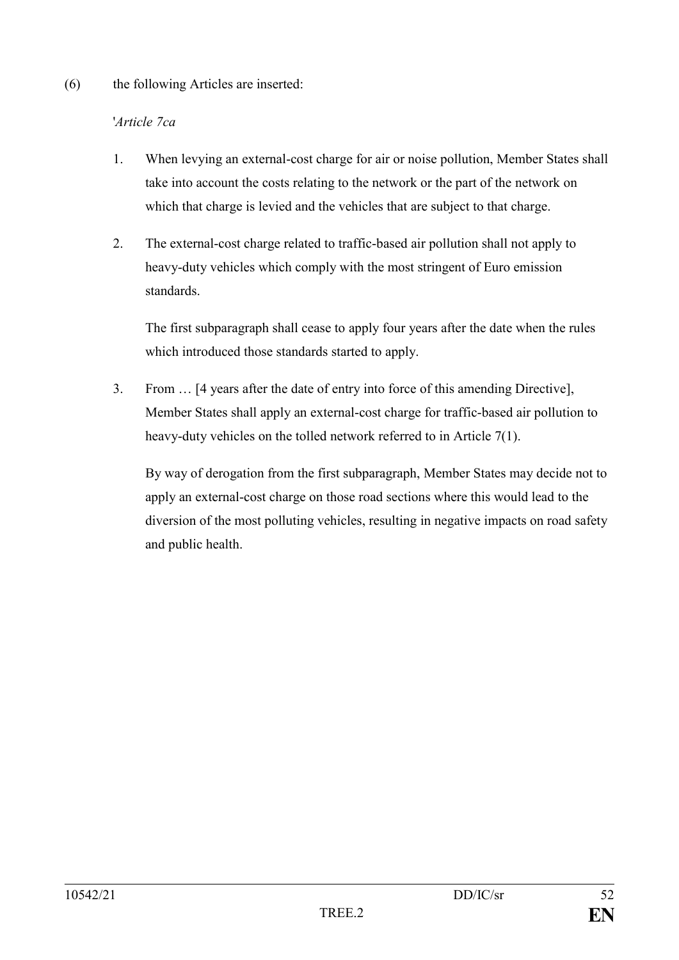#### (6) the following Articles are inserted:

# '*Article 7ca*

- 1. When levying an external-cost charge for air or noise pollution, Member States shall take into account the costs relating to the network or the part of the network on which that charge is levied and the vehicles that are subject to that charge.
- 2. The external-cost charge related to traffic-based air pollution shall not apply to heavy-duty vehicles which comply with the most stringent of Euro emission standards.

The first subparagraph shall cease to apply four years after the date when the rules which introduced those standards started to apply.

3. From … [4 years after the date of entry into force of this amending Directive], Member States shall apply an external-cost charge for traffic-based air pollution to heavy-duty vehicles on the tolled network referred to in Article 7(1).

By way of derogation from the first subparagraph, Member States may decide not to apply an external-cost charge on those road sections where this would lead to the diversion of the most polluting vehicles, resulting in negative impacts on road safety and public health.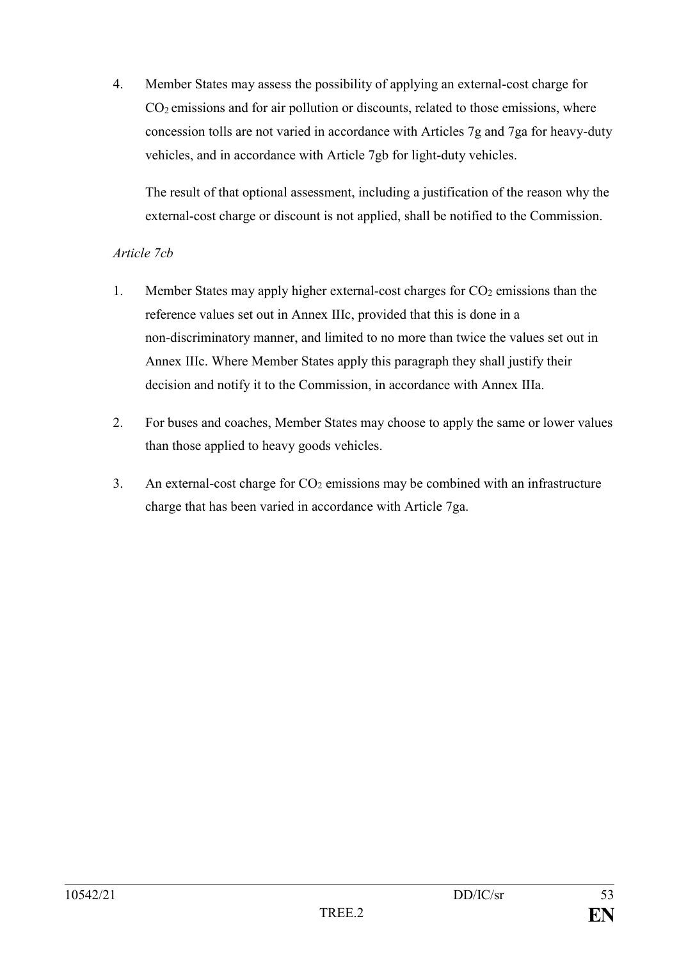4. Member States may assess the possibility of applying an external-cost charge for  $CO<sub>2</sub>$  emissions and for air pollution or discounts, related to those emissions, where concession tolls are not varied in accordance with Articles 7g and 7ga for heavy-duty vehicles, and in accordance with Article 7gb for light-duty vehicles.

The result of that optional assessment, including a justification of the reason why the external-cost charge or discount is not applied, shall be notified to the Commission.

# *Article 7cb*

- 1. Member States may apply higher external-cost charges for CO<sup>2</sup> emissions than the reference values set out in Annex IIIc, provided that this is done in a non-discriminatory manner, and limited to no more than twice the values set out in Annex IIIc. Where Member States apply this paragraph they shall justify their decision and notify it to the Commission, in accordance with Annex IIIa.
- 2. For buses and coaches, Member States may choose to apply the same or lower values than those applied to heavy goods vehicles.
- 3. An external-cost charge for  $CO<sub>2</sub>$  emissions may be combined with an infrastructure charge that has been varied in accordance with Article 7ga.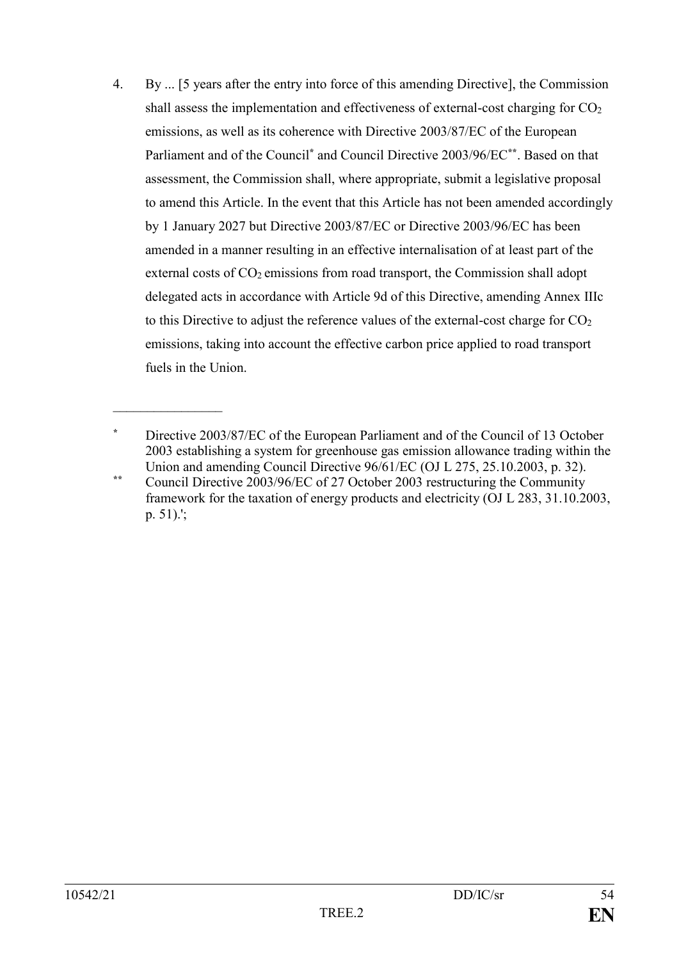4. By ... [5 years after the entry into force of this amending Directive], the Commission shall assess the implementation and effectiveness of external-cost charging for  $CO<sub>2</sub>$ emissions, as well as its coherence with Directive 2003/87/EC of the European Parliament and of the Council**\*** and Council Directive 2003/96/EC**\*\***. Based on that assessment, the Commission shall, where appropriate, submit a legislative proposal to amend this Article. In the event that this Article has not been amended accordingly by 1 January 2027 but Directive 2003/87/EC or Directive 2003/96/EC has been amended in a manner resulting in an effective internalisation of at least part of the external costs of CO<sub>2</sub> emissions from road transport, the Commission shall adopt delegated acts in accordance with Article 9d of this Directive, amending Annex IIIc to this Directive to adjust the reference values of the external-cost charge for  $CO<sub>2</sub>$ emissions, taking into account the effective carbon price applied to road transport fuels in the Union.

 $\frac{1}{2}$ 

**<sup>\*</sup>** Directive 2003/87/EC of the European Parliament and of the Council of 13 October 2003 establishing a system for greenhouse gas emission allowance trading within the Union and amending Council Directive 96/61/EC (OJ L 275, 25.10.2003, p. 32).

**<sup>\*\*</sup>** Council Directive 2003/96/EC of 27 October 2003 restructuring the Community framework for the taxation of energy products and electricity (OJ L 283, 31.10.2003, p. 51).';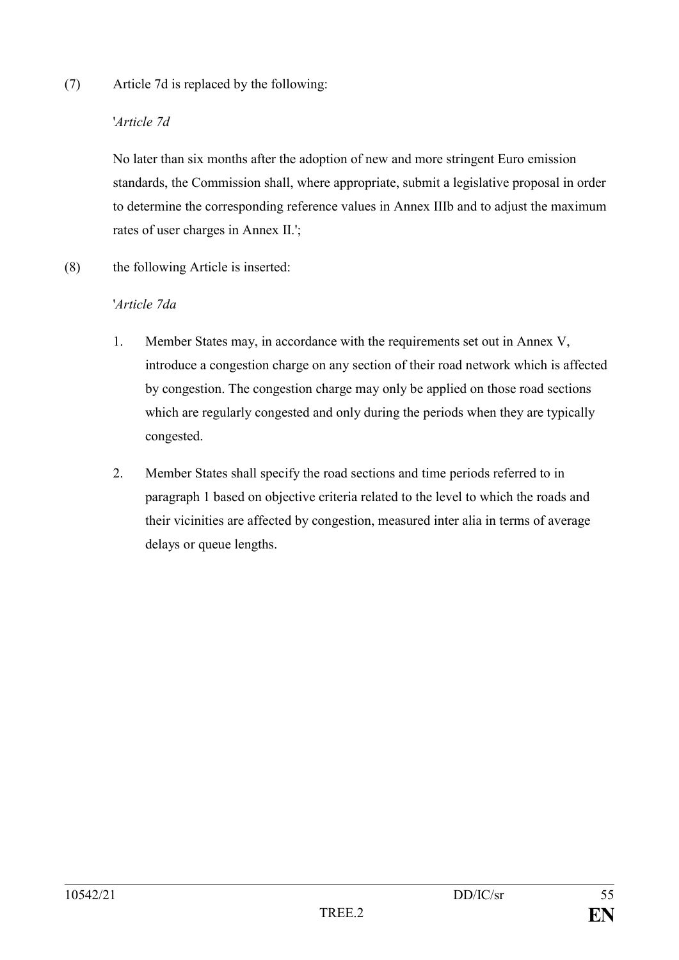### (7) Article 7d is replaced by the following:

# '*Article 7d*

No later than six months after the adoption of new and more stringent Euro emission standards, the Commission shall, where appropriate, submit a legislative proposal in order to determine the corresponding reference values in Annex IIIb and to adjust the maximum rates of user charges in Annex II.';

(8) the following Article is inserted:

# '*Article 7da*

- 1. Member States may, in accordance with the requirements set out in Annex V, introduce a congestion charge on any section of their road network which is affected by congestion. The congestion charge may only be applied on those road sections which are regularly congested and only during the periods when they are typically congested.
- 2. Member States shall specify the road sections and time periods referred to in paragraph 1 based on objective criteria related to the level to which the roads and their vicinities are affected by congestion, measured inter alia in terms of average delays or queue lengths.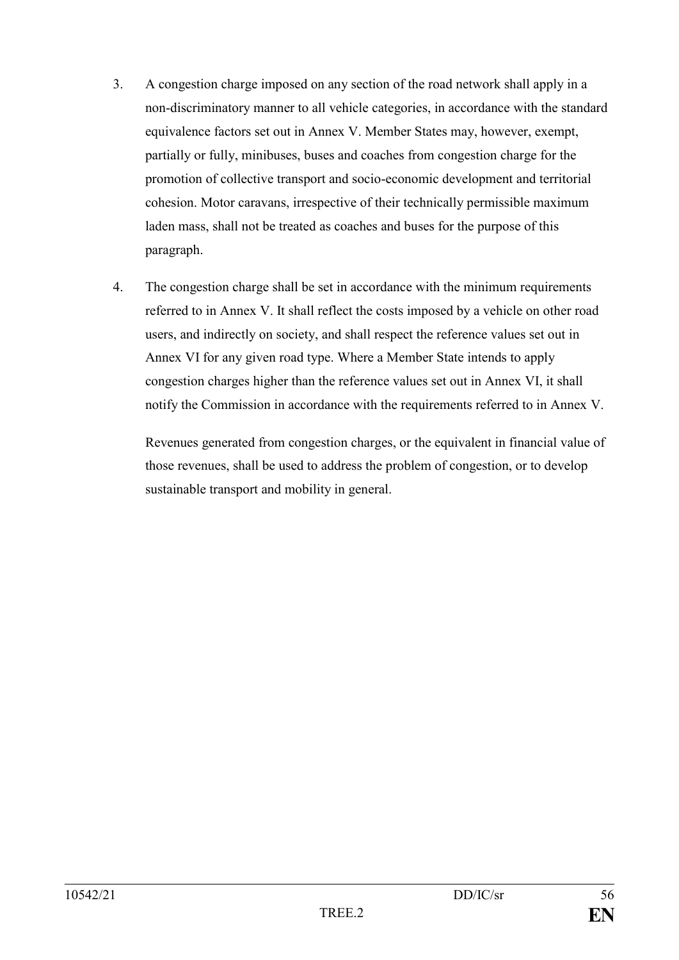- 3. A congestion charge imposed on any section of the road network shall apply in a non-discriminatory manner to all vehicle categories, in accordance with the standard equivalence factors set out in Annex V. Member States may, however, exempt, partially or fully, minibuses, buses and coaches from congestion charge for the promotion of collective transport and socio-economic development and territorial cohesion. Motor caravans, irrespective of their technically permissible maximum laden mass, shall not be treated as coaches and buses for the purpose of this paragraph.
- 4. The congestion charge shall be set in accordance with the minimum requirements referred to in Annex V. It shall reflect the costs imposed by a vehicle on other road users, and indirectly on society, and shall respect the reference values set out in Annex VI for any given road type. Where a Member State intends to apply congestion charges higher than the reference values set out in Annex VI, it shall notify the Commission in accordance with the requirements referred to in Annex V.

Revenues generated from congestion charges, or the equivalent in financial value of those revenues, shall be used to address the problem of congestion, or to develop sustainable transport and mobility in general.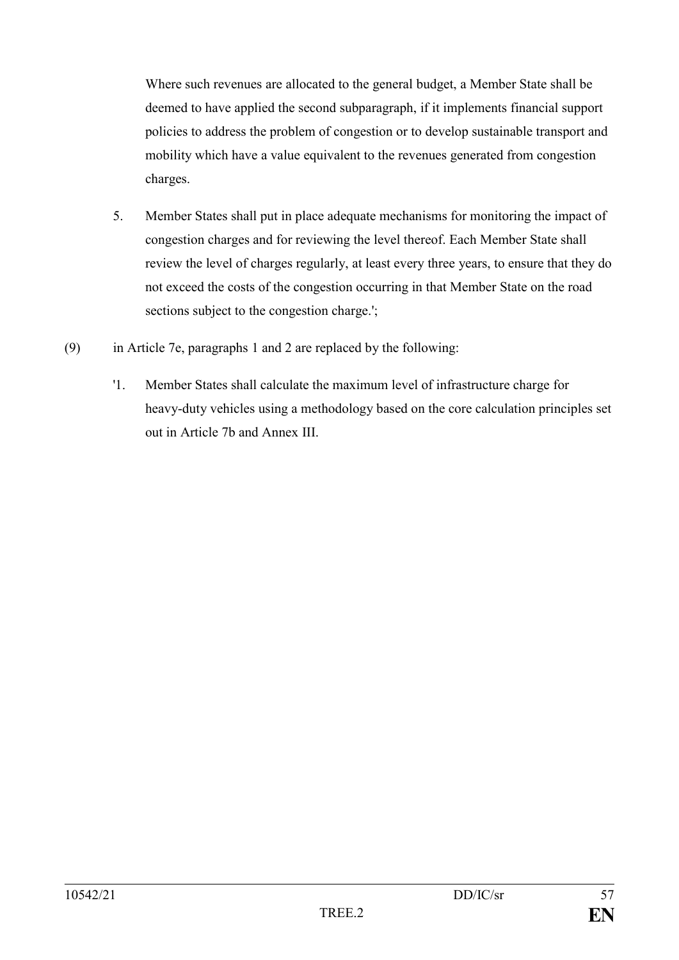Where such revenues are allocated to the general budget, a Member State shall be deemed to have applied the second subparagraph, if it implements financial support policies to address the problem of congestion or to develop sustainable transport and mobility which have a value equivalent to the revenues generated from congestion charges.

- 5. Member States shall put in place adequate mechanisms for monitoring the impact of congestion charges and for reviewing the level thereof. Each Member State shall review the level of charges regularly, at least every three years, to ensure that they do not exceed the costs of the congestion occurring in that Member State on the road sections subject to the congestion charge.';
- (9) in Article 7e, paragraphs 1 and 2 are replaced by the following:
	- '1. Member States shall calculate the maximum level of infrastructure charge for heavy-duty vehicles using a methodology based on the core calculation principles set out in Article 7b and Annex III.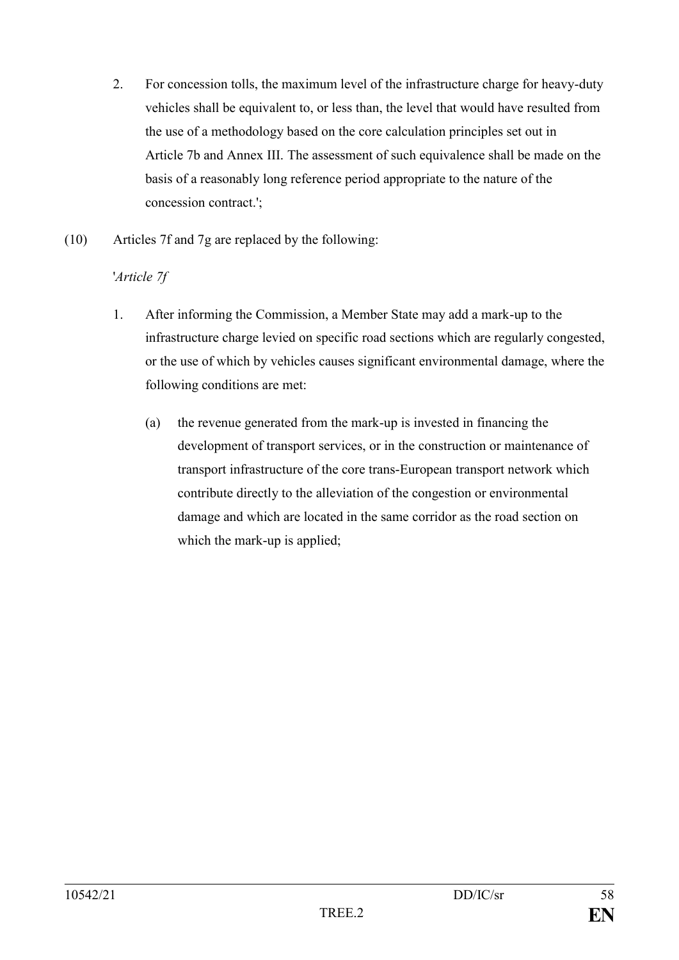- 2. For concession tolls, the maximum level of the infrastructure charge for heavy-duty vehicles shall be equivalent to, or less than, the level that would have resulted from the use of a methodology based on the core calculation principles set out in Article 7b and Annex III. The assessment of such equivalence shall be made on the basis of a reasonably long reference period appropriate to the nature of the concession contract.';
- (10) Articles 7f and 7g are replaced by the following:

# '*Article 7f*

- 1. After informing the Commission, a Member State may add a mark-up to the infrastructure charge levied on specific road sections which are regularly congested, or the use of which by vehicles causes significant environmental damage, where the following conditions are met:
	- (a) the revenue generated from the mark-up is invested in financing the development of transport services, or in the construction or maintenance of transport infrastructure of the core trans-European transport network which contribute directly to the alleviation of the congestion or environmental damage and which are located in the same corridor as the road section on which the mark-up is applied;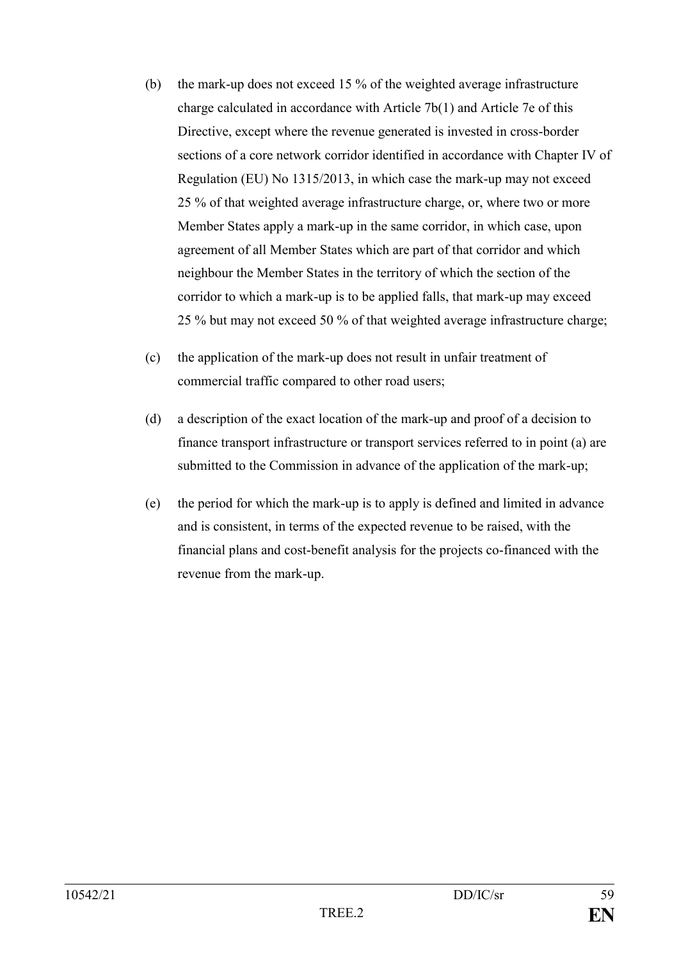- (b) the mark-up does not exceed 15 % of the weighted average infrastructure charge calculated in accordance with Article 7b(1) and Article 7e of this Directive, except where the revenue generated is invested in cross-border sections of a core network corridor identified in accordance with Chapter IV of Regulation (EU) No 1315/2013, in which case the mark-up may not exceed 25 % of that weighted average infrastructure charge, or, where two or more Member States apply a mark-up in the same corridor, in which case, upon agreement of all Member States which are part of that corridor and which neighbour the Member States in the territory of which the section of the corridor to which a mark-up is to be applied falls, that mark-up may exceed 25 % but may not exceed 50 % of that weighted average infrastructure charge;
- (c) the application of the mark-up does not result in unfair treatment of commercial traffic compared to other road users;
- (d) a description of the exact location of the mark-up and proof of a decision to finance transport infrastructure or transport services referred to in point (a) are submitted to the Commission in advance of the application of the mark-up;
- (e) the period for which the mark-up is to apply is defined and limited in advance and is consistent, in terms of the expected revenue to be raised, with the financial plans and cost-benefit analysis for the projects co-financed with the revenue from the mark-up.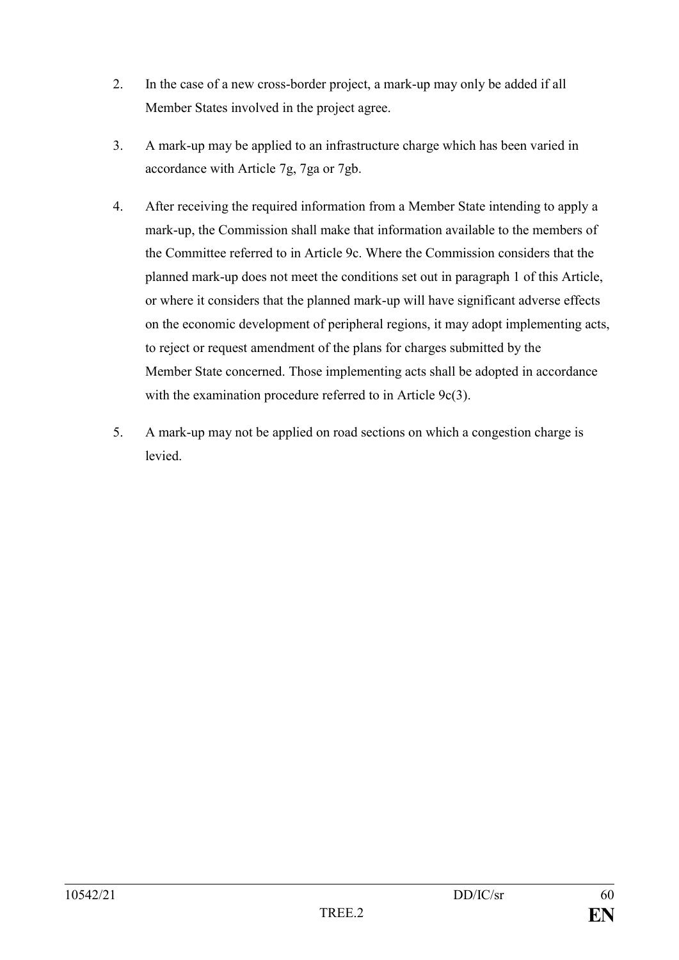- 2. In the case of a new cross-border project, a mark-up may only be added if all Member States involved in the project agree.
- 3. A mark-up may be applied to an infrastructure charge which has been varied in accordance with Article 7g, 7ga or 7gb.
- 4. After receiving the required information from a Member State intending to apply a mark-up, the Commission shall make that information available to the members of the Committee referred to in Article 9c. Where the Commission considers that the planned mark-up does not meet the conditions set out in paragraph 1 of this Article, or where it considers that the planned mark-up will have significant adverse effects on the economic development of peripheral regions, it may adopt implementing acts, to reject or request amendment of the plans for charges submitted by the Member State concerned. Those implementing acts shall be adopted in accordance with the examination procedure referred to in Article 9c(3).
- 5. A mark-up may not be applied on road sections on which a congestion charge is levied.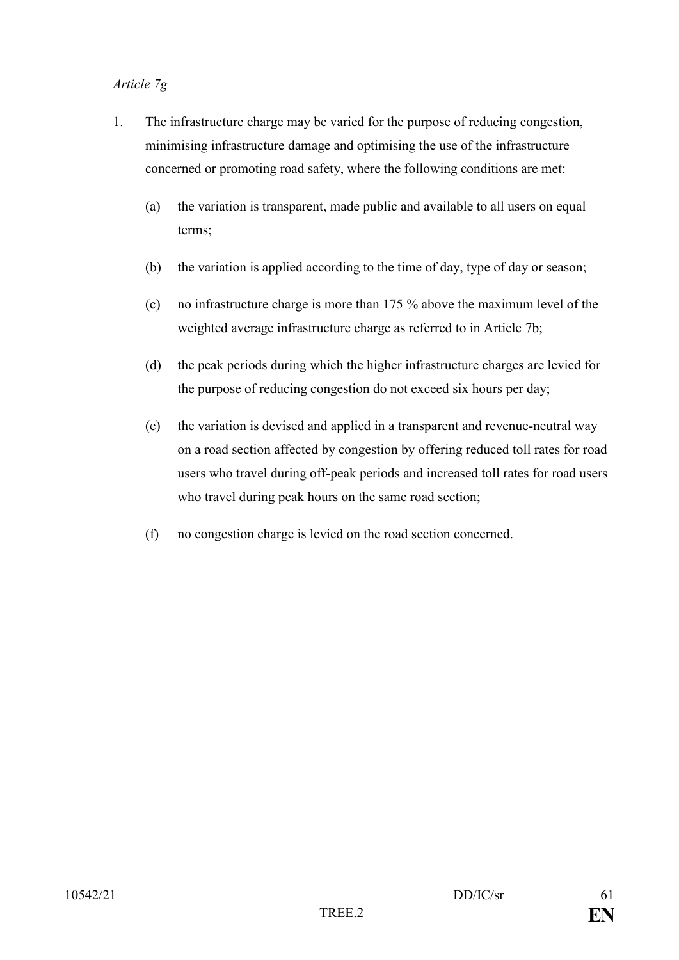# *Article 7g*

- 1. The infrastructure charge may be varied for the purpose of reducing congestion, minimising infrastructure damage and optimising the use of the infrastructure concerned or promoting road safety, where the following conditions are met:
	- (a) the variation is transparent, made public and available to all users on equal terms;
	- (b) the variation is applied according to the time of day, type of day or season;
	- (c) no infrastructure charge is more than 175 % above the maximum level of the weighted average infrastructure charge as referred to in Article 7b;
	- (d) the peak periods during which the higher infrastructure charges are levied for the purpose of reducing congestion do not exceed six hours per day;
	- (e) the variation is devised and applied in a transparent and revenue-neutral way on a road section affected by congestion by offering reduced toll rates for road users who travel during off-peak periods and increased toll rates for road users who travel during peak hours on the same road section;
	- (f) no congestion charge is levied on the road section concerned.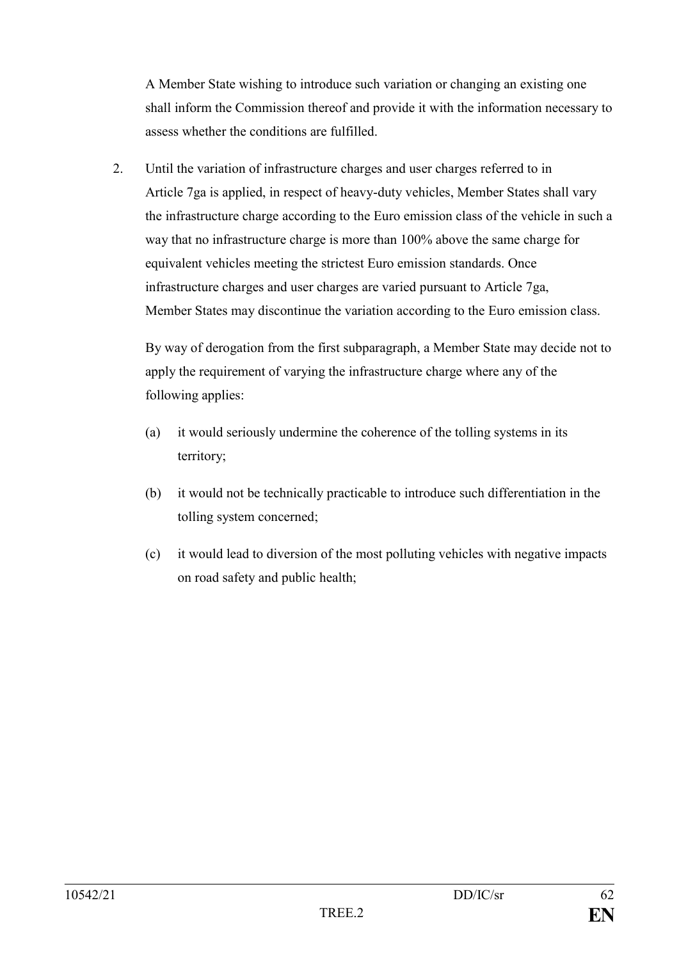A Member State wishing to introduce such variation or changing an existing one shall inform the Commission thereof and provide it with the information necessary to assess whether the conditions are fulfilled.

2. Until the variation of infrastructure charges and user charges referred to in Article 7ga is applied, in respect of heavy-duty vehicles, Member States shall vary the infrastructure charge according to the Euro emission class of the vehicle in such a way that no infrastructure charge is more than 100% above the same charge for equivalent vehicles meeting the strictest Euro emission standards. Once infrastructure charges and user charges are varied pursuant to Article 7ga, Member States may discontinue the variation according to the Euro emission class.

By way of derogation from the first subparagraph, a Member State may decide not to apply the requirement of varying the infrastructure charge where any of the following applies:

- (a) it would seriously undermine the coherence of the tolling systems in its territory;
- (b) it would not be technically practicable to introduce such differentiation in the tolling system concerned;
- (c) it would lead to diversion of the most polluting vehicles with negative impacts on road safety and public health;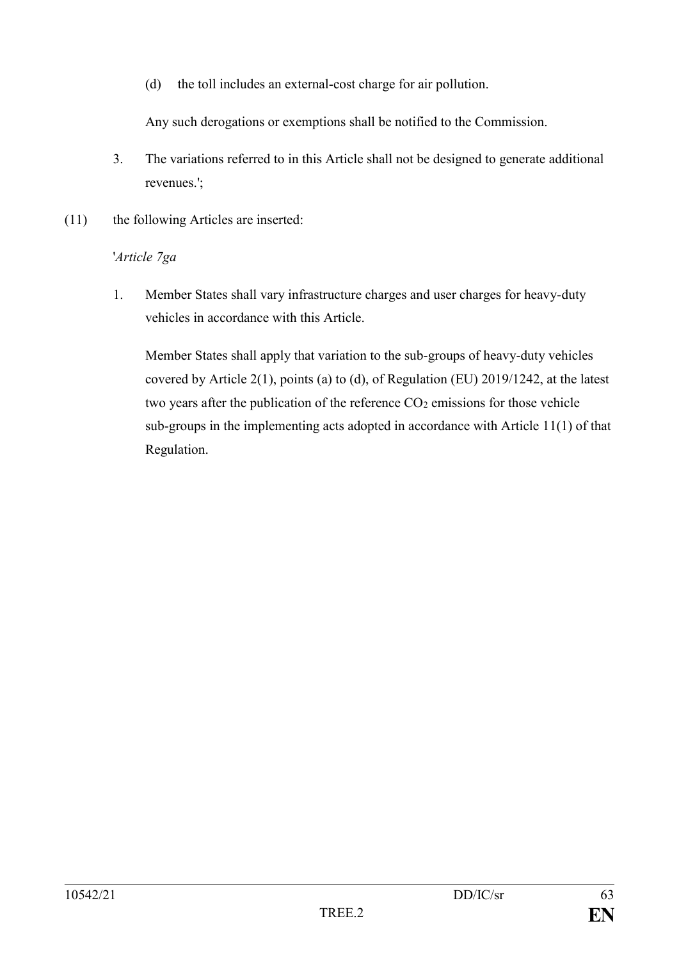(d) the toll includes an external-cost charge for air pollution.

Any such derogations or exemptions shall be notified to the Commission.

- 3. The variations referred to in this Article shall not be designed to generate additional revenues.';
- (11) the following Articles are inserted:

# '*Article 7ga*

1. Member States shall vary infrastructure charges and user charges for heavy-duty vehicles in accordance with this Article.

Member States shall apply that variation to the sub-groups of heavy-duty vehicles covered by Article 2(1), points (a) to (d), of Regulation (EU) 2019/1242, at the latest two years after the publication of the reference  $CO<sub>2</sub>$  emissions for those vehicle sub-groups in the implementing acts adopted in accordance with Article 11(1) of that Regulation.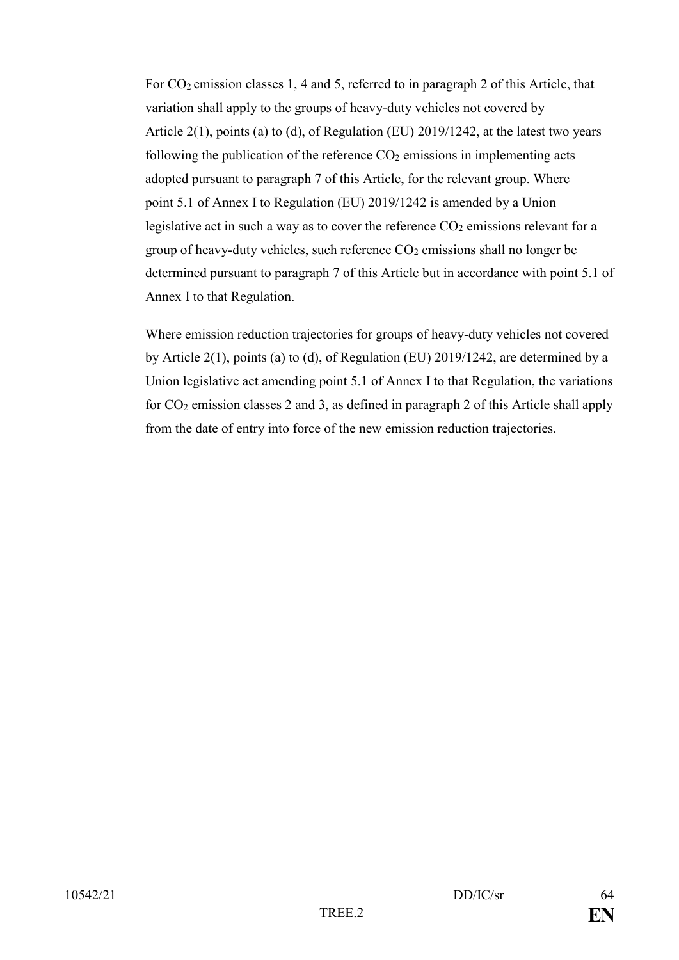For CO<sub>2</sub> emission classes 1, 4 and 5, referred to in paragraph 2 of this Article, that variation shall apply to the groups of heavy-duty vehicles not covered by Article 2(1), points (a) to (d), of Regulation (EU) 2019/1242, at the latest two years following the publication of the reference  $CO<sub>2</sub>$  emissions in implementing acts adopted pursuant to paragraph 7 of this Article, for the relevant group. Where point 5.1 of Annex I to Regulation (EU) 2019/1242 is amended by a Union legislative act in such a way as to cover the reference  $CO<sub>2</sub>$  emissions relevant for a group of heavy-duty vehicles, such reference  $CO<sub>2</sub>$  emissions shall no longer be determined pursuant to paragraph 7 of this Article but in accordance with point 5.1 of Annex I to that Regulation.

Where emission reduction trajectories for groups of heavy-duty vehicles not covered by Article 2(1), points (a) to (d), of Regulation (EU) 2019/1242, are determined by a Union legislative act amending point 5.1 of Annex I to that Regulation, the variations for CO<sup>2</sup> emission classes 2 and 3, as defined in paragraph 2 of this Article shall apply from the date of entry into force of the new emission reduction trajectories.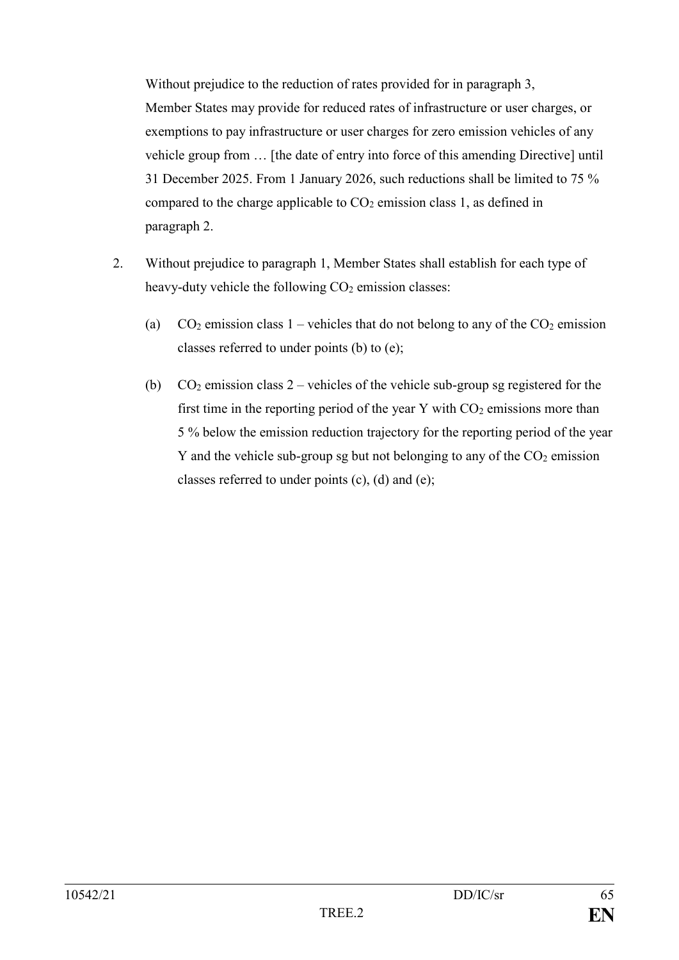Without prejudice to the reduction of rates provided for in paragraph 3, Member States may provide for reduced rates of infrastructure or user charges, or exemptions to pay infrastructure or user charges for zero emission vehicles of any vehicle group from … [the date of entry into force of this amending Directive] until 31 December 2025. From 1 January 2026, such reductions shall be limited to 75 % compared to the charge applicable to  $CO<sub>2</sub>$  emission class 1, as defined in paragraph 2.

- 2. Without prejudice to paragraph 1, Member States shall establish for each type of heavy-duty vehicle the following  $CO<sub>2</sub>$  emission classes:
	- (a)  $CO_2$  emission class 1 vehicles that do not belong to any of the  $CO_2$  emission classes referred to under points (b) to (e);
	- (b)  $CO<sub>2</sub>$  emission class 2 vehicles of the vehicle sub-group sg registered for the first time in the reporting period of the year Y with  $CO<sub>2</sub>$  emissions more than 5 % below the emission reduction trajectory for the reporting period of the year Y and the vehicle sub-group sg but not belonging to any of the  $CO<sub>2</sub>$  emission classes referred to under points (c), (d) and (e);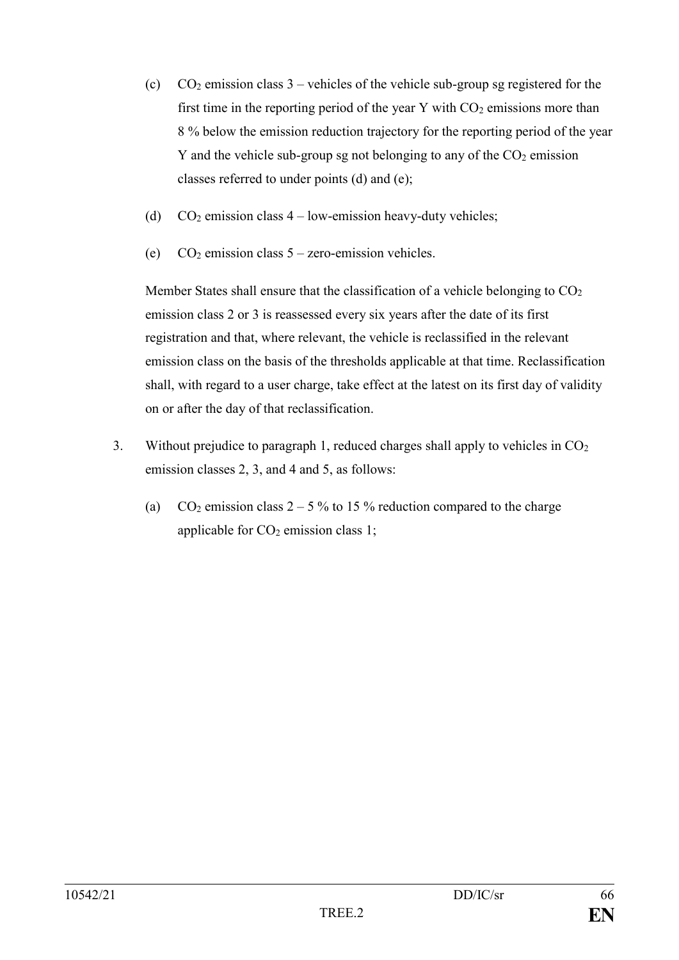- (c)  $CO<sub>2</sub>$  emission class 3 vehicles of the vehicle sub-group sg registered for the first time in the reporting period of the year Y with  $CO<sub>2</sub>$  emissions more than 8 % below the emission reduction trajectory for the reporting period of the year Y and the vehicle sub-group sg not belonging to any of the  $CO<sub>2</sub>$  emission classes referred to under points (d) and (e);
- (d)  $CO<sub>2</sub> emission class 4 low-emission heavy-duty vehicles;$
- (e)  $CO<sub>2</sub>$  emission class  $5$  zero-emission vehicles.

Member States shall ensure that the classification of a vehicle belonging to  $CO<sub>2</sub>$ emission class 2 or 3 is reassessed every six years after the date of its first registration and that, where relevant, the vehicle is reclassified in the relevant emission class on the basis of the thresholds applicable at that time. Reclassification shall, with regard to a user charge, take effect at the latest on its first day of validity on or after the day of that reclassification.

- 3. Without prejudice to paragraph 1, reduced charges shall apply to vehicles in CO<sup>2</sup> emission classes 2, 3, and 4 and 5, as follows:
	- (a)  $CO_2$  emission class  $2 5\%$  to 15% reduction compared to the charge applicable for  $CO<sub>2</sub>$  emission class 1;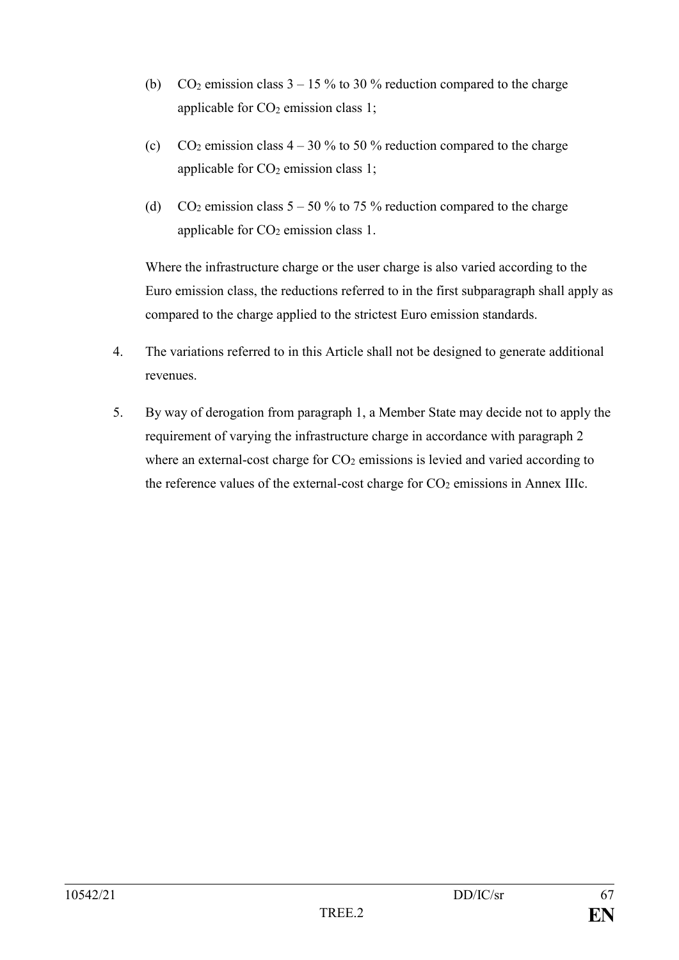- (b)  $CO_2$  emission class  $3 15\%$  to 30 % reduction compared to the charge applicable for  $CO<sub>2</sub>$  emission class 1;
- (c)  $CO_2$  emission class  $4 30\%$  to 50 % reduction compared to the charge applicable for  $CO<sub>2</sub>$  emission class 1;
- (d) CO<sub>2</sub> emission class  $5 50\%$  to 75 % reduction compared to the charge applicable for  $CO<sub>2</sub>$  emission class 1.

Where the infrastructure charge or the user charge is also varied according to the Euro emission class, the reductions referred to in the first subparagraph shall apply as compared to the charge applied to the strictest Euro emission standards.

- 4. The variations referred to in this Article shall not be designed to generate additional revenues.
- 5. By way of derogation from paragraph 1, a Member State may decide not to apply the requirement of varying the infrastructure charge in accordance with paragraph 2 where an external-cost charge for  $CO<sub>2</sub>$  emissions is levied and varied according to the reference values of the external-cost charge for  $CO<sub>2</sub>$  emissions in Annex IIIc.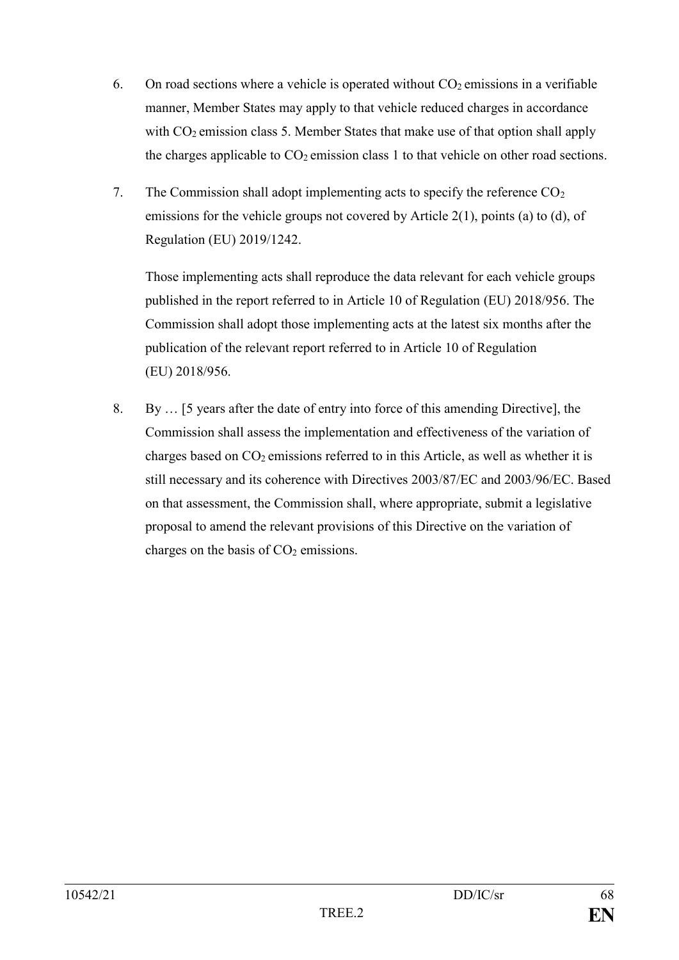- 6. On road sections where a vehicle is operated without  $CO<sub>2</sub>$  emissions in a verifiable manner, Member States may apply to that vehicle reduced charges in accordance with CO<sub>2</sub> emission class 5. Member States that make use of that option shall apply the charges applicable to  $CO<sub>2</sub>$  emission class 1 to that vehicle on other road sections.
- 7. The Commission shall adopt implementing acts to specify the reference  $CO<sub>2</sub>$ emissions for the vehicle groups not covered by Article 2(1), points (a) to (d), of Regulation (EU) 2019/1242.

Those implementing acts shall reproduce the data relevant for each vehicle groups published in the report referred to in Article 10 of Regulation (EU) 2018/956. The Commission shall adopt those implementing acts at the latest six months after the publication of the relevant report referred to in Article 10 of Regulation (EU) 2018/956.

8. By … [5 years after the date of entry into force of this amending Directive], the Commission shall assess the implementation and effectiveness of the variation of charges based on  $CO<sub>2</sub>$  emissions referred to in this Article, as well as whether it is still necessary and its coherence with Directives 2003/87/EC and 2003/96/EC. Based on that assessment, the Commission shall, where appropriate, submit a legislative proposal to amend the relevant provisions of this Directive on the variation of charges on the basis of  $CO<sub>2</sub>$  emissions.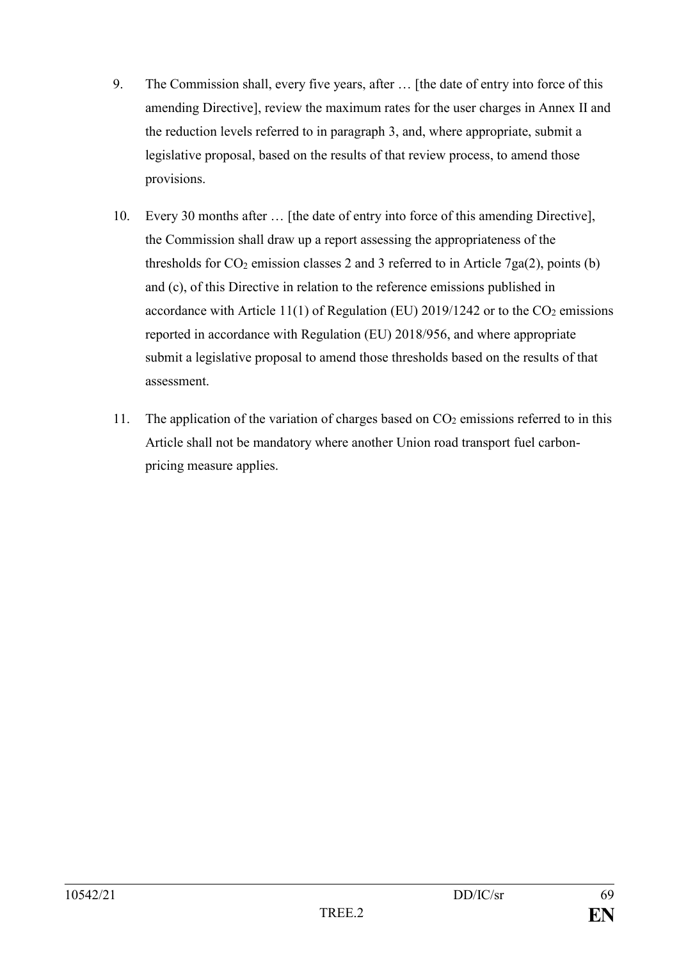- 9. The Commission shall, every five years, after … [the date of entry into force of this amending Directive], review the maximum rates for the user charges in Annex II and the reduction levels referred to in paragraph 3, and, where appropriate, submit a legislative proposal, based on the results of that review process, to amend those provisions.
- 10. Every 30 months after … [the date of entry into force of this amending Directive], the Commission shall draw up a report assessing the appropriateness of the thresholds for  $CO_2$  emission classes 2 and 3 referred to in Article 7ga(2), points (b) and (c), of this Directive in relation to the reference emissions published in accordance with Article 11(1) of Regulation (EU) 2019/1242 or to the  $CO<sub>2</sub>$  emissions reported in accordance with Regulation (EU) 2018/956, and where appropriate submit a legislative proposal to amend those thresholds based on the results of that assessment.
- 11. The application of the variation of charges based on  $CO<sub>2</sub>$  emissions referred to in this Article shall not be mandatory where another Union road transport fuel carbonpricing measure applies.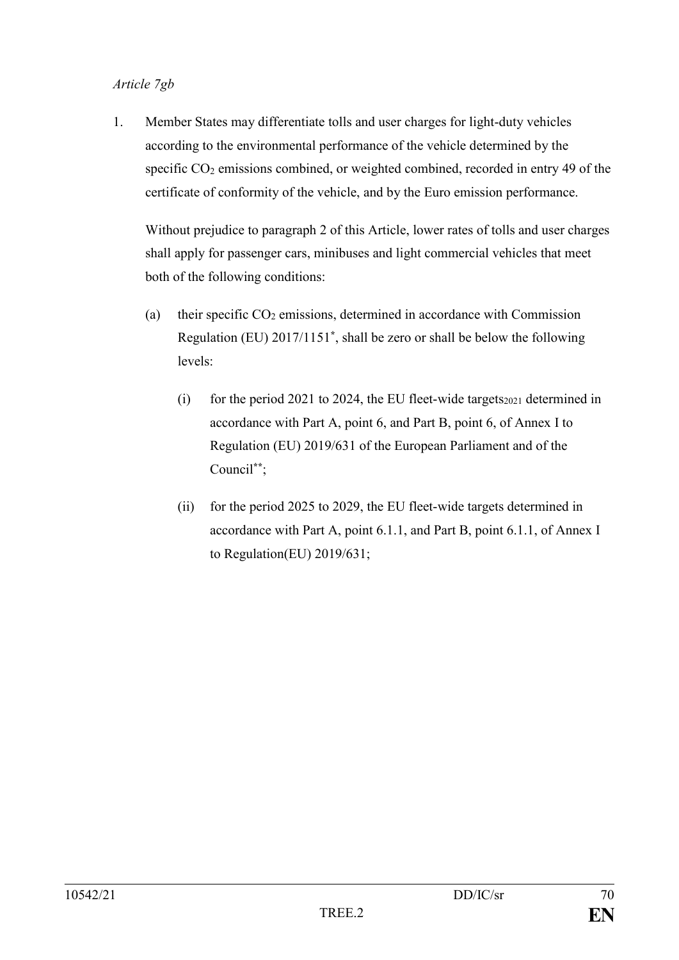### *Article 7gb*

1. Member States may differentiate tolls and user charges for light-duty vehicles according to the environmental performance of the vehicle determined by the specific CO<sub>2</sub> emissions combined, or weighted combined, recorded in entry 49 of the certificate of conformity of the vehicle, and by the Euro emission performance.

Without prejudice to paragraph 2 of this Article, lower rates of tolls and user charges shall apply for passenger cars, minibuses and light commercial vehicles that meet both of the following conditions:

- (a) their specific  $CO<sub>2</sub>$  emissions, determined in accordance with Commission Regulation (EU) 2017/1151**\*** , shall be zero or shall be below the following levels:
	- (i) for the period 2021 to 2024, the EU fleet-wide targets $_{2021}$  determined in accordance with Part A, point 6, and Part B, point 6, of Annex I to Regulation (EU) 2019/631 of the European Parliament and of the Council**\*\***;
	- (ii) for the period 2025 to 2029, the EU fleet-wide targets determined in accordance with Part A, point 6.1.1, and Part B, point 6.1.1, of Annex I to Regulation(EU) 2019/631;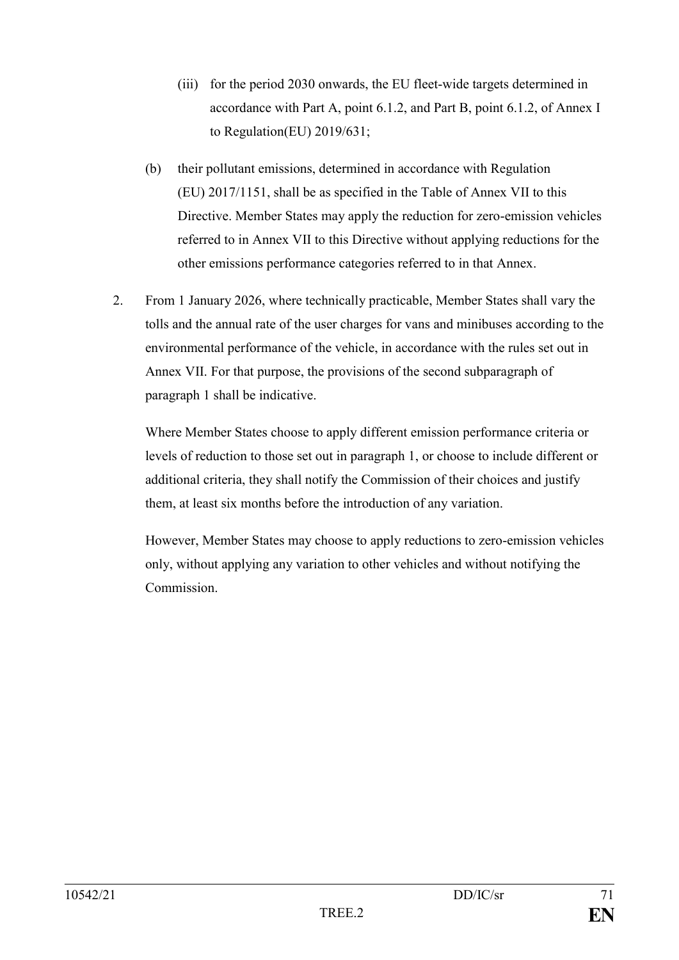- (iii) for the period 2030 onwards, the EU fleet-wide targets determined in accordance with Part A, point 6.1.2, and Part B, point 6.1.2, of Annex I to Regulation(EU) 2019/631;
- (b) their pollutant emissions, determined in accordance with Regulation (EU) 2017/1151, shall be as specified in the Table of Annex VII to this Directive. Member States may apply the reduction for zero-emission vehicles referred to in Annex VII to this Directive without applying reductions for the other emissions performance categories referred to in that Annex.
- 2. From 1 January 2026, where technically practicable, Member States shall vary the tolls and the annual rate of the user charges for vans and minibuses according to the environmental performance of the vehicle, in accordance with the rules set out in Annex VII. For that purpose, the provisions of the second subparagraph of paragraph 1 shall be indicative.

Where Member States choose to apply different emission performance criteria or levels of reduction to those set out in paragraph 1, or choose to include different or additional criteria, they shall notify the Commission of their choices and justify them, at least six months before the introduction of any variation.

However, Member States may choose to apply reductions to zero-emission vehicles only, without applying any variation to other vehicles and without notifying the Commission.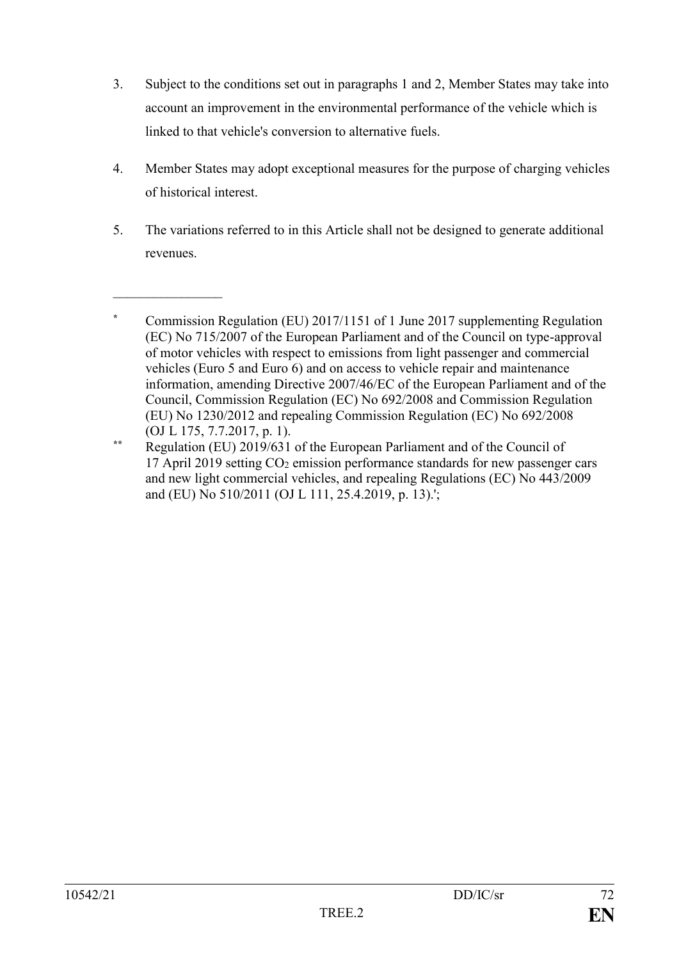- 3. Subject to the conditions set out in paragraphs 1 and 2, Member States may take into account an improvement in the environmental performance of the vehicle which is linked to that vehicle's conversion to alternative fuels.
- 4. Member States may adopt exceptional measures for the purpose of charging vehicles of historical interest.
- 5. The variations referred to in this Article shall not be designed to generate additional revenues.

 $\overline{\phantom{a}}$  , where  $\overline{\phantom{a}}$ 

**<sup>\*</sup>** Commission Regulation (EU) 2017/1151 of 1 June 2017 supplementing Regulation (EC) No 715/2007 of the European Parliament and of the Council on type-approval of motor vehicles with respect to emissions from light passenger and commercial vehicles (Euro 5 and Euro 6) and on access to vehicle repair and maintenance information, amending Directive 2007/46/EC of the European Parliament and of the Council, Commission Regulation (EC) No 692/2008 and Commission Regulation (EU) No 1230/2012 and repealing Commission Regulation (EC) No 692/2008 (OJ L 175, 7.7.2017, p. 1).

**<sup>\*\*</sup>** Regulation (EU) 2019/631 of the European Parliament and of the Council of 17 April 2019 setting  $CO<sub>2</sub>$  emission performance standards for new passenger cars and new light commercial vehicles, and repealing Regulations (EC) No 443/2009 and (EU) No 510/2011 (OJ L 111, 25.4.2019, p. 13).';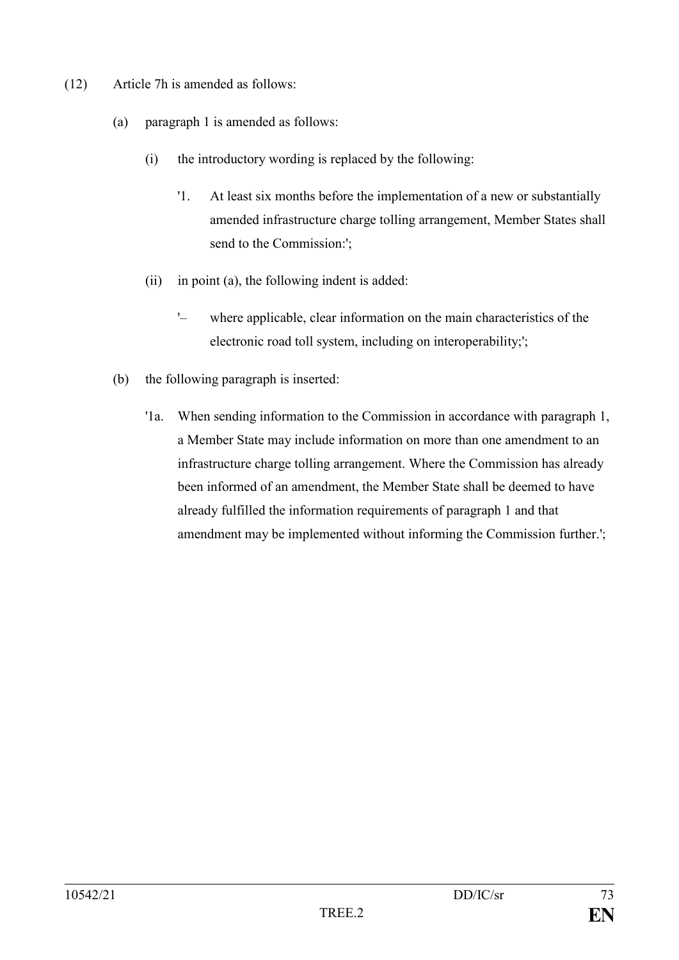- (12) Article 7h is amended as follows:
	- (a) paragraph 1 is amended as follows:
		- (i) the introductory wording is replaced by the following:
			- '1. At least six months before the implementation of a new or substantially amended infrastructure charge tolling arrangement, Member States shall send to the Commission:';
		- (ii) in point (a), the following indent is added:
			- '– where applicable, clear information on the main characteristics of the electronic road toll system, including on interoperability;';
	- (b) the following paragraph is inserted:
		- '1a. When sending information to the Commission in accordance with paragraph 1, a Member State may include information on more than one amendment to an infrastructure charge tolling arrangement. Where the Commission has already been informed of an amendment, the Member State shall be deemed to have already fulfilled the information requirements of paragraph 1 and that amendment may be implemented without informing the Commission further.';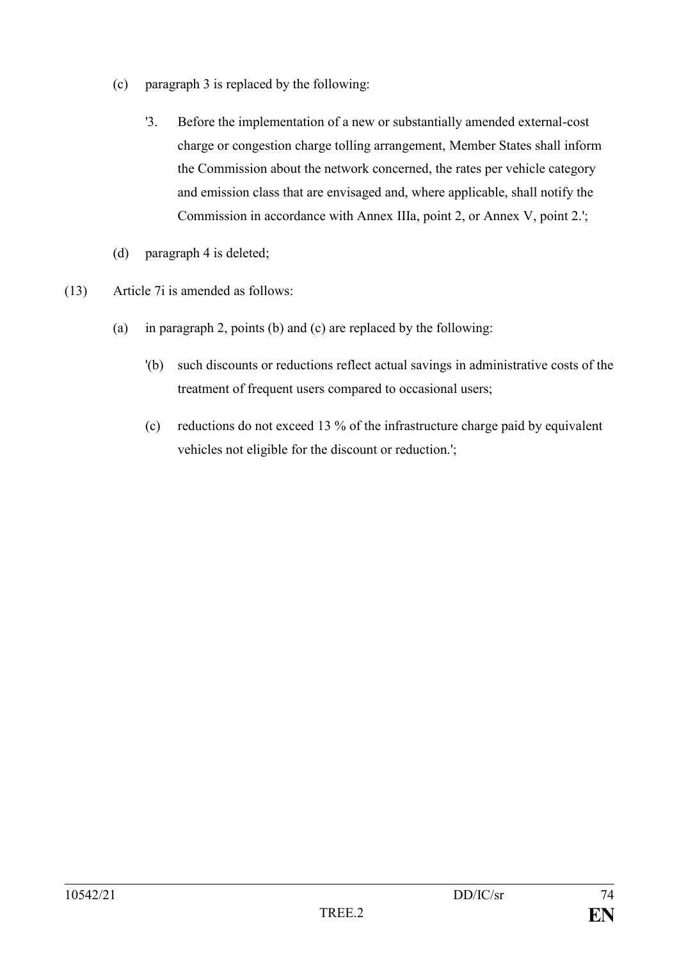- (c) paragraph 3 is replaced by the following:
	- '3. Before the implementation of a new or substantially amended external-cost charge or congestion charge tolling arrangement, Member States shall inform the Commission about the network concerned, the rates per vehicle category and emission class that are envisaged and, where applicable, shall notify the Commission in accordance with Annex IIIa, point 2, or Annex V, point 2.';
- (d) paragraph 4 is deleted;
- (13) Article 7i is amended as follows:
	- (a) in paragraph 2, points (b) and (c) are replaced by the following:
		- '(b) such discounts or reductions reflect actual savings in administrative costs of the treatment of frequent users compared to occasional users;
		- (c) reductions do not exceed 13 % of the infrastructure charge paid by equivalent vehicles not eligible for the discount or reduction.';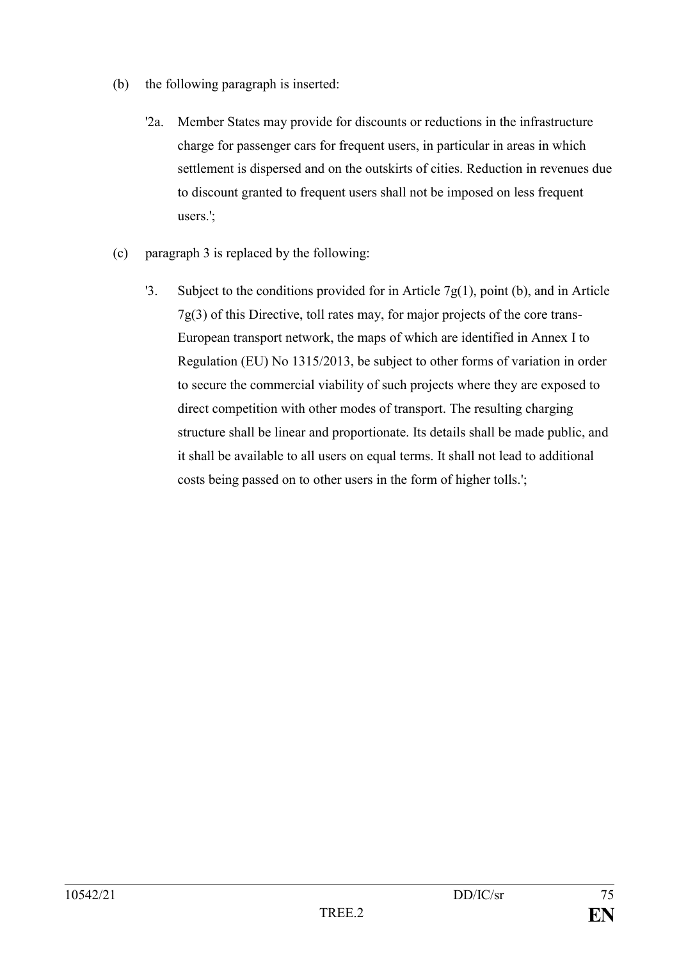- (b) the following paragraph is inserted:
	- '2a. Member States may provide for discounts or reductions in the infrastructure charge for passenger cars for frequent users, in particular in areas in which settlement is dispersed and on the outskirts of cities. Reduction in revenues due to discount granted to frequent users shall not be imposed on less frequent users.';
- (c) paragraph 3 is replaced by the following:
	- '3. Subject to the conditions provided for in Article  $7g(1)$ , point (b), and in Article 7g(3) of this Directive, toll rates may, for major projects of the core trans-European transport network, the maps of which are identified in Annex I to Regulation (EU) No 1315/2013, be subject to other forms of variation in order to secure the commercial viability of such projects where they are exposed to direct competition with other modes of transport. The resulting charging structure shall be linear and proportionate. Its details shall be made public, and it shall be available to all users on equal terms. It shall not lead to additional costs being passed on to other users in the form of higher tolls.';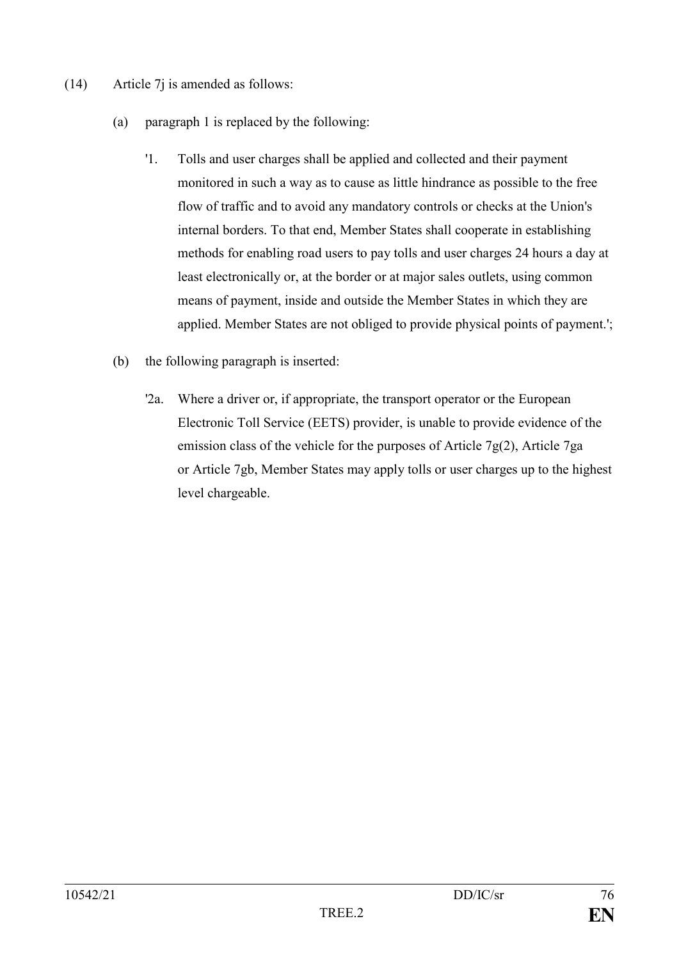- (14) Article 7j is amended as follows:
	- (a) paragraph 1 is replaced by the following:
		- '1. Tolls and user charges shall be applied and collected and their payment monitored in such a way as to cause as little hindrance as possible to the free flow of traffic and to avoid any mandatory controls or checks at the Union's internal borders. To that end, Member States shall cooperate in establishing methods for enabling road users to pay tolls and user charges 24 hours a day at least electronically or, at the border or at major sales outlets, using common means of payment, inside and outside the Member States in which they are applied. Member States are not obliged to provide physical points of payment.';
	- (b) the following paragraph is inserted:
		- '2a. Where a driver or, if appropriate, the transport operator or the European Electronic Toll Service (EETS) provider, is unable to provide evidence of the emission class of the vehicle for the purposes of Article 7g(2), Article 7ga or Article 7gb, Member States may apply tolls or user charges up to the highest level chargeable.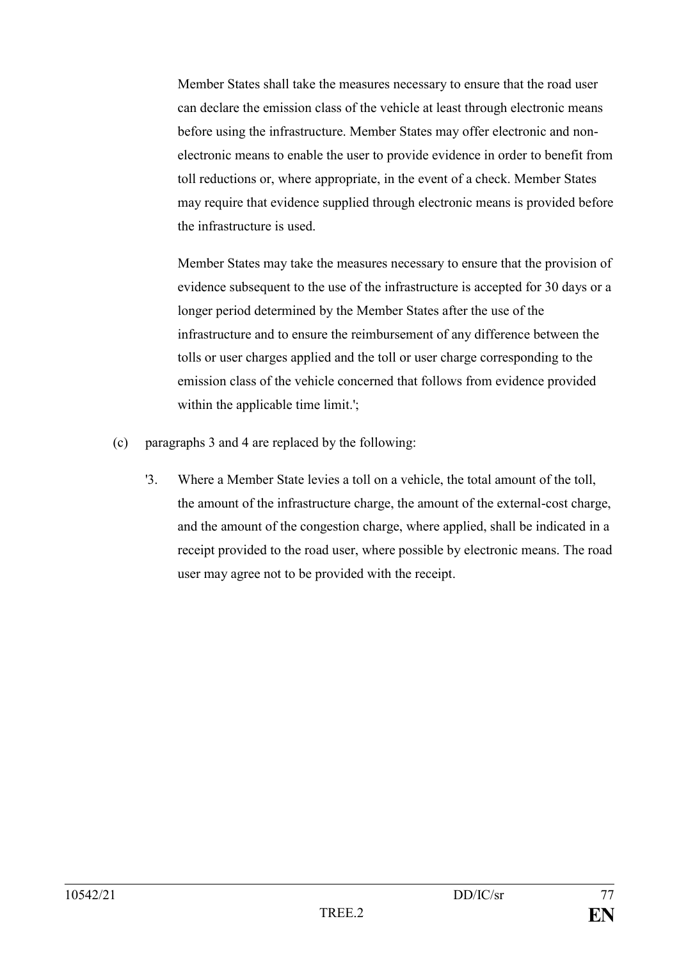Member States shall take the measures necessary to ensure that the road user can declare the emission class of the vehicle at least through electronic means before using the infrastructure. Member States may offer electronic and nonelectronic means to enable the user to provide evidence in order to benefit from toll reductions or, where appropriate, in the event of a check. Member States may require that evidence supplied through electronic means is provided before the infrastructure is used.

Member States may take the measures necessary to ensure that the provision of evidence subsequent to the use of the infrastructure is accepted for 30 days or a longer period determined by the Member States after the use of the infrastructure and to ensure the reimbursement of any difference between the tolls or user charges applied and the toll or user charge corresponding to the emission class of the vehicle concerned that follows from evidence provided within the applicable time limit.';

- (c) paragraphs 3 and 4 are replaced by the following:
	- '3. Where a Member State levies a toll on a vehicle, the total amount of the toll, the amount of the infrastructure charge, the amount of the external-cost charge, and the amount of the congestion charge, where applied, shall be indicated in a receipt provided to the road user, where possible by electronic means. The road user may agree not to be provided with the receipt.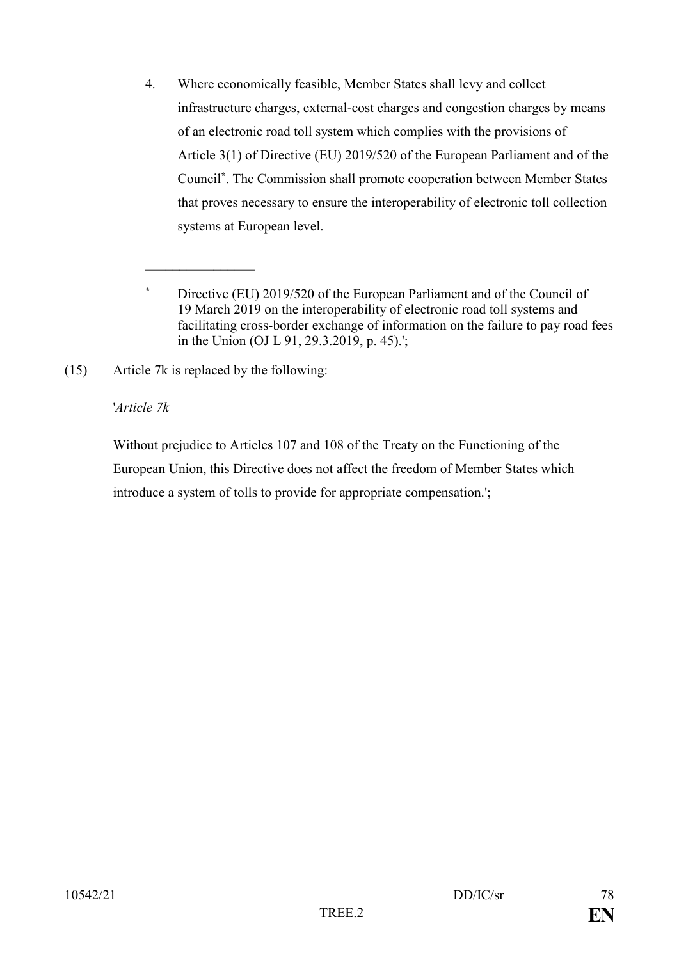4. Where economically feasible, Member States shall levy and collect infrastructure charges, external-cost charges and congestion charges by means of an electronic road toll system which complies with the provisions of Article 3(1) of Directive (EU) 2019/520 of the European Parliament and of the Council**\*** . The Commission shall promote cooperation between Member States that proves necessary to ensure the interoperability of electronic toll collection systems at European level.

 $\overline{\phantom{a}}$  , where  $\overline{\phantom{a}}$ 

# '*Article 7k*

Without prejudice to Articles 107 and 108 of the Treaty on the Functioning of the European Union, this Directive does not affect the freedom of Member States which introduce a system of tolls to provide for appropriate compensation.';

**<sup>\*</sup>** Directive (EU) 2019/520 of the European Parliament and of the Council of 19 March 2019 on the interoperability of electronic road toll systems and facilitating cross-border exchange of information on the failure to pay road fees in the Union (OJ L 91, 29.3.2019, p. 45).';

<sup>(15)</sup> Article 7k is replaced by the following: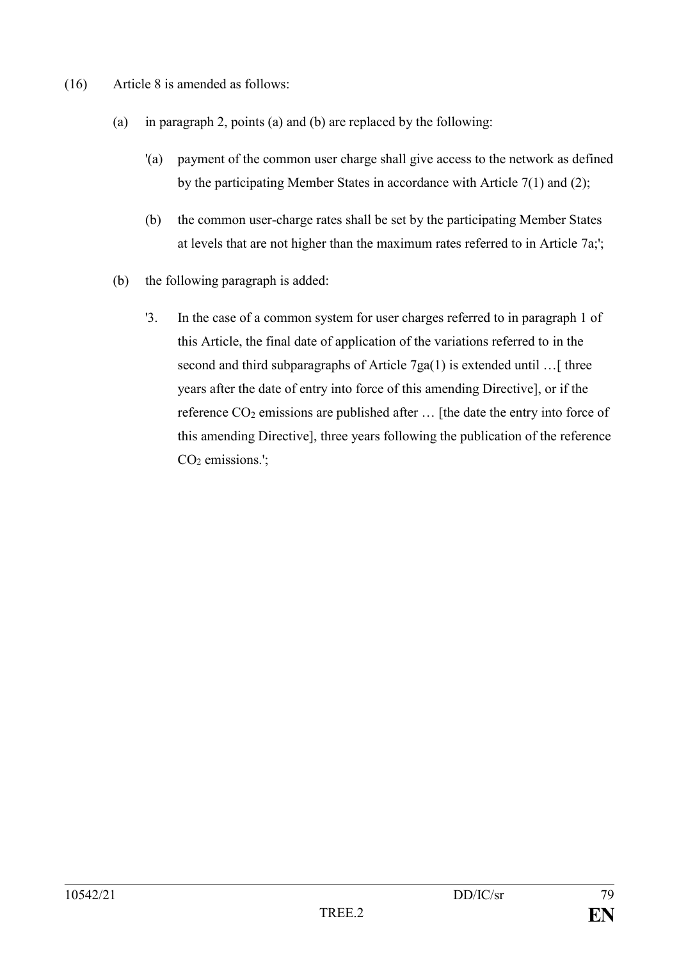- (16) Article 8 is amended as follows:
	- (a) in paragraph 2, points (a) and (b) are replaced by the following:
		- '(a) payment of the common user charge shall give access to the network as defined by the participating Member States in accordance with Article 7(1) and (2);
		- (b) the common user-charge rates shall be set by the participating Member States at levels that are not higher than the maximum rates referred to in Article 7a;';
	- (b) the following paragraph is added:
		- '3. In the case of a common system for user charges referred to in paragraph 1 of this Article, the final date of application of the variations referred to in the second and third subparagraphs of Article 7ga(1) is extended until  $\ldots$  [ three years after the date of entry into force of this amending Directive], or if the reference  $CO_2$  emissions are published after  $\ldots$  [the date the entry into force of this amending Directive], three years following the publication of the reference  $CO<sub>2</sub>$  emissions.';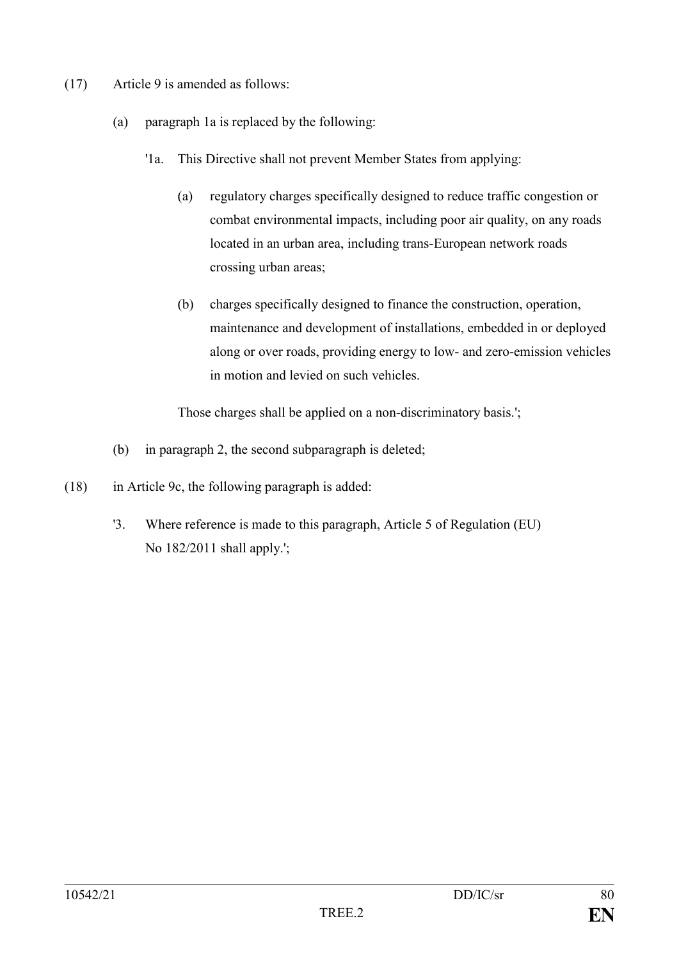- (17) Article 9 is amended as follows:
	- (a) paragraph 1a is replaced by the following:
		- '1a. This Directive shall not prevent Member States from applying:
			- (a) regulatory charges specifically designed to reduce traffic congestion or combat environmental impacts, including poor air quality, on any roads located in an urban area, including trans-European network roads crossing urban areas;
			- (b) charges specifically designed to finance the construction, operation, maintenance and development of installations, embedded in or deployed along or over roads, providing energy to low- and zero-emission vehicles in motion and levied on such vehicles.

Those charges shall be applied on a non-discriminatory basis.';

- (b) in paragraph 2, the second subparagraph is deleted;
- (18) in Article 9c, the following paragraph is added:
	- '3. Where reference is made to this paragraph, Article 5 of Regulation (EU) No 182/2011 shall apply.';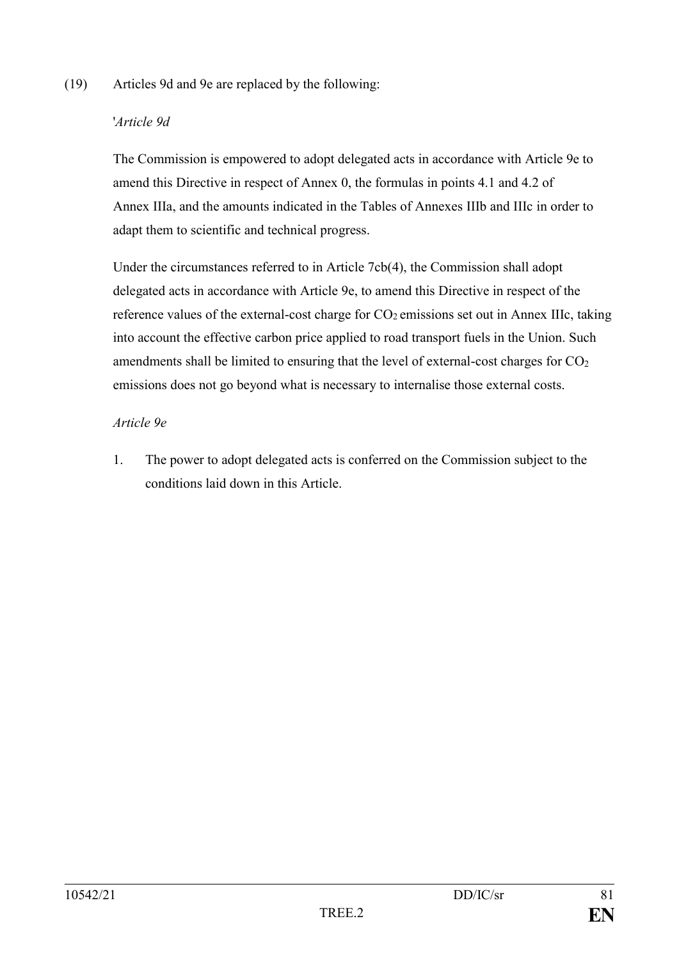#### (19) Articles 9d and 9e are replaced by the following:

### '*Article 9d*

The Commission is empowered to adopt delegated acts in accordance with Article 9e to amend this Directive in respect of Annex 0, the formulas in points 4.1 and 4.2 of Annex IIIa, and the amounts indicated in the Tables of Annexes IIIb and IIIc in order to adapt them to scientific and technical progress.

Under the circumstances referred to in Article 7cb(4), the Commission shall adopt delegated acts in accordance with Article 9e, to amend this Directive in respect of the reference values of the external-cost charge for  $CO<sub>2</sub>$  emissions set out in Annex IIIc, taking into account the effective carbon price applied to road transport fuels in the Union. Such amendments shall be limited to ensuring that the level of external-cost charges for  $CO<sub>2</sub>$ emissions does not go beyond what is necessary to internalise those external costs.

#### *Article 9e*

1. The power to adopt delegated acts is conferred on the Commission subject to the conditions laid down in this Article.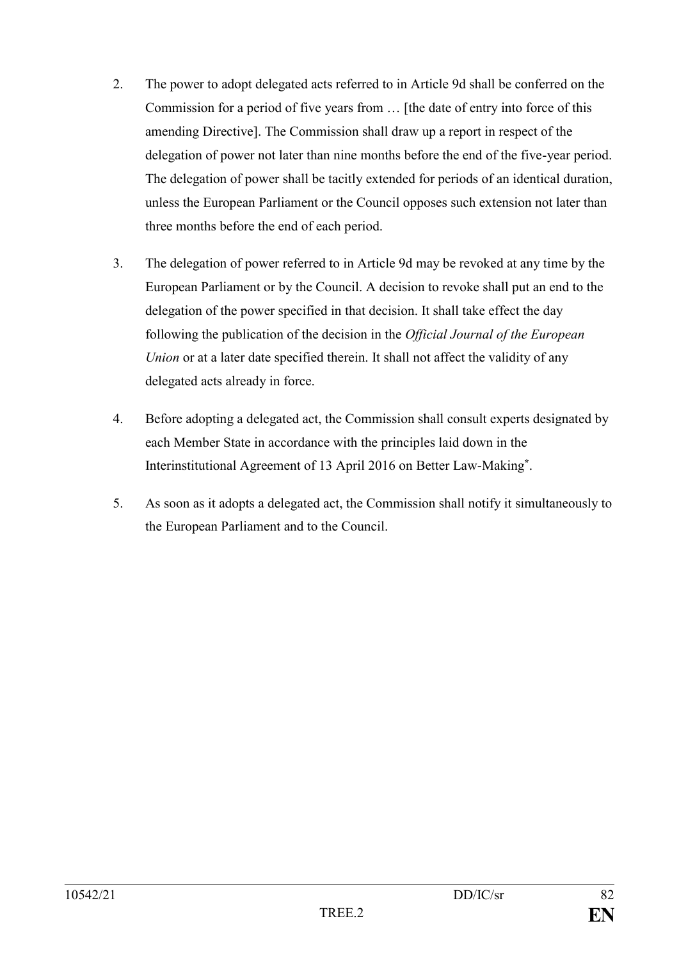- 2. The power to adopt delegated acts referred to in Article 9d shall be conferred on the Commission for a period of five years from … [the date of entry into force of this amending Directive]. The Commission shall draw up a report in respect of the delegation of power not later than nine months before the end of the five-year period. The delegation of power shall be tacitly extended for periods of an identical duration, unless the European Parliament or the Council opposes such extension not later than three months before the end of each period.
- 3. The delegation of power referred to in Article 9d may be revoked at any time by the European Parliament or by the Council. A decision to revoke shall put an end to the delegation of the power specified in that decision. It shall take effect the day following the publication of the decision in the *Official Journal of the European Union* or at a later date specified therein. It shall not affect the validity of any delegated acts already in force.
- 4. Before adopting a delegated act, the Commission shall consult experts designated by each Member State in accordance with the principles laid down in the Interinstitutional Agreement of 13 April 2016 on Better Law-Making**\*** .
- 5. As soon as it adopts a delegated act, the Commission shall notify it simultaneously to the European Parliament and to the Council.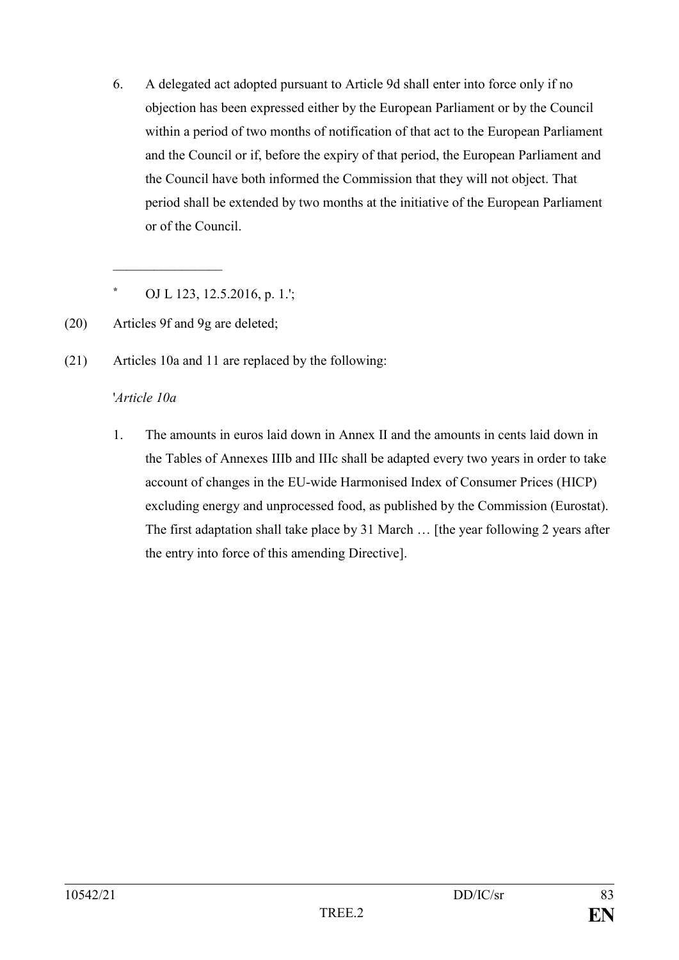6. A delegated act adopted pursuant to Article 9d shall enter into force only if no objection has been expressed either by the European Parliament or by the Council within a period of two months of notification of that act to the European Parliament and the Council or if, before the expiry of that period, the European Parliament and the Council have both informed the Commission that they will not object. That period shall be extended by two months at the initiative of the European Parliament or of the Council.

**\*** OJ L 123, 12.5.2016, p. 1.';

(20) Articles 9f and 9g are deleted;

 $\overline{\phantom{a}}$  , where  $\overline{\phantom{a}}$ 

(21) Articles 10a and 11 are replaced by the following:

#### '*Article 10a*

1. The amounts in euros laid down in Annex II and the amounts in cents laid down in the Tables of Annexes IIIb and IIIc shall be adapted every two years in order to take account of changes in the EU-wide Harmonised Index of Consumer Prices (HICP) excluding energy and unprocessed food, as published by the Commission (Eurostat). The first adaptation shall take place by 31 March … [the year following 2 years after the entry into force of this amending Directive].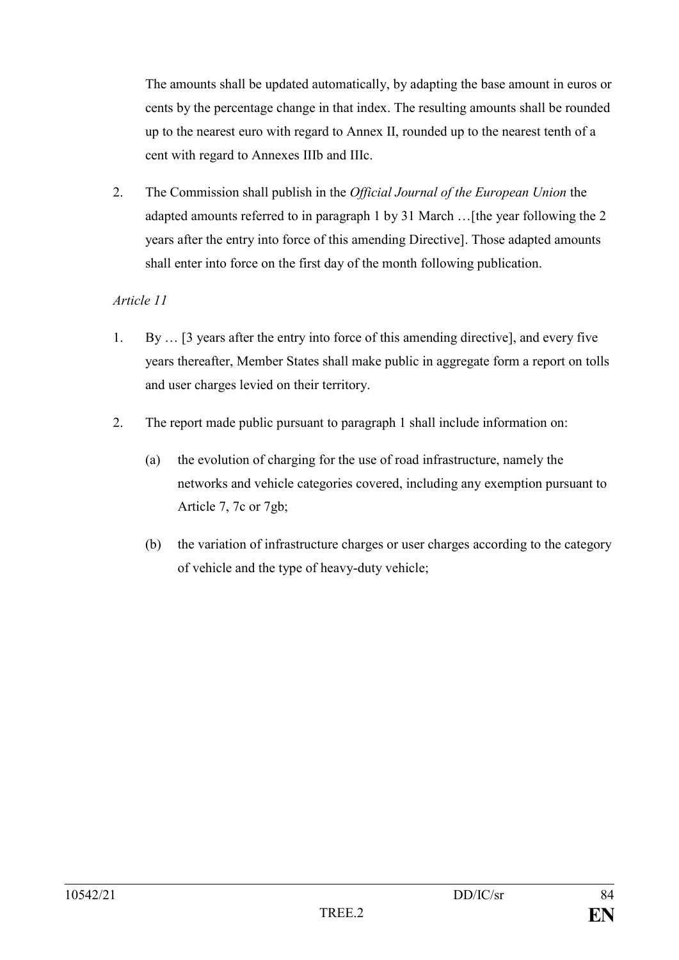The amounts shall be updated automatically, by adapting the base amount in euros or cents by the percentage change in that index. The resulting amounts shall be rounded up to the nearest euro with regard to Annex II, rounded up to the nearest tenth of a cent with regard to Annexes IIIb and IIIc.

2. The Commission shall publish in the *Official Journal of the European Union* the adapted amounts referred to in paragraph 1 by 31 March …[the year following the 2 years after the entry into force of this amending Directive]. Those adapted amounts shall enter into force on the first day of the month following publication.

## *Article 11*

- 1. By … [3 years after the entry into force of this amending directive], and every five years thereafter, Member States shall make public in aggregate form a report on tolls and user charges levied on their territory.
- 2. The report made public pursuant to paragraph 1 shall include information on:
	- (a) the evolution of charging for the use of road infrastructure, namely the networks and vehicle categories covered, including any exemption pursuant to Article 7, 7c or 7gb;
	- (b) the variation of infrastructure charges or user charges according to the category of vehicle and the type of heavy-duty vehicle;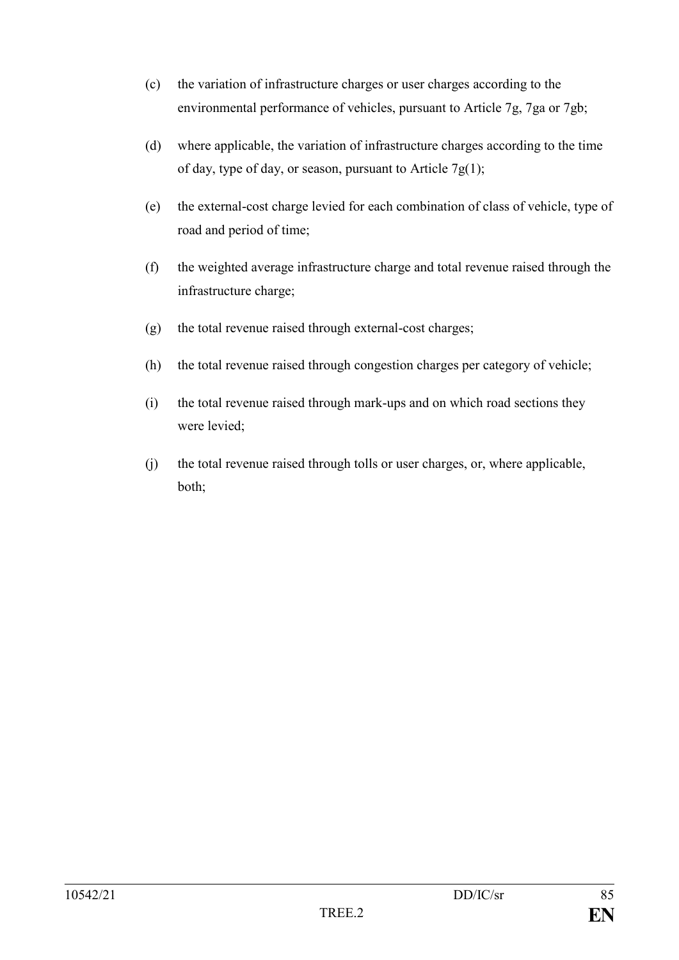- (c) the variation of infrastructure charges or user charges according to the environmental performance of vehicles, pursuant to Article 7g, 7ga or 7gb;
- (d) where applicable, the variation of infrastructure charges according to the time of day, type of day, or season, pursuant to Article  $7g(1)$ ;
- (e) the external-cost charge levied for each combination of class of vehicle, type of road and period of time;
- (f) the weighted average infrastructure charge and total revenue raised through the infrastructure charge;
- (g) the total revenue raised through external-cost charges;
- (h) the total revenue raised through congestion charges per category of vehicle;
- (i) the total revenue raised through mark-ups and on which road sections they were levied;
- (j) the total revenue raised through tolls or user charges, or, where applicable, both;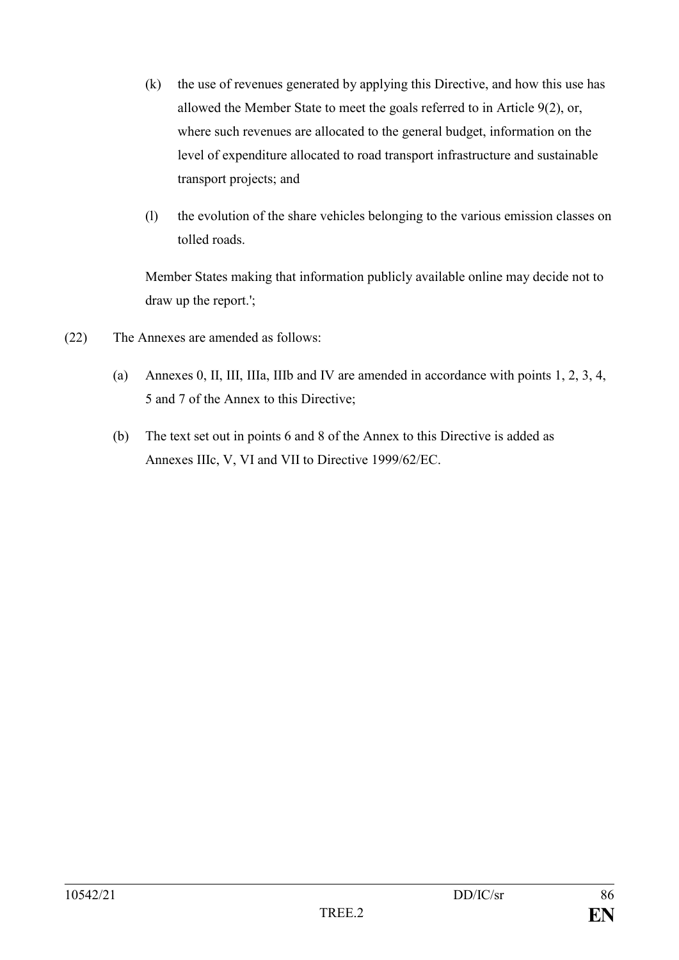- (k) the use of revenues generated by applying this Directive, and how this use has allowed the Member State to meet the goals referred to in Article 9(2), or, where such revenues are allocated to the general budget, information on the level of expenditure allocated to road transport infrastructure and sustainable transport projects; and
- (l) the evolution of the share vehicles belonging to the various emission classes on tolled roads.

Member States making that information publicly available online may decide not to draw up the report.';

- (22) The Annexes are amended as follows:
	- (a) Annexes 0, II, III, IIIa, IIIb and IV are amended in accordance with points 1, 2, 3, 4, 5 and 7 of the Annex to this Directive;
	- (b) The text set out in points 6 and 8 of the Annex to this Directive is added as Annexes IIIc, V, VI and VII to Directive 1999/62/EC.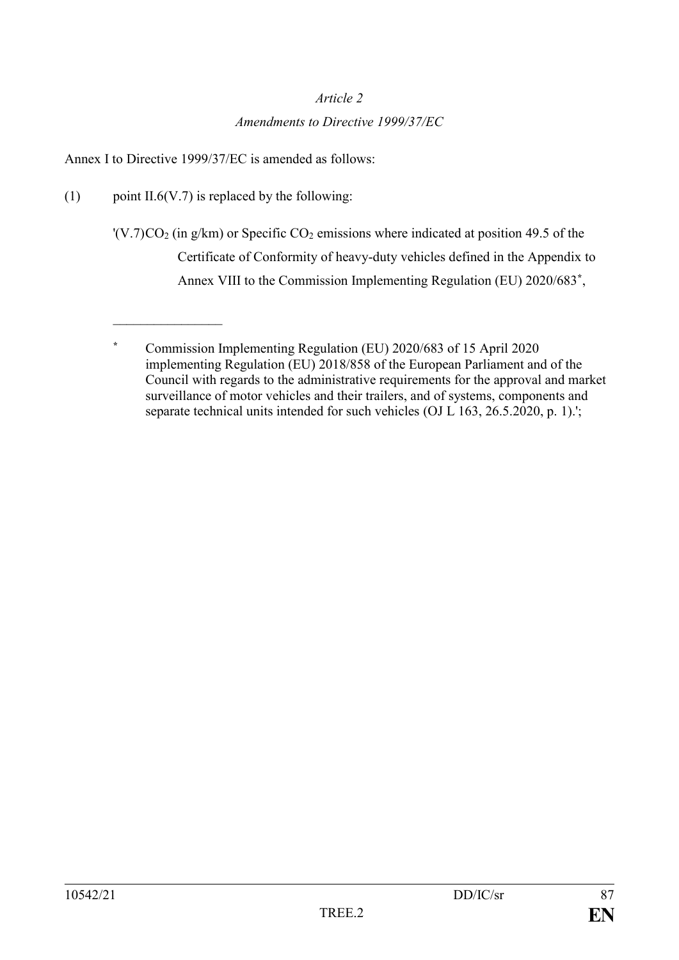#### *Article 2*

#### *Amendments to Directive 1999/37/EC*

Annex I to Directive 1999/37/EC is amended as follows:

(1) point II.6(V.7) is replaced by the following:

 $\overline{\phantom{a}}$  , where  $\overline{\phantom{a}}$ 

 $'(V.7)CO<sub>2</sub>$  (in g/km) or Specific  $CO<sub>2</sub>$  emissions where indicated at position 49.5 of the Certificate of Conformity of heavy-duty vehicles defined in the Appendix to Annex VIII to the Commission Implementing Regulation (EU) 2020/683**\*** ,

**<sup>\*</sup>** Commission Implementing Regulation (EU) 2020/683 of 15 April 2020 implementing Regulation (EU) 2018/858 of the European Parliament and of the Council with regards to the administrative requirements for the approval and market surveillance of motor vehicles and their trailers, and of systems, components and separate technical units intended for such vehicles (OJ L 163, 26.5.2020, p. 1).';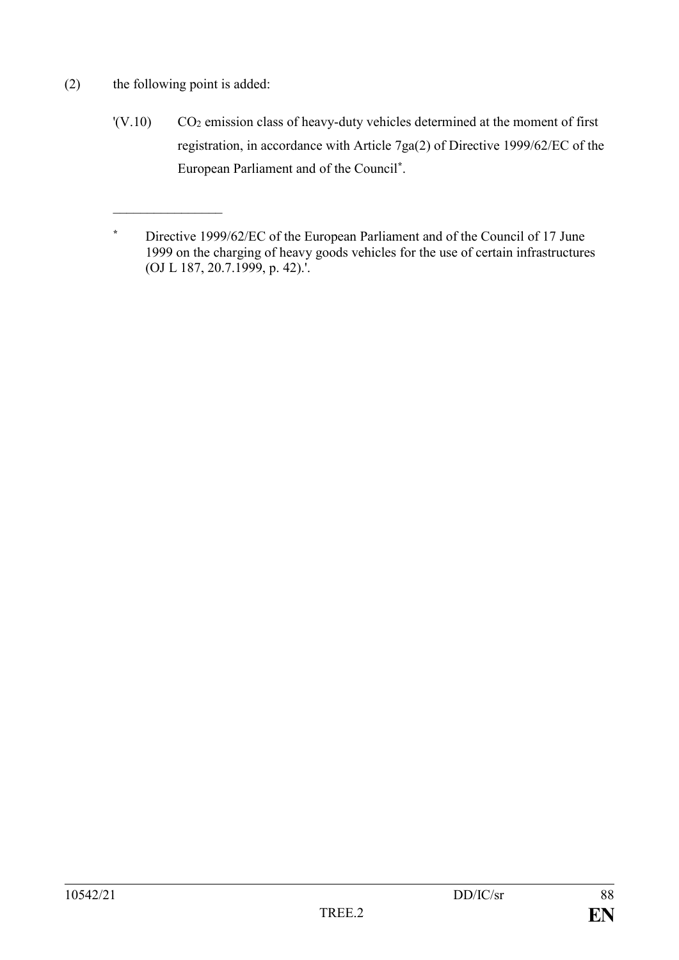(2) the following point is added:

 $\overline{\phantom{a}}$  , where  $\overline{\phantom{a}}$ 

 $'(V.10)$  CO<sub>2</sub> emission class of heavy-duty vehicles determined at the moment of first registration, in accordance with Article 7ga(2) of Directive 1999/62/EC of the European Parliament and of the Council**\*** .

**<sup>\*</sup>** Directive 1999/62/EC of the European Parliament and of the Council of 17 June 1999 on the charging of heavy goods vehicles for the use of certain infrastructures (OJ L 187, 20.7.1999, p. 42).'.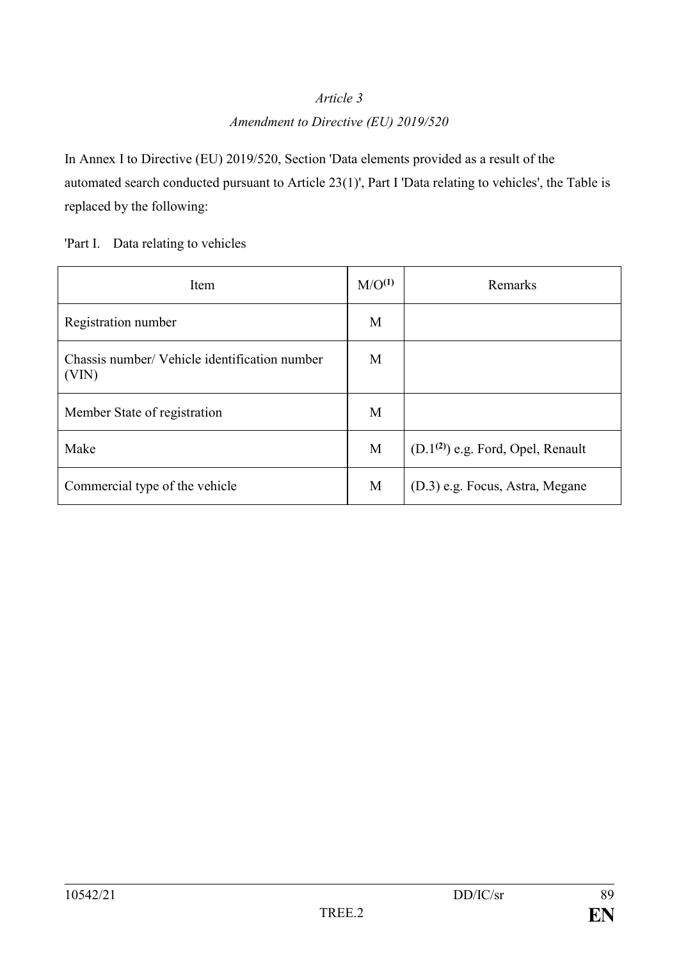## *Article 3*

#### *Amendment to Directive (EU) 2019/520*

In Annex I to Directive (EU) 2019/520, Section 'Data elements provided as a result of the automated search conducted pursuant to Article 23(1)', Part I 'Data relating to vehicles', the Table is replaced by the following:

'Part I. Data relating to vehicles

| Item                                                   | M/O <sup>(1)</sup> | Remarks                             |
|--------------------------------------------------------|--------------------|-------------------------------------|
| Registration number                                    | M                  |                                     |
| Chassis number/ Vehicle identification number<br>(VIN) | M                  |                                     |
| Member State of registration                           | M                  |                                     |
| Make                                                   | M                  | $(D.1(2))$ e.g. Ford, Opel, Renault |
| Commercial type of the vehicle                         | M                  | (D.3) e.g. Focus, Astra, Megane     |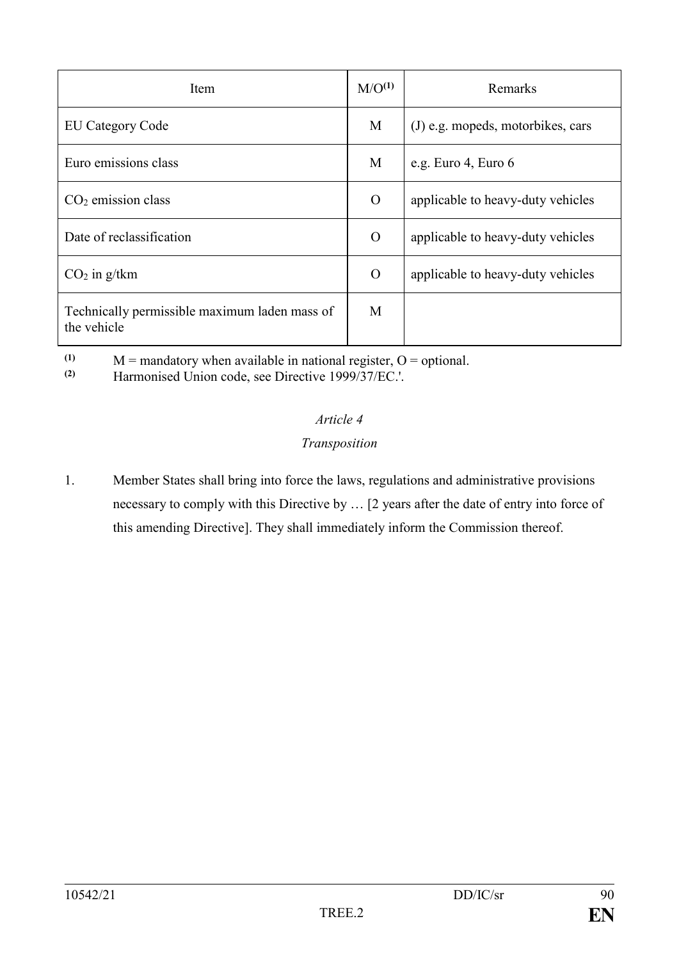| Item                                                         | M/O <sup>(1)</sup> | Remarks                           |
|--------------------------------------------------------------|--------------------|-----------------------------------|
| <b>EU Category Code</b>                                      | M                  | (J) e.g. mopeds, motorbikes, cars |
| Euro emissions class                                         | M                  | e.g. Euro 4, Euro 6               |
| $CO2$ emission class                                         | $\overline{O}$     | applicable to heavy-duty vehicles |
| Date of reclassification                                     | $\overline{O}$     | applicable to heavy-duty vehicles |
| $CO2$ in g/tkm                                               | $\overline{O}$     | applicable to heavy-duty vehicles |
| Technically permissible maximum laden mass of<br>the vehicle | M                  |                                   |

(1)  $M =$  mandatory when available in national register,  $O =$  optional.<br>
(2) Harmonised Union code, see Directive 1999/37/FC

**(2)** Harmonised Union code, see Directive 1999/37/EC.'.

# *Article 4*

# *Transposition*

1. Member States shall bring into force the laws, regulations and administrative provisions necessary to comply with this Directive by … [2 years after the date of entry into force of this amending Directive]. They shall immediately inform the Commission thereof.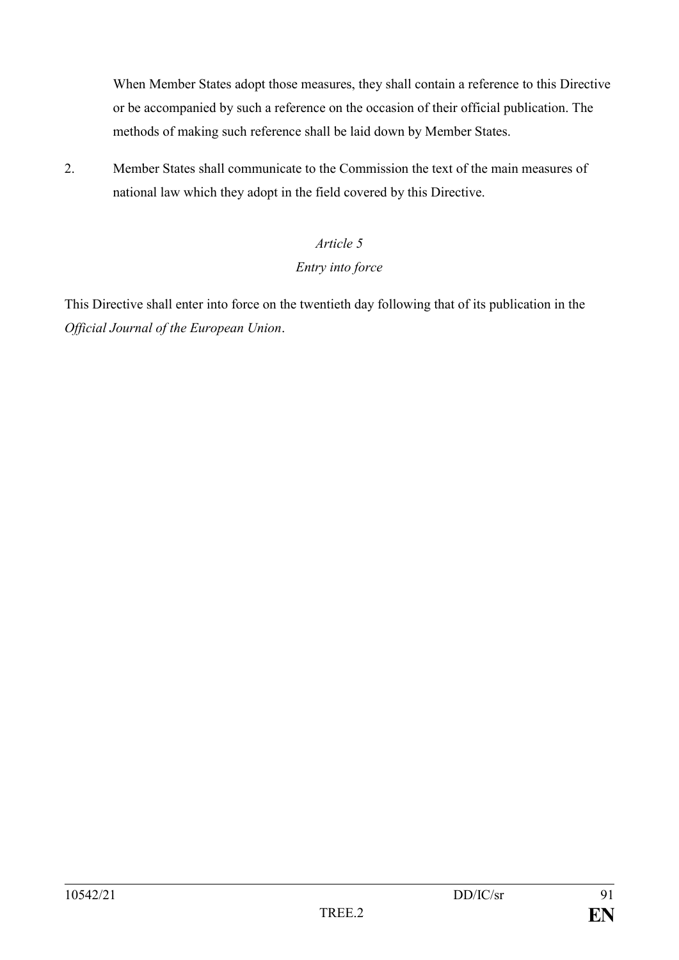When Member States adopt those measures, they shall contain a reference to this Directive or be accompanied by such a reference on the occasion of their official publication. The methods of making such reference shall be laid down by Member States.

2. Member States shall communicate to the Commission the text of the main measures of national law which they adopt in the field covered by this Directive.

# *Article 5*

## *Entry into force*

This Directive shall enter into force on the twentieth day following that of its publication in the *Official Journal of the European Union*.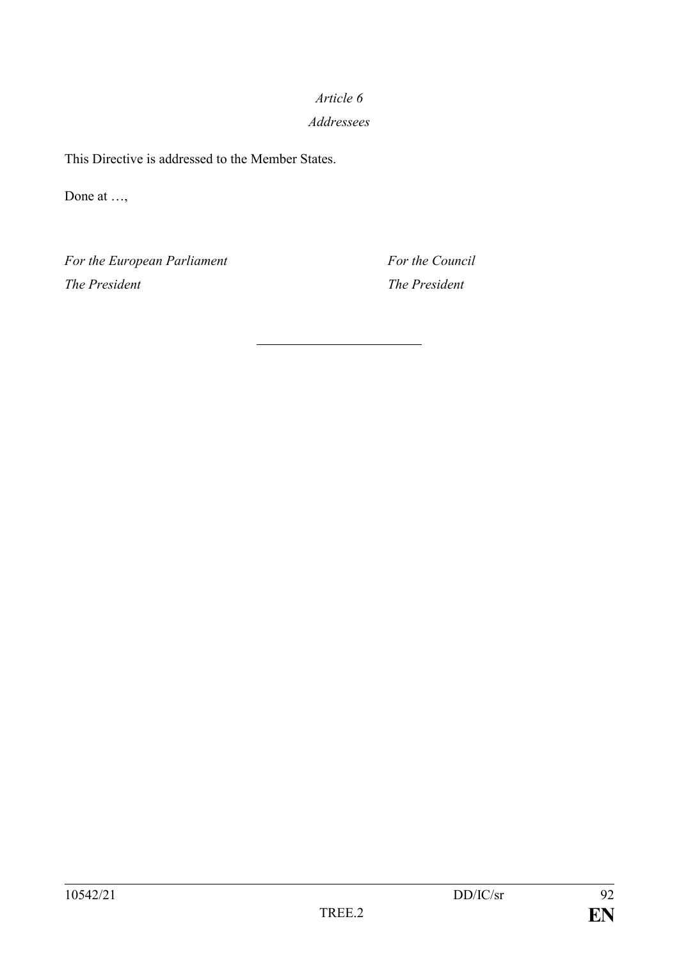# *Article 6 Addressees*

This Directive is addressed to the Member States.

Done at …,

*For the European Parliament For the Council The President The President*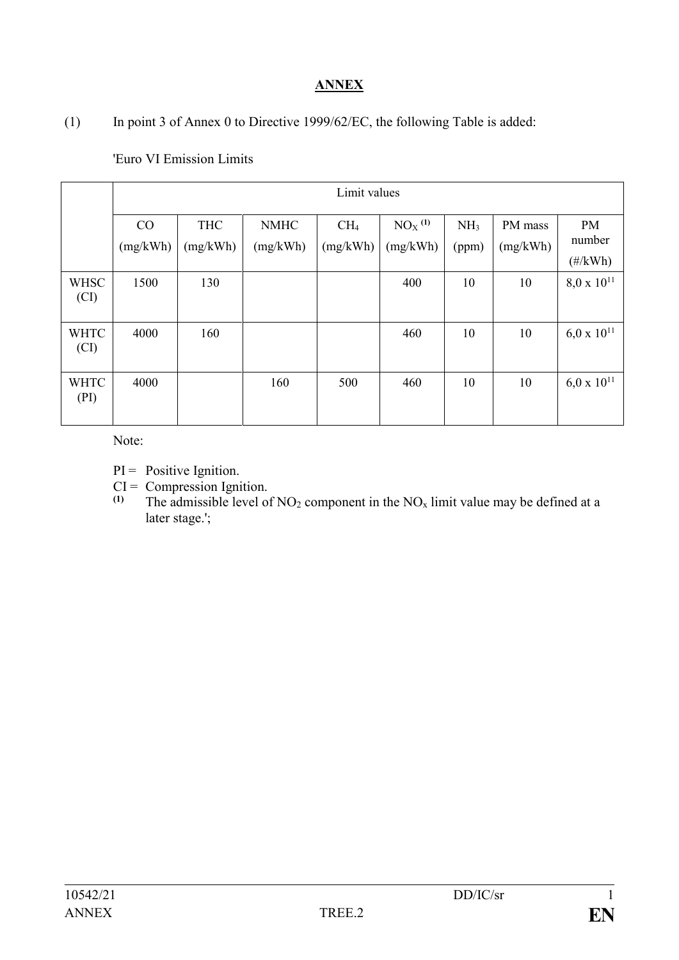# **ANNEX**

(1) In point 3 of Annex 0 to Directive 1999/62/EC, the following Table is added:

|                     | Limit values   |                        |                         |                             |                                  |                          |                     |                                           |
|---------------------|----------------|------------------------|-------------------------|-----------------------------|----------------------------------|--------------------------|---------------------|-------------------------------------------|
|                     | CO<br>(mg/kWh) | <b>THC</b><br>(mg/kWh) | <b>NMHC</b><br>(mg/kWh) | CH <sub>4</sub><br>(mg/kWh) | $NOX$ <sup>(1)</sup><br>(mg/kWh) | NH <sub>3</sub><br>(ppm) | PM mass<br>(mg/kWh) | <b>PM</b><br>number<br>$(\frac{\#}{kWh})$ |
| <b>WHSC</b><br>(CI) | 1500           | 130                    |                         |                             | 400                              | 10                       | 10                  | $8.0 \times 10^{11}$                      |
| <b>WHTC</b><br>(CI) | 4000           | 160                    |                         |                             | 460                              | 10                       | 10                  | $6.0 \times 10^{11}$                      |
| <b>WHTC</b><br>(PI) | 4000           |                        | 160                     | 500                         | 460                              | 10                       | 10                  | $6,0 \times 10^{11}$                      |

'Euro VI Emission Limits

Note:

- $PI = Positive Ignition.$
- $CI = Compression Ignition.$ <br>(1) The admissible level of
- The admissible level of  $NO<sub>2</sub>$  component in the  $NO<sub>x</sub>$  limit value may be defined at a later stage.';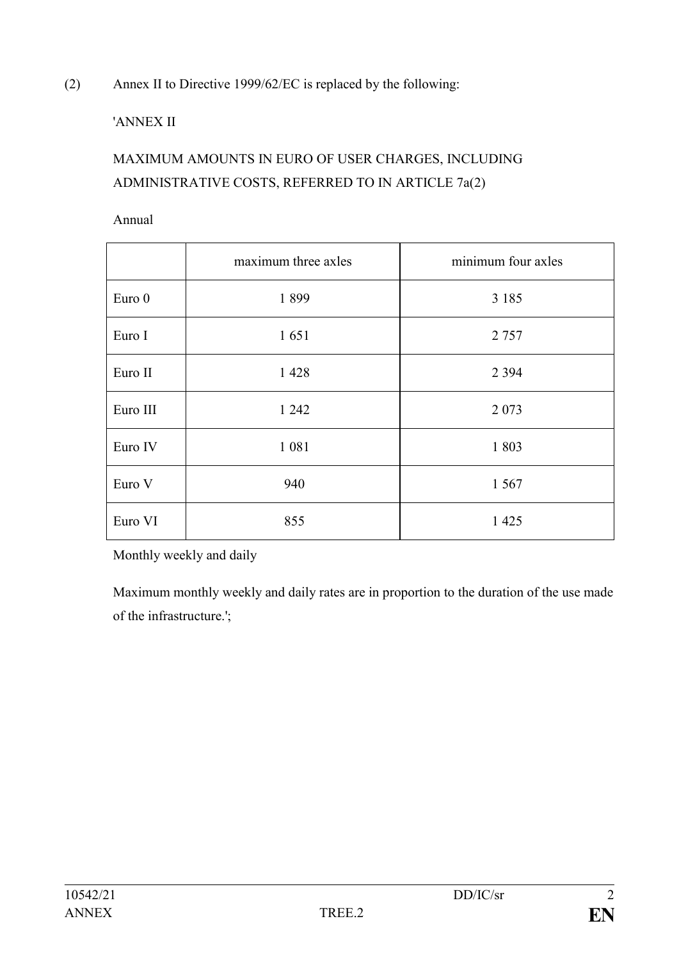(2) Annex II to Directive 1999/62/EC is replaced by the following:

# 'ANNEX II

# MAXIMUM AMOUNTS IN EURO OF USER CHARGES, INCLUDING ADMINISTRATIVE COSTS, REFERRED TO IN ARTICLE 7a(2)

Annual

|          | maximum three axles | minimum four axles |  |
|----------|---------------------|--------------------|--|
| Euro 0   | 1899                | 3 1 8 5            |  |
| Euro I   | 1651                | 2 7 5 7            |  |
| Euro II  | 1428                | 2 3 9 4            |  |
| Euro III | 1 242               | 2 0 7 3            |  |
| Euro IV  | 1 0 8 1             | 1803               |  |
| Euro V   | 940                 | 1 5 6 7            |  |
| Euro VI  | 855                 | 1 4 2 5            |  |

Monthly weekly and daily

Maximum monthly weekly and daily rates are in proportion to the duration of the use made of the infrastructure.';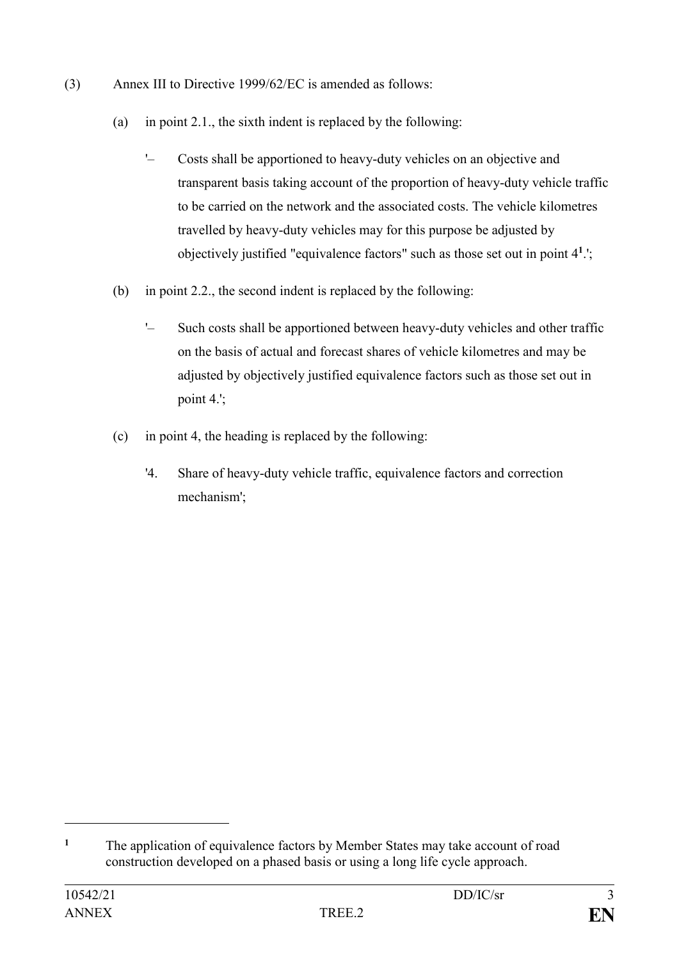- (3) Annex III to Directive 1999/62/EC is amended as follows:
	- (a) in point 2.1., the sixth indent is replaced by the following:
		- '– Costs shall be apportioned to heavy-duty vehicles on an objective and transparent basis taking account of the proportion of heavy-duty vehicle traffic to be carried on the network and the associated costs. The vehicle kilometres travelled by heavy-duty vehicles may for this purpose be adjusted by objectively justified "equivalence factors" such as those set out in point 4**<sup>1</sup>** .';
	- (b) in point 2.2., the second indent is replaced by the following:
		- '– Such costs shall be apportioned between heavy-duty vehicles and other traffic on the basis of actual and forecast shares of vehicle kilometres and may be adjusted by objectively justified equivalence factors such as those set out in point 4.';
	- (c) in point 4, the heading is replaced by the following:
		- '4. Share of heavy-duty vehicle traffic, equivalence factors and correction mechanism';

1

**<sup>1</sup>** The application of equivalence factors by Member States may take account of road construction developed on a phased basis or using a long life cycle approach.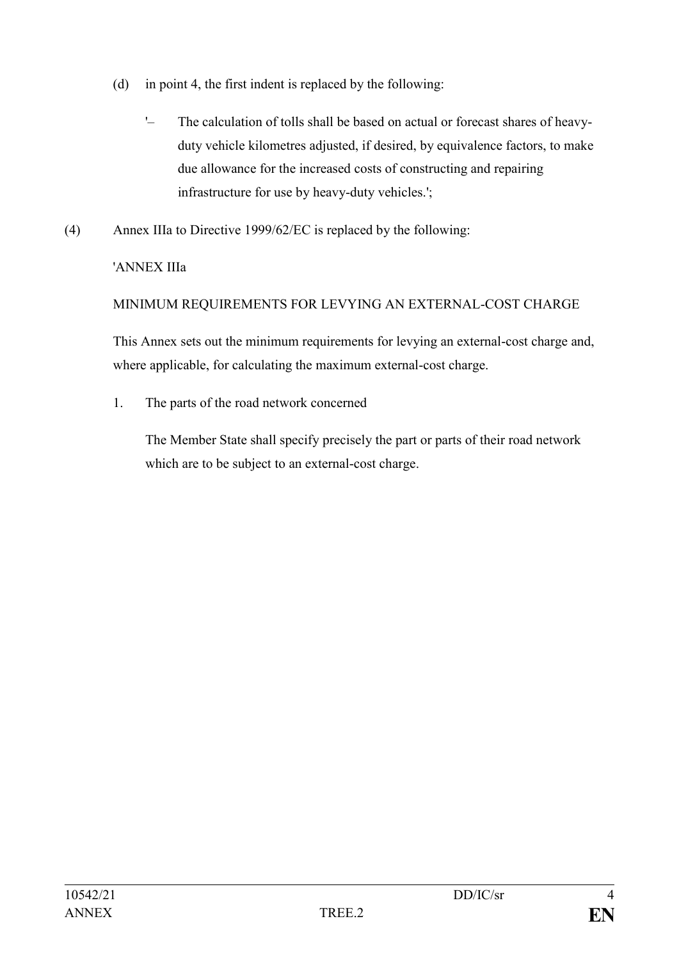- (d) in point 4, the first indent is replaced by the following:
	- '– The calculation of tolls shall be based on actual or forecast shares of heavyduty vehicle kilometres adjusted, if desired, by equivalence factors, to make due allowance for the increased costs of constructing and repairing infrastructure for use by heavy-duty vehicles.';
- (4) Annex IIIa to Directive 1999/62/EC is replaced by the following:

# 'ANNEX IIIa

# MINIMUM REQUIREMENTS FOR LEVYING AN EXTERNAL-COST CHARGE

This Annex sets out the minimum requirements for levying an external-cost charge and, where applicable, for calculating the maximum external-cost charge.

1. The parts of the road network concerned

The Member State shall specify precisely the part or parts of their road network which are to be subject to an external-cost charge.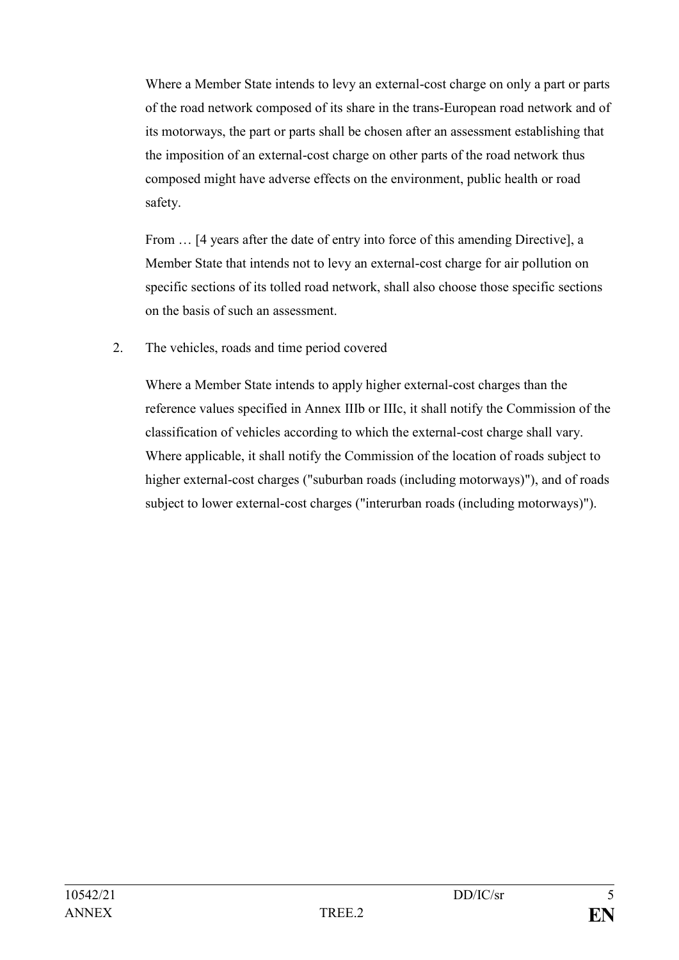Where a Member State intends to levy an external-cost charge on only a part or parts of the road network composed of its share in the trans-European road network and of its motorways, the part or parts shall be chosen after an assessment establishing that the imposition of an external-cost charge on other parts of the road network thus composed might have adverse effects on the environment, public health or road safety.

From  $\ldots$  [4 years after the date of entry into force of this amending Directive], a Member State that intends not to levy an external-cost charge for air pollution on specific sections of its tolled road network, shall also choose those specific sections on the basis of such an assessment.

2. The vehicles, roads and time period covered

Where a Member State intends to apply higher external-cost charges than the reference values specified in Annex IIIb or IIIc, it shall notify the Commission of the classification of vehicles according to which the external-cost charge shall vary. Where applicable, it shall notify the Commission of the location of roads subject to higher external-cost charges ("suburban roads (including motorways)"), and of roads subject to lower external-cost charges ("interurban roads (including motorways)").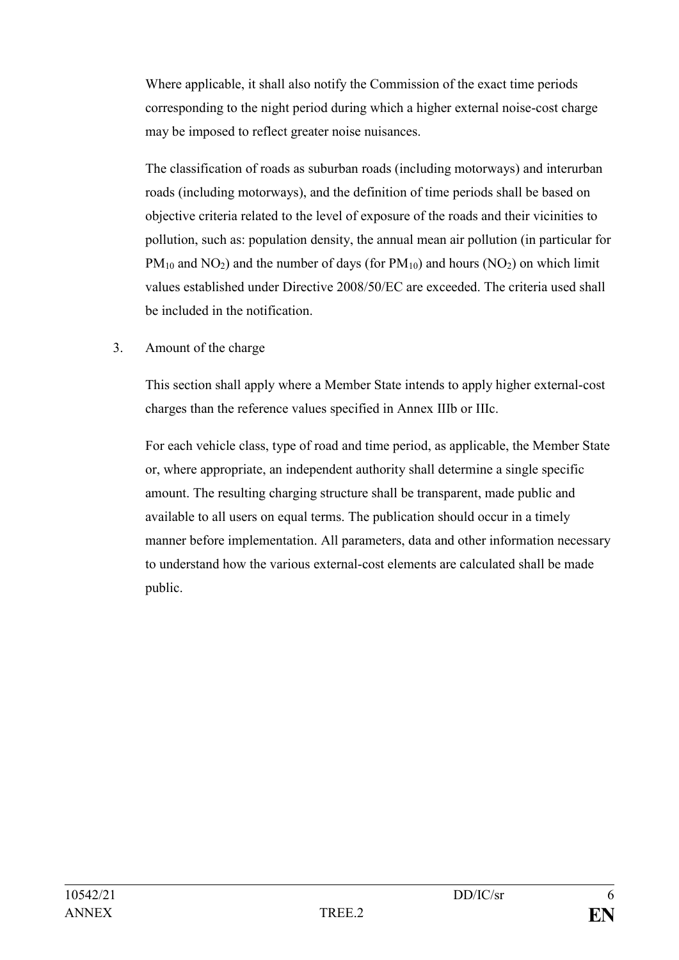Where applicable, it shall also notify the Commission of the exact time periods corresponding to the night period during which a higher external noise-cost charge may be imposed to reflect greater noise nuisances.

The classification of roads as suburban roads (including motorways) and interurban roads (including motorways), and the definition of time periods shall be based on objective criteria related to the level of exposure of the roads and their vicinities to pollution, such as: population density, the annual mean air pollution (in particular for  $PM_{10}$  and NO<sub>2</sub>) and the number of days (for  $PM_{10}$ ) and hours (NO<sub>2</sub>) on which limit values established under Directive 2008/50/EC are exceeded. The criteria used shall be included in the notification.

3. Amount of the charge

This section shall apply where a Member State intends to apply higher external-cost charges than the reference values specified in Annex IIIb or IIIc.

For each vehicle class, type of road and time period, as applicable, the Member State or, where appropriate, an independent authority shall determine a single specific amount. The resulting charging structure shall be transparent, made public and available to all users on equal terms. The publication should occur in a timely manner before implementation. All parameters, data and other information necessary to understand how the various external-cost elements are calculated shall be made public.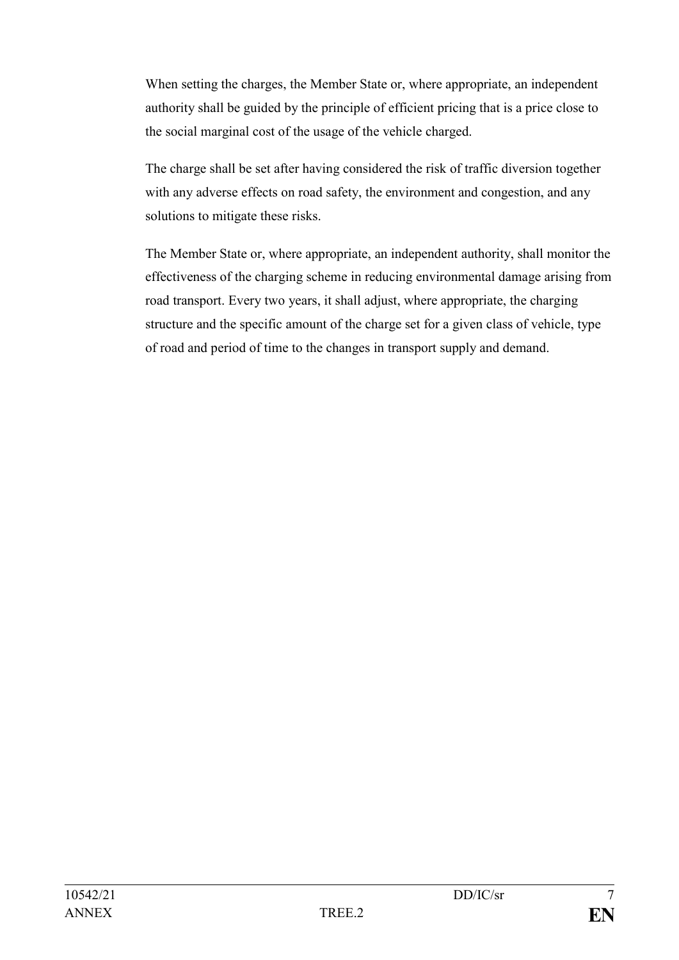When setting the charges, the Member State or, where appropriate, an independent authority shall be guided by the principle of efficient pricing that is a price close to the social marginal cost of the usage of the vehicle charged.

The charge shall be set after having considered the risk of traffic diversion together with any adverse effects on road safety, the environment and congestion, and any solutions to mitigate these risks.

The Member State or, where appropriate, an independent authority, shall monitor the effectiveness of the charging scheme in reducing environmental damage arising from road transport. Every two years, it shall adjust, where appropriate, the charging structure and the specific amount of the charge set for a given class of vehicle, type of road and period of time to the changes in transport supply and demand.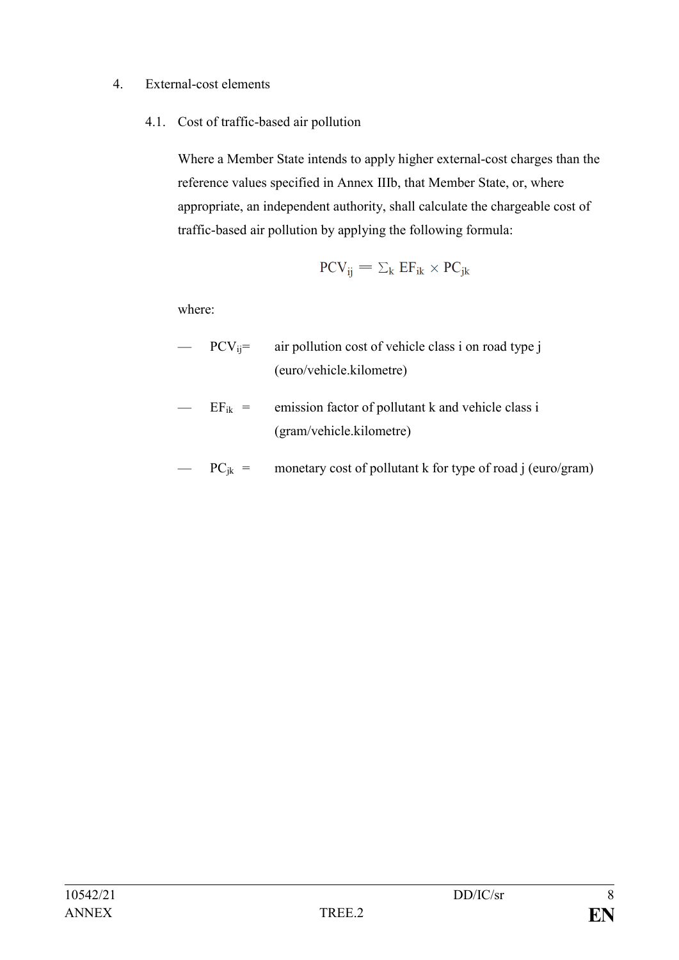### 4. External-cost elements

4.1. Cost of traffic-based air pollution

Where a Member State intends to apply higher external-cost charges than the reference values specified in Annex IIIb, that Member State, or, where appropriate, an independent authority, shall calculate the chargeable cost of traffic-based air pollution by applying the following formula:

$$
PCV_{ij}=\Sigma_k\ E F_{ik}\times PC_{jk}
$$

where:

- $PCV_{ij}$  = air pollution cost of vehicle class i on road type j (euro/vehicle.kilometre)
- $EF_{ik}$  = emission factor of pollutant k and vehicle class i (gram/vehicle.kilometre)
- $PC_{ik}$  = monetary cost of pollutant k for type of road j (euro/gram)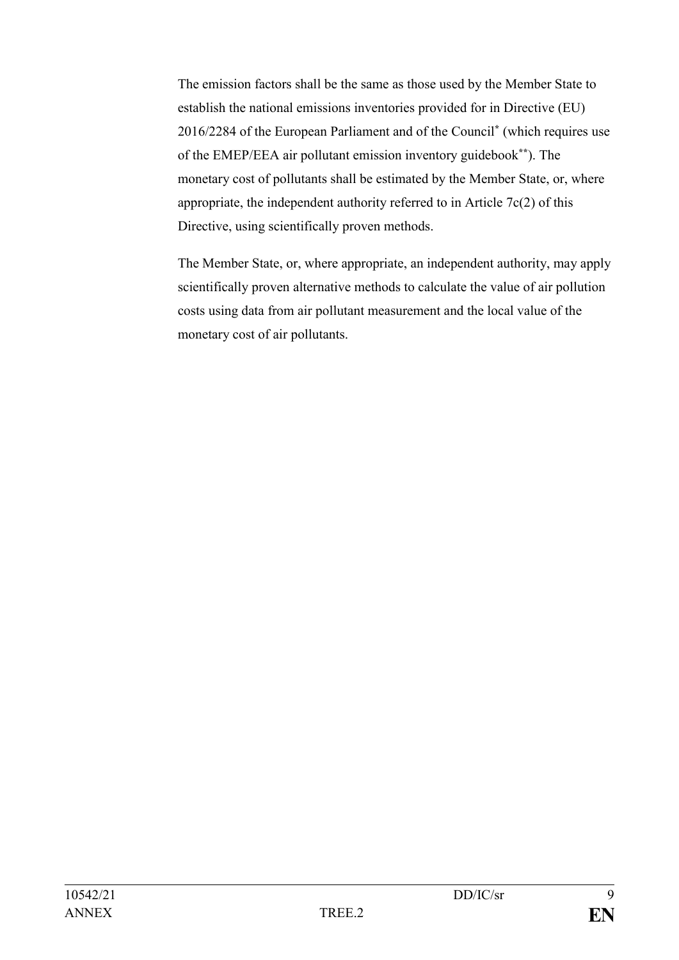The emission factors shall be the same as those used by the Member State to establish the national emissions inventories provided for in Directive (EU) 2016/2284 of the European Parliament and of the Council**\*** (which requires use of the EMEP/EEA air pollutant emission inventory guidebook**\*\***). The monetary cost of pollutants shall be estimated by the Member State, or, where appropriate, the independent authority referred to in Article 7c(2) of this Directive, using scientifically proven methods.

The Member State, or, where appropriate, an independent authority, may apply scientifically proven alternative methods to calculate the value of air pollution costs using data from air pollutant measurement and the local value of the monetary cost of air pollutants.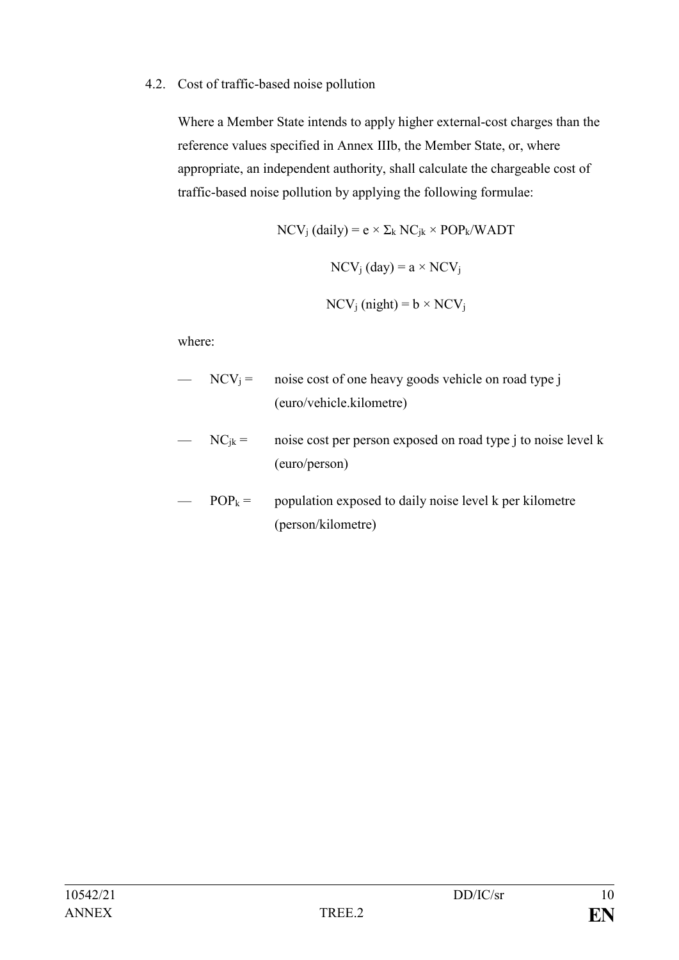### 4.2. Cost of traffic-based noise pollution

Where a Member State intends to apply higher external-cost charges than the reference values specified in Annex IIIb, the Member State, or, where appropriate, an independent authority, shall calculate the chargeable cost of traffic-based noise pollution by applying the following formulae:

$$
NCV_j (daily) = e \times \Sigma_k NC_{jk} \times POP_k/WADT
$$

$$
NCV_j (day) = a \times NCV_j
$$

$$
NCV_j (night) = b \times NCV_j
$$

where:

- $NCV_i =$  noise cost of one heavy goods vehicle on road type j (euro/vehicle.kilometre)
- $NC_{jk}$  = noise cost per person exposed on road type j to noise level k (euro/person)
- $POP_k =$  population exposed to daily noise level k per kilometre (person/kilometre)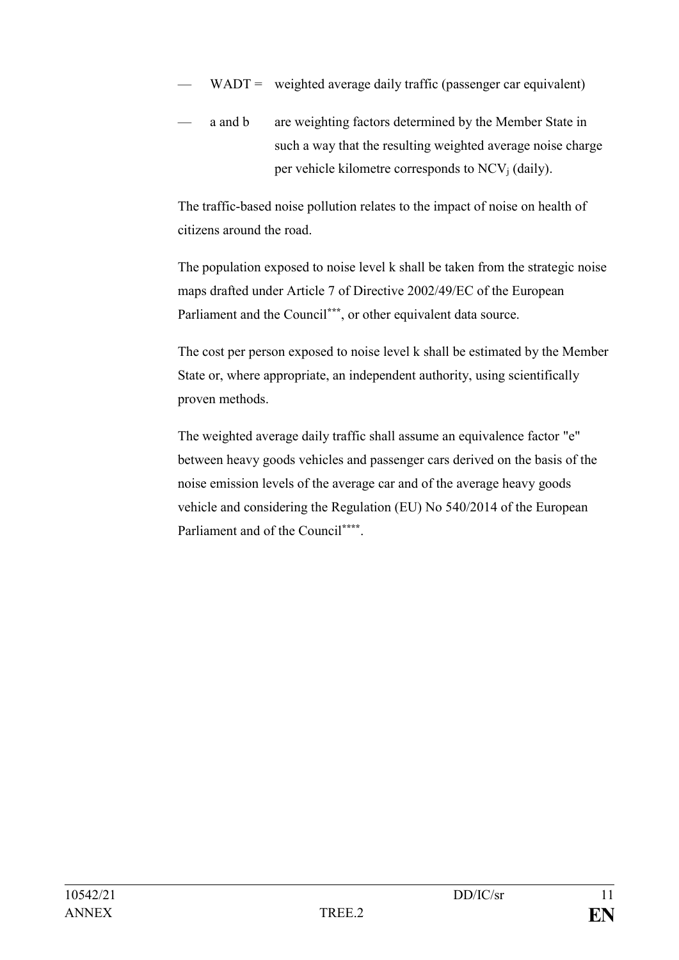- $WADT =$  weighted average daily traffic (passenger car equivalent)
- a and b are weighting factors determined by the Member State in such a way that the resulting weighted average noise charge per vehicle kilometre corresponds to  $NCV_i$  (daily).

The traffic-based noise pollution relates to the impact of noise on health of citizens around the road.

The population exposed to noise level k shall be taken from the strategic noise maps drafted under Article 7 of Directive 2002/49/EC of the European Parliament and the Council<sup>\*\*\*</sup>, or other equivalent data source.

The cost per person exposed to noise level k shall be estimated by the Member State or, where appropriate, an independent authority, using scientifically proven methods.

The weighted average daily traffic shall assume an equivalence factor "e" between heavy goods vehicles and passenger cars derived on the basis of the noise emission levels of the average car and of the average heavy goods vehicle and considering the Regulation (EU) No 540/2014 of the European Parliament and of the Council**\*\*\*\*** .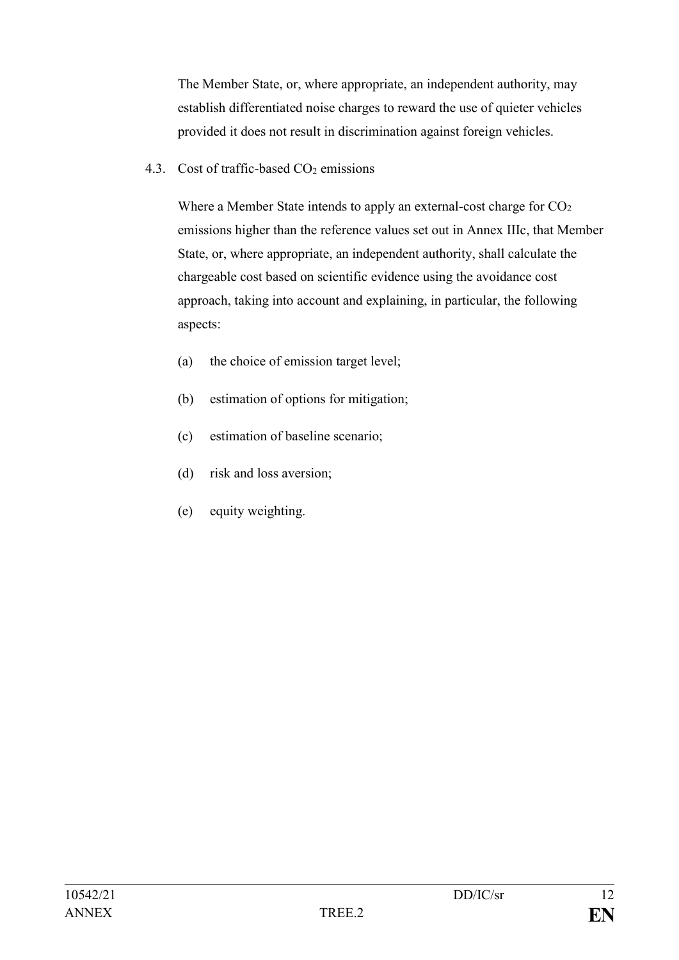The Member State, or, where appropriate, an independent authority, may establish differentiated noise charges to reward the use of quieter vehicles provided it does not result in discrimination against foreign vehicles.

4.3. Cost of traffic-based  $CO<sub>2</sub>$  emissions

Where a Member State intends to apply an external-cost charge for  $CO<sub>2</sub>$ emissions higher than the reference values set out in Annex IIIc, that Member State, or, where appropriate, an independent authority, shall calculate the chargeable cost based on scientific evidence using the avoidance cost approach, taking into account and explaining, in particular, the following aspects:

- (a) the choice of emission target level;
- (b) estimation of options for mitigation;
- (c) estimation of baseline scenario;
- (d) risk and loss aversion;
- (e) equity weighting.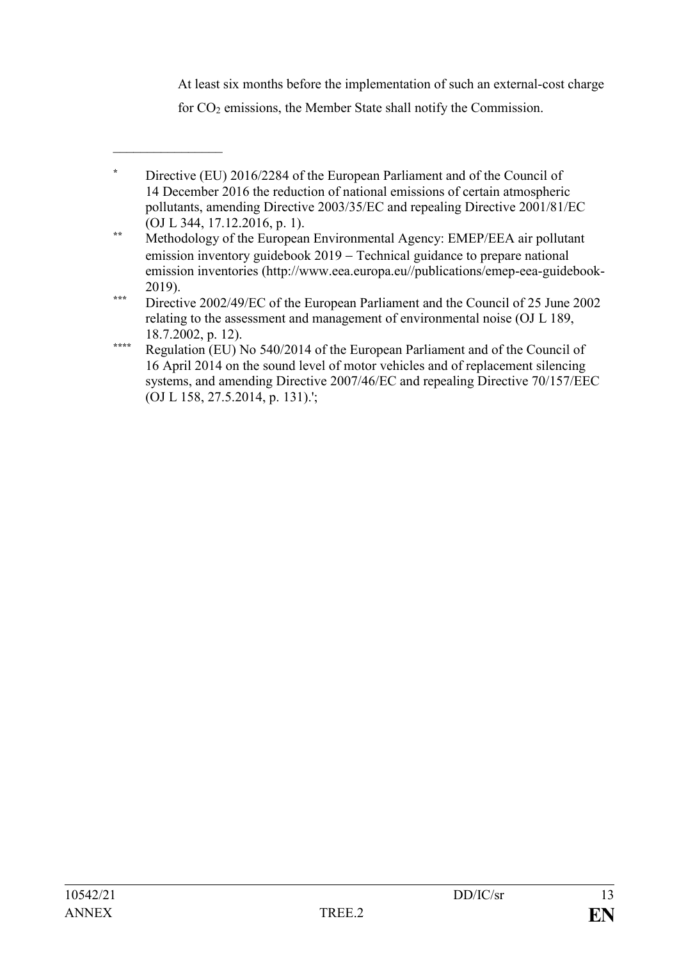At least six months before the implementation of such an external-cost charge

for CO<sup>2</sup> emissions, the Member State shall notify the Commission.

 $\frac{1}{2}$ 

**<sup>\*</sup>** Directive (EU) 2016/2284 of the European Parliament and of the Council of 14 December 2016 the reduction of national emissions of certain atmospheric pollutants, amending Directive 2003/35/EC and repealing Directive 2001/81/EC (OJ L 344, 17.12.2016, p. 1).

**<sup>\*\*</sup>** Methodology of the European Environmental Agency: EMEP/EEA air pollutant emission inventory guidebook 2019 – Technical guidance to prepare national emission inventories (http://www.eea.europa.eu//publications/emep-eea-guidebook-2019).

**<sup>\*\*\*</sup>** Directive 2002/49/EC of the European Parliament and the Council of 25 June 2002 relating to the assessment and management of environmental noise (OJ L 189, 18.7.2002, p. 12).

**<sup>\*\*\*\*</sup>** Regulation (EU) No 540/2014 of the European Parliament and of the Council of 16 April 2014 on the sound level of motor vehicles and of replacement silencing systems, and amending Directive 2007/46/EC and repealing Directive 70/157/EEC (OJ L 158, 27.5.2014, p. 131).';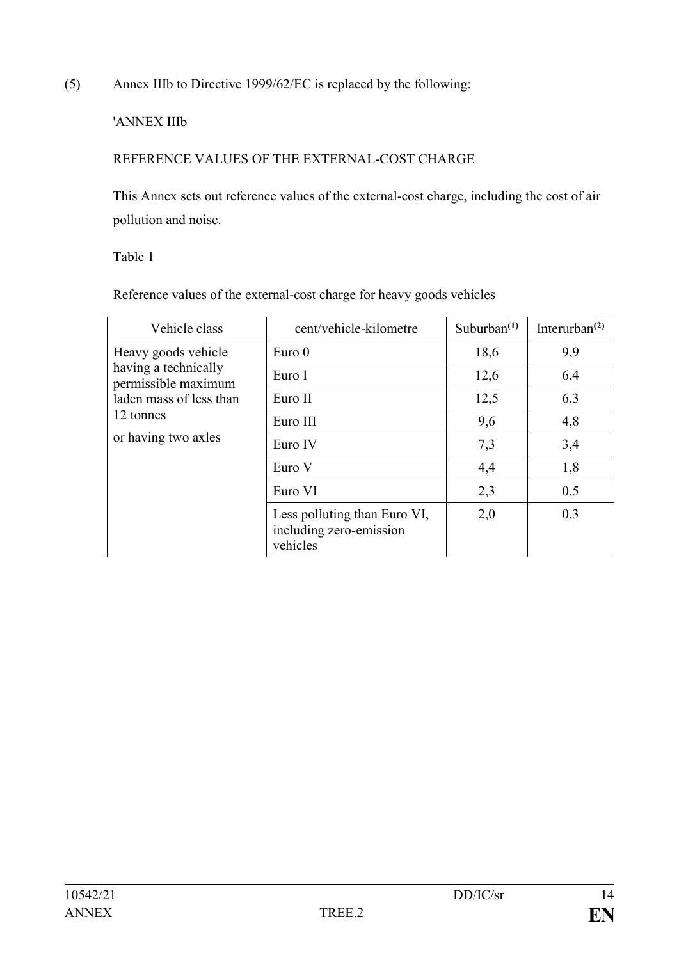(5) Annex IIIb to Directive 1999/62/EC is replaced by the following:

## 'ANNEX IIIb

# REFERENCE VALUES OF THE EXTERNAL-COST CHARGE

This Annex sets out reference values of the external-cost charge, including the cost of air pollution and noise.

Table 1

Reference values of the external-cost charge for heavy goods vehicles

| Vehicle class                                                                                                                     | cent/vehicle-kilometre                                              | Suburban $(1)$ | Interurban $^{(2)}$ |
|-----------------------------------------------------------------------------------------------------------------------------------|---------------------------------------------------------------------|----------------|---------------------|
| Heavy goods vehicle<br>having a technically<br>permissible maximum<br>laden mass of less than<br>12 tonnes<br>or having two axles | Euro 0                                                              | 18,6           | 9,9                 |
|                                                                                                                                   | Euro I                                                              | 12,6           | 6,4                 |
|                                                                                                                                   | Euro II                                                             | 12,5           | 6,3                 |
|                                                                                                                                   | Euro III                                                            | 9,6            | 4,8                 |
|                                                                                                                                   | Euro IV                                                             | 7,3            | 3,4                 |
|                                                                                                                                   | Euro V                                                              | 4,4            | 1,8                 |
|                                                                                                                                   | Euro VI                                                             | 2,3            | 0,5                 |
|                                                                                                                                   | Less polluting than Euro VI,<br>including zero-emission<br>vehicles | 2,0            | 0,3                 |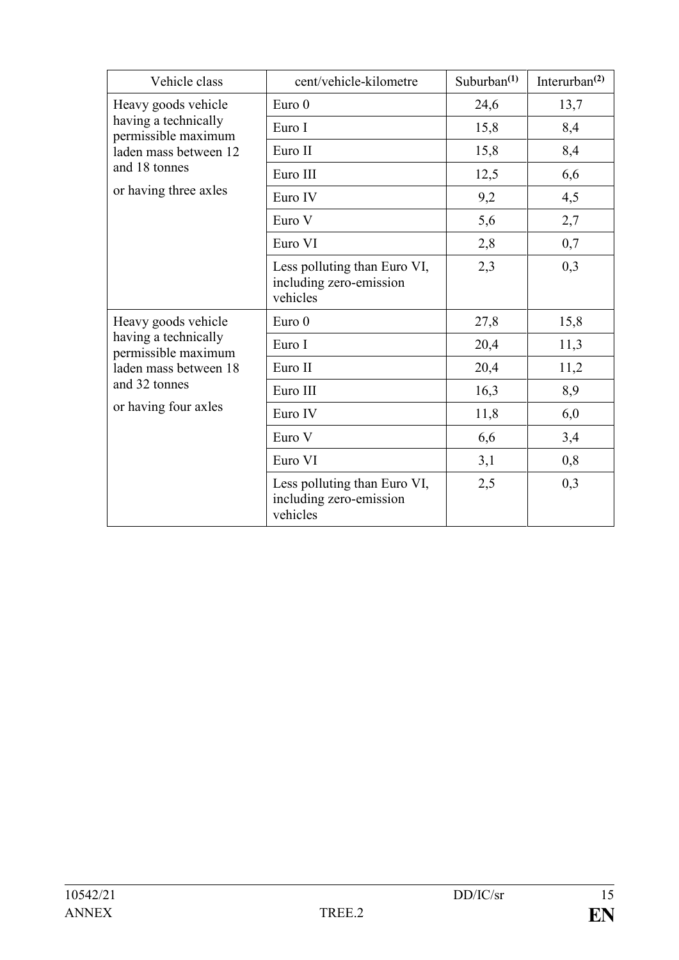| Vehicle class                                                                                                                        | cent/vehicle-kilometre                                              | Suburban $(1)$ | Interurban $^{(2)}$ |
|--------------------------------------------------------------------------------------------------------------------------------------|---------------------------------------------------------------------|----------------|---------------------|
| Heavy goods vehicle<br>having a technically<br>permissible maximum<br>laden mass between 12                                          | Euro 0                                                              | 24,6           | 13,7                |
|                                                                                                                                      | Euro I                                                              | 15,8           | 8,4                 |
|                                                                                                                                      | Euro II                                                             | 15,8           | 8,4                 |
| and 18 tonnes                                                                                                                        | Euro III                                                            | 12,5           | 6,6                 |
| or having three axles                                                                                                                | Euro IV                                                             | 9,2            | 4,5                 |
|                                                                                                                                      | Euro V                                                              | 5,6            | 2,7                 |
|                                                                                                                                      | Euro VI                                                             | 2,8            | 0,7                 |
|                                                                                                                                      | Less polluting than Euro VI,<br>including zero-emission<br>vehicles | 2,3            | 0,3                 |
| Heavy goods vehicle<br>having a technically<br>permissible maximum<br>laden mass between 18<br>and 32 tonnes<br>or having four axles | Euro 0                                                              | 27,8           | 15,8                |
|                                                                                                                                      | Euro I                                                              | 20,4           | 11,3                |
|                                                                                                                                      | Euro II                                                             | 20,4           | 11,2                |
|                                                                                                                                      | Euro III                                                            | 16,3           | 8,9                 |
|                                                                                                                                      | Euro IV                                                             | 11,8           | 6,0                 |
|                                                                                                                                      | Euro V                                                              | 6,6            | 3,4                 |
|                                                                                                                                      | Euro VI                                                             | 3,1            | 0,8                 |
|                                                                                                                                      | Less polluting than Euro VI,<br>including zero-emission<br>vehicles | 2,5            | 0,3                 |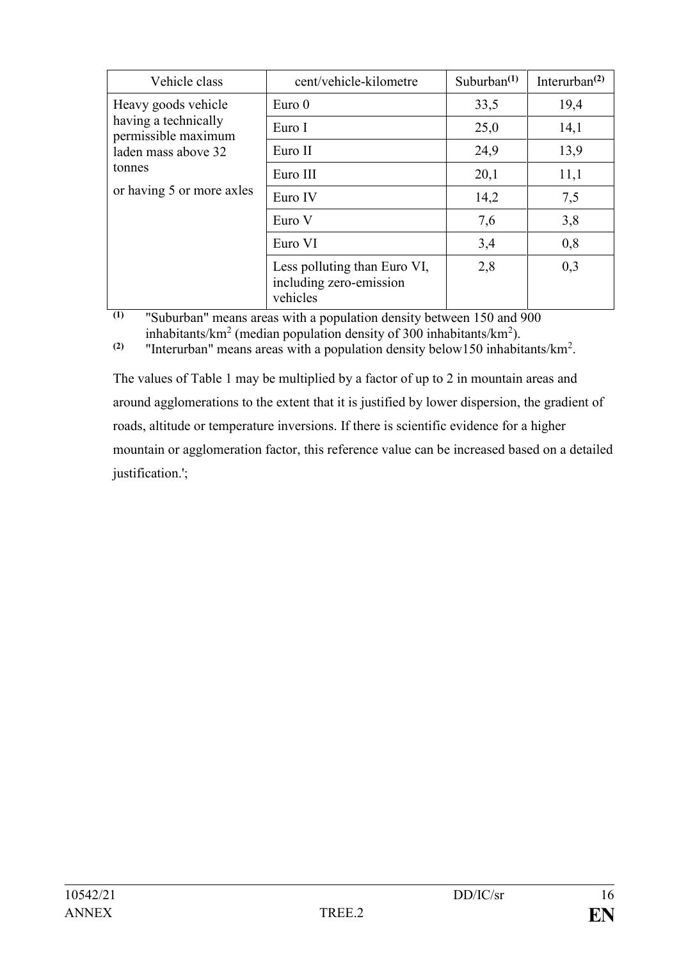| Vehicle class                               | cent/vehicle-kilometre                                              | Suburban $(1)$ | Interurban $^{(2)}$ |
|---------------------------------------------|---------------------------------------------------------------------|----------------|---------------------|
| Heavy goods vehicle                         | Euro <sub>0</sub>                                                   | 33,5           | 19,4                |
| having a technically<br>permissible maximum | Euro I                                                              | 25,0           | 14,1                |
| laden mass above 32                         | Euro II                                                             | 24,9           | 13,9                |
| tonnes                                      | Euro III                                                            | 20,1           | 11,1                |
| or having 5 or more axles                   | Euro IV                                                             | 14,2           | 7,5                 |
|                                             | Euro V                                                              | 7,6            | 3,8                 |
|                                             | Euro VI                                                             | 3,4            | 0,8                 |
|                                             | Less polluting than Euro VI,<br>including zero-emission<br>vehicles | 2,8            | 0,3                 |

**(1)** "Suburban" means areas with a population density between 150 and 900 inhabitants/km<sup>2</sup> (median population density of 300 inhabitants/km<sup>2</sup>).

**(2)** "Interurban" means areas with a population density below150 inhabitants/ $km^2$ .

The values of Table 1 may be multiplied by a factor of up to 2 in mountain areas and around agglomerations to the extent that it is justified by lower dispersion, the gradient of roads, altitude or temperature inversions. If there is scientific evidence for a higher mountain or agglomeration factor, this reference value can be increased based on a detailed justification.';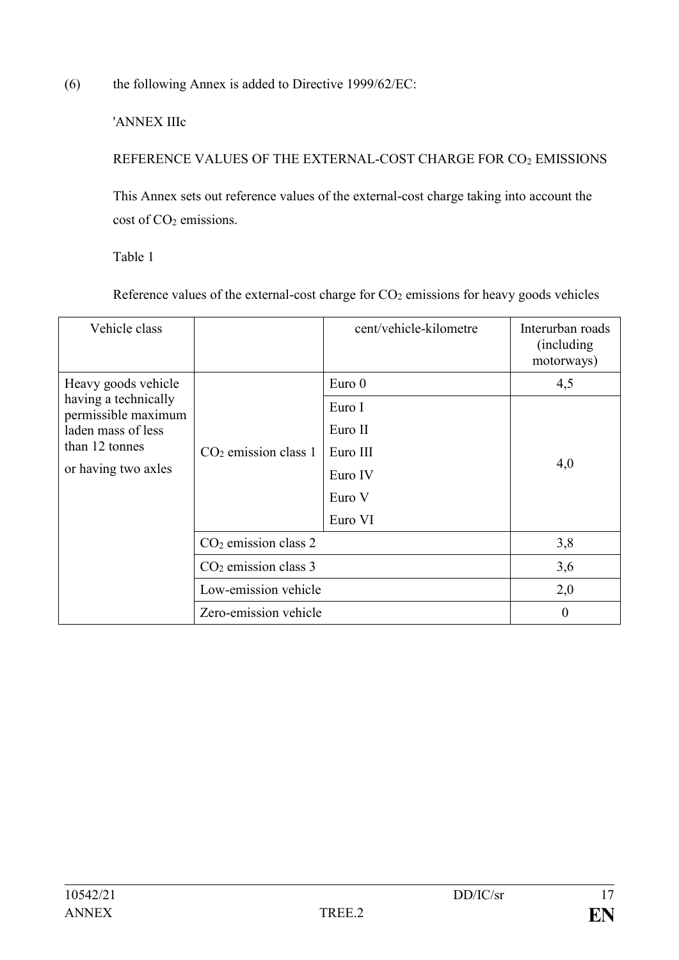(6) the following Annex is added to Directive 1999/62/EC:

'ANNEX IIIc

REFERENCE VALUES OF THE EXTERNAL-COST CHARGE FOR CO<sup>2</sup> EMISSIONS

This Annex sets out reference values of the external-cost charge taking into account the cost of CO<sub>2</sub> emissions.

Table 1

Reference values of the external-cost charge for  $CO<sub>2</sub>$  emissions for heavy goods vehicles

| Vehicle class                               |                        | cent/vehicle-kilometre | Interurban roads<br>(including)<br>motorways) |
|---------------------------------------------|------------------------|------------------------|-----------------------------------------------|
| Heavy goods vehicle                         |                        | Euro $0$               | 4,5                                           |
| having a technically<br>permissible maximum |                        | Euro I                 |                                               |
| laden mass of less                          | $CO2$ emission class 1 | Euro II                | 4,0                                           |
| than 12 tonnes                              |                        | Euro III               |                                               |
| or having two axles                         |                        | Euro IV                |                                               |
|                                             |                        | Euro V                 |                                               |
|                                             |                        | Euro VI                |                                               |
|                                             | $CO2$ emission class 2 |                        | 3,8                                           |
|                                             | $CO2$ emission class 3 |                        | 3,6                                           |
|                                             | Low-emission vehicle   |                        | 2,0                                           |
|                                             | Zero-emission vehicle  |                        | $\overline{0}$                                |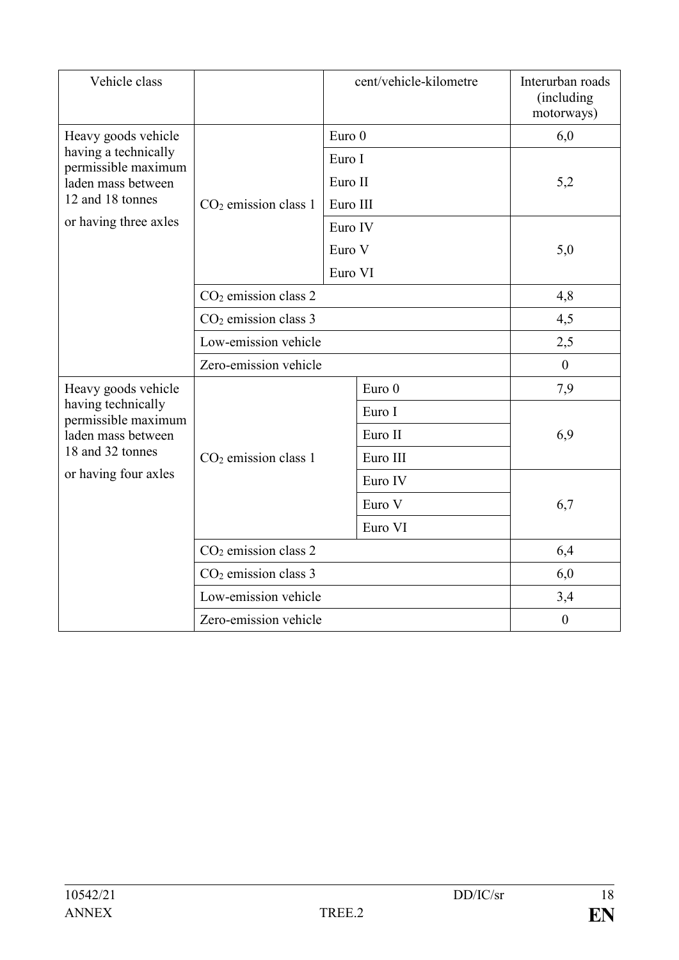| Vehicle class                               |                        |          | cent/vehicle-kilometre | Interurban roads<br>(including<br>motorways) |  |
|---------------------------------------------|------------------------|----------|------------------------|----------------------------------------------|--|
| Heavy goods vehicle                         |                        | Euro 0   |                        | 6,0                                          |  |
| having a technically<br>permissible maximum |                        | Euro I   |                        |                                              |  |
| laden mass between                          |                        | Euro II  |                        | 5,2                                          |  |
| 12 and 18 tonnes                            | $CO2$ emission class 1 | Euro III |                        |                                              |  |
| or having three axles                       |                        | Euro IV  |                        |                                              |  |
|                                             |                        | Euro V   |                        | 5,0                                          |  |
|                                             |                        | Euro VI  |                        |                                              |  |
|                                             | $CO2$ emission class 2 |          | 4,8                    |                                              |  |
|                                             | $CO2$ emission class 3 |          | 4,5                    |                                              |  |
|                                             | Low-emission vehicle   |          | 2,5                    |                                              |  |
|                                             | Zero-emission vehicle  |          |                        | $\overline{0}$                               |  |
| Heavy goods vehicle                         |                        |          | Euro <sub>0</sub>      | 7,9                                          |  |
| having technically<br>permissible maximum   |                        |          | Euro I                 |                                              |  |
| laden mass between                          |                        |          | Euro II                | 6,9                                          |  |
| 18 and 32 tonnes                            | $CO2$ emission class 1 |          | Euro III               |                                              |  |
| or having four axles                        |                        |          | Euro IV                |                                              |  |
|                                             |                        |          | Euro V                 | 6,7                                          |  |
|                                             |                        |          | Euro VI                |                                              |  |
|                                             | $CO2$ emission class 2 |          |                        | 6,4                                          |  |
|                                             | $CO2$ emission class 3 |          | 6,0                    |                                              |  |
|                                             | Low-emission vehicle   |          |                        | 3,4                                          |  |
|                                             | Zero-emission vehicle  |          | $\boldsymbol{0}$       |                                              |  |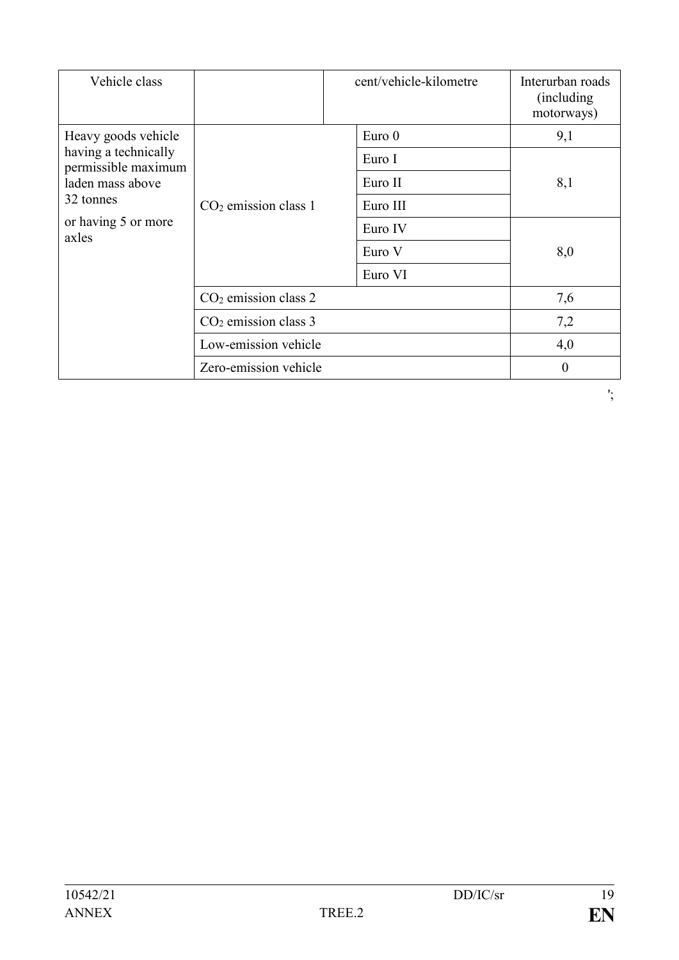| Vehicle class                               |                        | cent/vehicle-kilometre | Interurban roads<br>(including)<br>motorways) |
|---------------------------------------------|------------------------|------------------------|-----------------------------------------------|
| Heavy goods vehicle                         |                        | Euro <sub>0</sub>      | 9,1                                           |
| having a technically<br>permissible maximum |                        | Euro I                 |                                               |
| laden mass above                            |                        | Euro II                | 8,1                                           |
| 32 tonnes                                   | $CO2$ emission class 1 | Euro III               |                                               |
| or having 5 or more<br>axles                |                        | Euro IV                |                                               |
|                                             |                        | Euro V                 | 8,0                                           |
|                                             |                        | Euro VI                |                                               |
|                                             | $CO2$ emission class 2 |                        | 7,6                                           |
|                                             | $CO2$ emission class 3 |                        | 7,2                                           |
|                                             | Low-emission vehicle   |                        | 4,0                                           |
|                                             | Zero-emission vehicle  |                        | $\theta$                                      |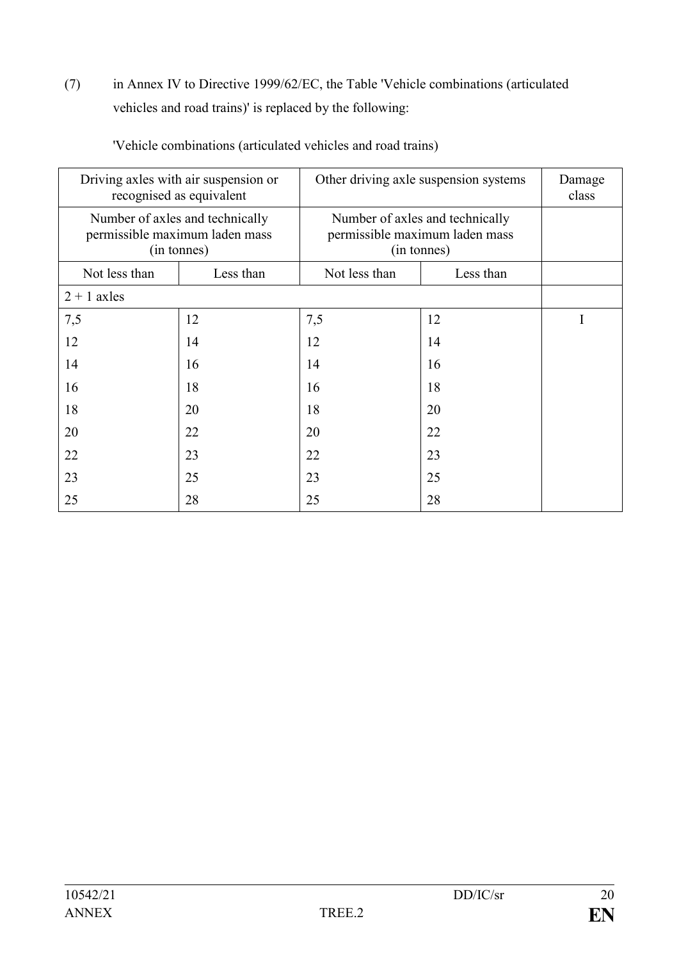(7) in Annex IV to Directive 1999/62/EC, the Table 'Vehicle combinations (articulated vehicles and road trains)' is replaced by the following:

| Driving axles with air suspension or<br>recognised as equivalent |                                                                                  |                                                                                  | Other driving axle suspension systems | Damage<br>class |
|------------------------------------------------------------------|----------------------------------------------------------------------------------|----------------------------------------------------------------------------------|---------------------------------------|-----------------|
|                                                                  | Number of axles and technically<br>permissible maximum laden mass<br>(in tonnes) | Number of axles and technically<br>permissible maximum laden mass<br>(in tonnes) |                                       |                 |
| Not less than                                                    | Less than                                                                        | Not less than                                                                    | Less than                             |                 |
| $2 + 1$ axles                                                    |                                                                                  |                                                                                  |                                       |                 |
| 7,5                                                              | 12                                                                               | 7,5                                                                              | 12                                    |                 |
| 12                                                               | 14                                                                               | 12                                                                               | 14                                    |                 |
| 14                                                               | 16                                                                               | 14                                                                               | 16                                    |                 |
| 16                                                               | 18                                                                               | 16                                                                               | 18                                    |                 |
| 18                                                               | 20                                                                               | 18                                                                               | 20                                    |                 |
| 20                                                               | 22                                                                               | 20                                                                               | 22                                    |                 |
| 22                                                               | 23                                                                               | 22                                                                               | 23                                    |                 |
| 23                                                               | 25                                                                               | 23                                                                               | 25                                    |                 |
| 25                                                               | 28                                                                               | 25                                                                               | 28                                    |                 |

'Vehicle combinations (articulated vehicles and road trains)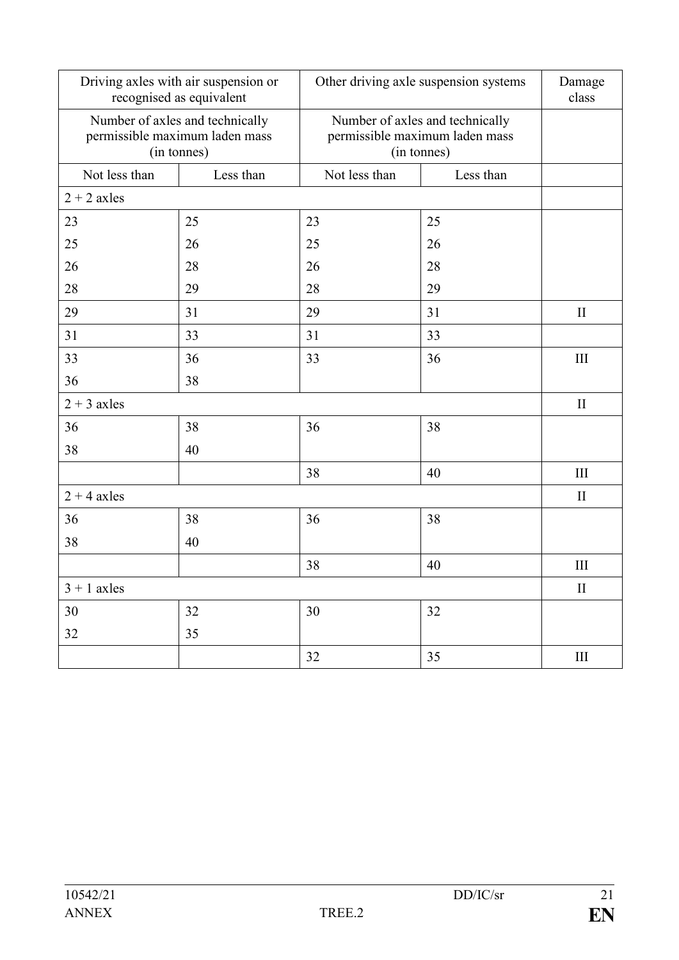|               | Driving axles with air suspension or<br>recognised as equivalent                 |               | Other driving axle suspension systems                                            |              |
|---------------|----------------------------------------------------------------------------------|---------------|----------------------------------------------------------------------------------|--------------|
|               | Number of axles and technically<br>permissible maximum laden mass<br>(in tonnes) |               | Number of axles and technically<br>permissible maximum laden mass<br>(in tonnes) |              |
| Not less than | Less than                                                                        | Not less than | Less than                                                                        |              |
| $2 + 2$ axles |                                                                                  |               |                                                                                  |              |
| 23            | 25                                                                               | 23            | 25                                                                               |              |
| 25            | 26                                                                               | 25            | 26                                                                               |              |
| 26            | 28                                                                               | 26            | 28                                                                               |              |
| 28            | 29                                                                               | 28            | 29                                                                               |              |
| 29            | 31                                                                               | 29            | 31                                                                               | $\mathbf{I}$ |
| 31            | 33                                                                               | 31            | 33                                                                               |              |
| 33            | 36                                                                               | 33            | 36                                                                               | III          |
| 36            | 38                                                                               |               |                                                                                  |              |
| $2 + 3$ axles |                                                                                  |               |                                                                                  | $\mathbf{I}$ |
| 36            | 38                                                                               | 36            | 38                                                                               |              |
| 38            | 40                                                                               |               |                                                                                  |              |
|               |                                                                                  | 38            | 40                                                                               | $\rm III$    |
| $2 + 4$ axles |                                                                                  |               |                                                                                  | $\mathbf{I}$ |
| 36            | 38                                                                               | 36            | 38                                                                               |              |
| 38            | 40                                                                               |               |                                                                                  |              |
|               |                                                                                  | 38            | 40                                                                               | III          |
| $3 + 1$ axles |                                                                                  |               | $\rm II$                                                                         |              |
| $30\,$        | 32                                                                               | 30            | 32                                                                               |              |
| 32            | 35                                                                               |               |                                                                                  |              |
|               |                                                                                  | 32            | 35                                                                               | $\rm III$    |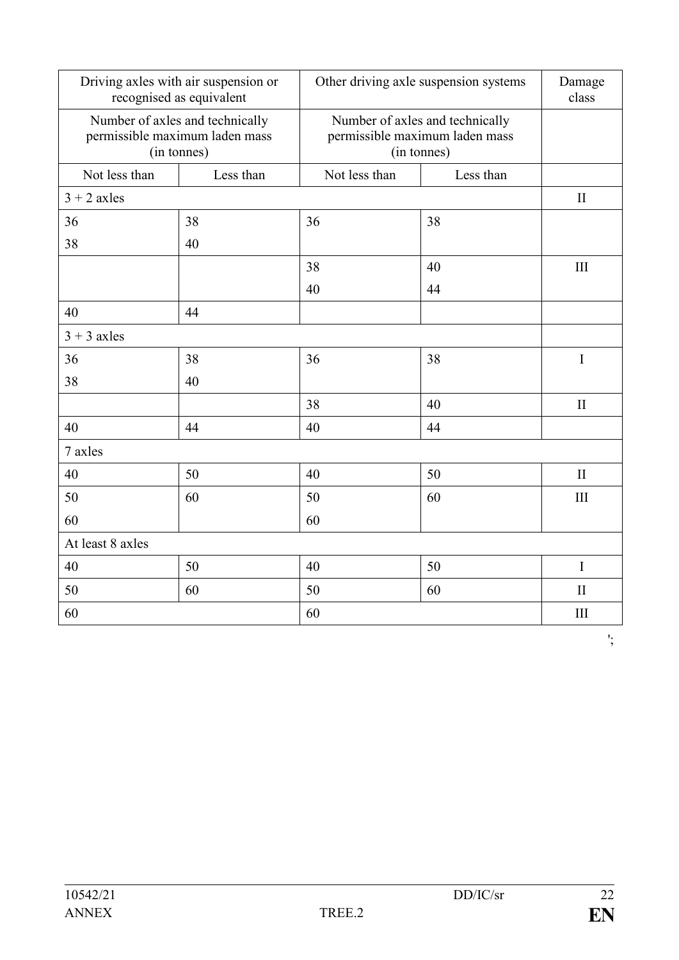|                  | Driving axles with air suspension or<br>recognised as equivalent                 | Other driving axle suspension systems |                                                                                  | Damage<br>class |
|------------------|----------------------------------------------------------------------------------|---------------------------------------|----------------------------------------------------------------------------------|-----------------|
|                  | Number of axles and technically<br>permissible maximum laden mass<br>(in tonnes) |                                       | Number of axles and technically<br>permissible maximum laden mass<br>(in tonnes) |                 |
| Not less than    | Less than                                                                        | Not less than                         | Less than                                                                        |                 |
| $3 + 2$ axles    |                                                                                  |                                       |                                                                                  | $\mathbf{I}$    |
| 36               | 38                                                                               | 36                                    | 38                                                                               |                 |
| 38               | 40                                                                               |                                       |                                                                                  |                 |
|                  |                                                                                  | 38                                    | 40                                                                               | III             |
|                  |                                                                                  | 40                                    | 44                                                                               |                 |
| 40               | 44                                                                               |                                       |                                                                                  |                 |
| $3 + 3$ axles    |                                                                                  |                                       |                                                                                  |                 |
| 36               | 38                                                                               | 36                                    | 38                                                                               | $\bf I$         |
| 38               | 40                                                                               |                                       |                                                                                  |                 |
|                  |                                                                                  | 38                                    | 40                                                                               | $\mathbf{I}$    |
| 40               | 44                                                                               | 40                                    | 44                                                                               |                 |
| 7 axles          |                                                                                  |                                       |                                                                                  |                 |
| 40               | 50                                                                               | 40                                    | 50                                                                               | $\mathbf{I}$    |
| 50               | 60                                                                               | 50                                    | 60                                                                               | III             |
| 60               |                                                                                  | 60                                    |                                                                                  |                 |
| At least 8 axles |                                                                                  |                                       |                                                                                  |                 |
| 40               | 50                                                                               | 40                                    | 50                                                                               | I               |
| 50               | 60                                                                               | 50                                    | 60                                                                               | $\mathbf{I}$    |
| 60               |                                                                                  | 60                                    |                                                                                  | III             |

';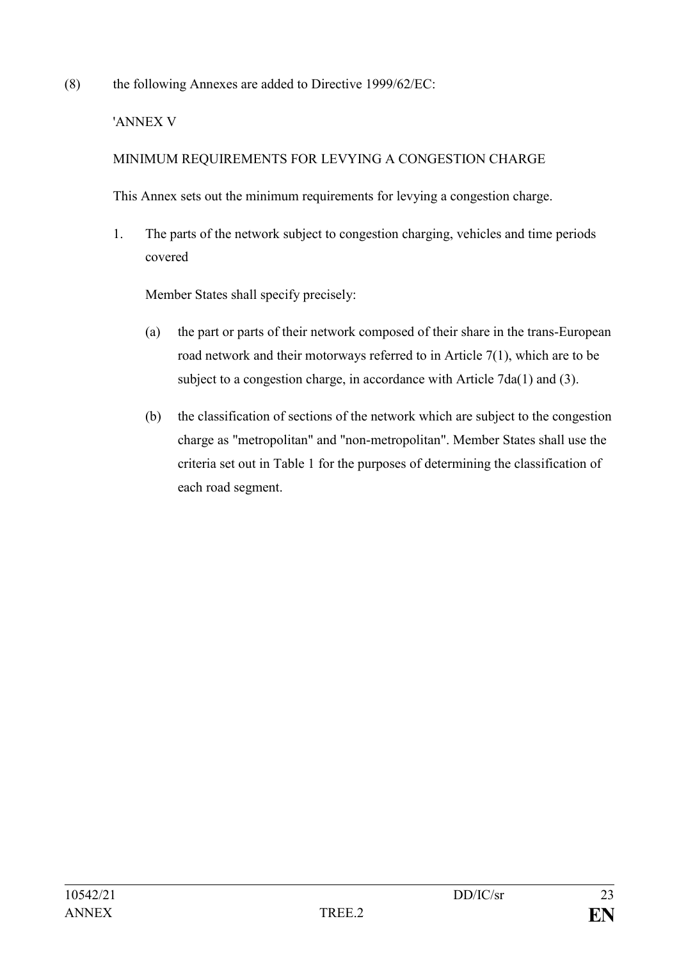(8) the following Annexes are added to Directive 1999/62/EC:

## 'ANNEX V

# MINIMUM REQUIREMENTS FOR LEVYING A CONGESTION CHARGE

This Annex sets out the minimum requirements for levying a congestion charge.

1. The parts of the network subject to congestion charging, vehicles and time periods covered

Member States shall specify precisely:

- (a) the part or parts of their network composed of their share in the trans-European road network and their motorways referred to in Article 7(1), which are to be subject to a congestion charge, in accordance with Article 7da(1) and (3).
- (b) the classification of sections of the network which are subject to the congestion charge as "metropolitan" and "non-metropolitan". Member States shall use the criteria set out in Table 1 for the purposes of determining the classification of each road segment.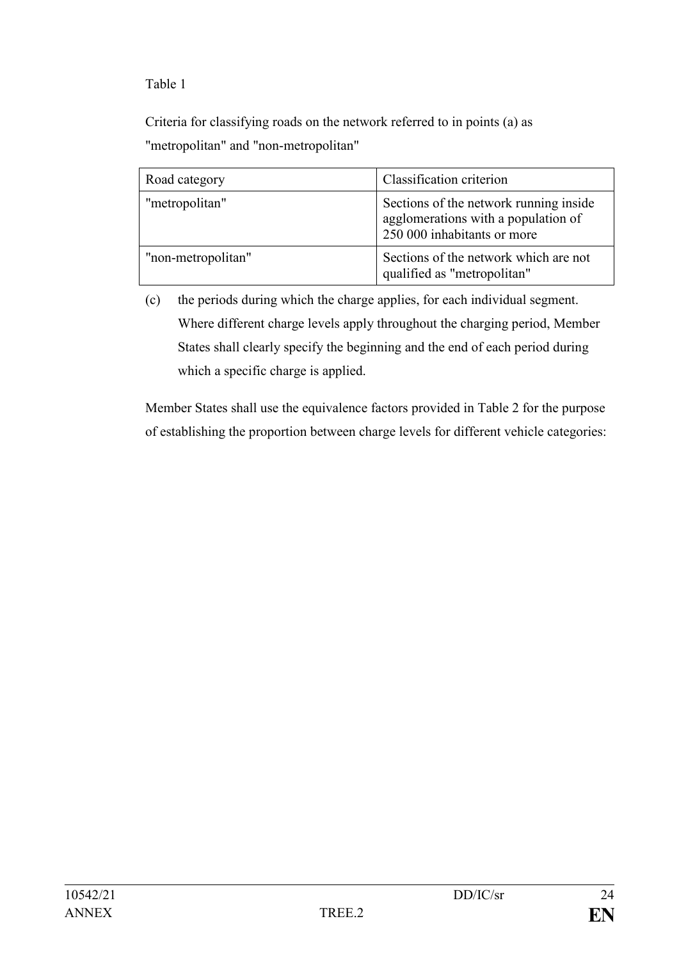Table 1

Criteria for classifying roads on the network referred to in points (a) as "metropolitan" and "non-metropolitan"

| Road category      | Classification criterion                                                                                     |
|--------------------|--------------------------------------------------------------------------------------------------------------|
| "metropolitan"     | Sections of the network running inside<br>agglomerations with a population of<br>250 000 inhabitants or more |
| "non-metropolitan" | Sections of the network which are not<br>qualified as "metropolitan"                                         |

(c) the periods during which the charge applies, for each individual segment. Where different charge levels apply throughout the charging period, Member States shall clearly specify the beginning and the end of each period during which a specific charge is applied.

Member States shall use the equivalence factors provided in Table 2 for the purpose of establishing the proportion between charge levels for different vehicle categories: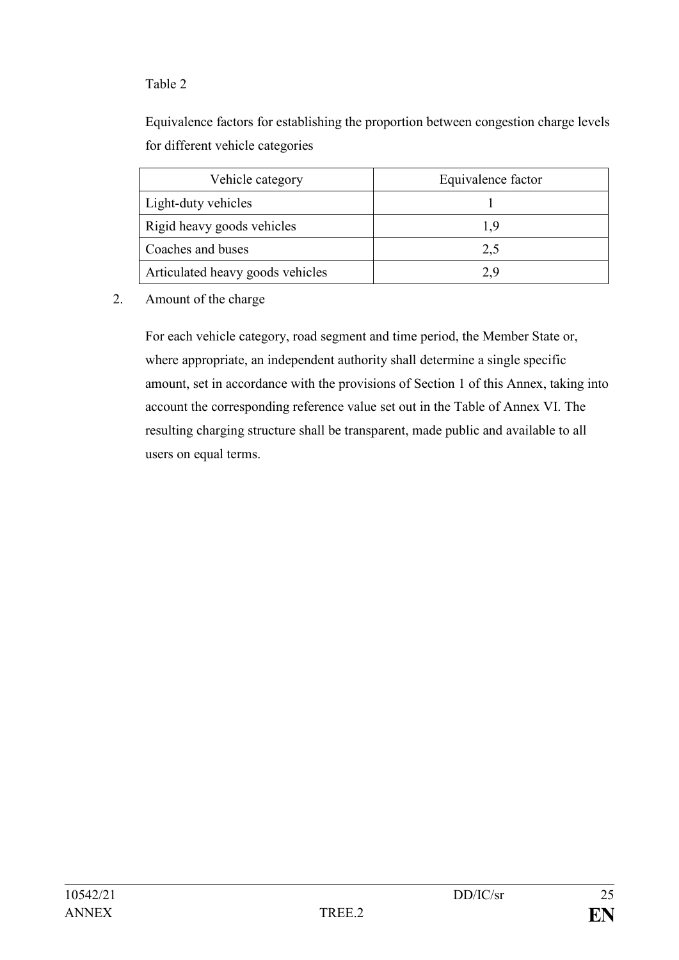# Table 2

Equivalence factors for establishing the proportion between congestion charge levels for different vehicle categories

| Vehicle category                 | Equivalence factor |
|----------------------------------|--------------------|
| Light-duty vehicles              |                    |
| Rigid heavy goods vehicles       |                    |
| Coaches and buses                | 2,5                |
| Articulated heavy goods vehicles | 29                 |

#### 2. Amount of the charge

For each vehicle category, road segment and time period, the Member State or, where appropriate, an independent authority shall determine a single specific amount, set in accordance with the provisions of Section 1 of this Annex, taking into account the corresponding reference value set out in the Table of Annex VI. The resulting charging structure shall be transparent, made public and available to all users on equal terms.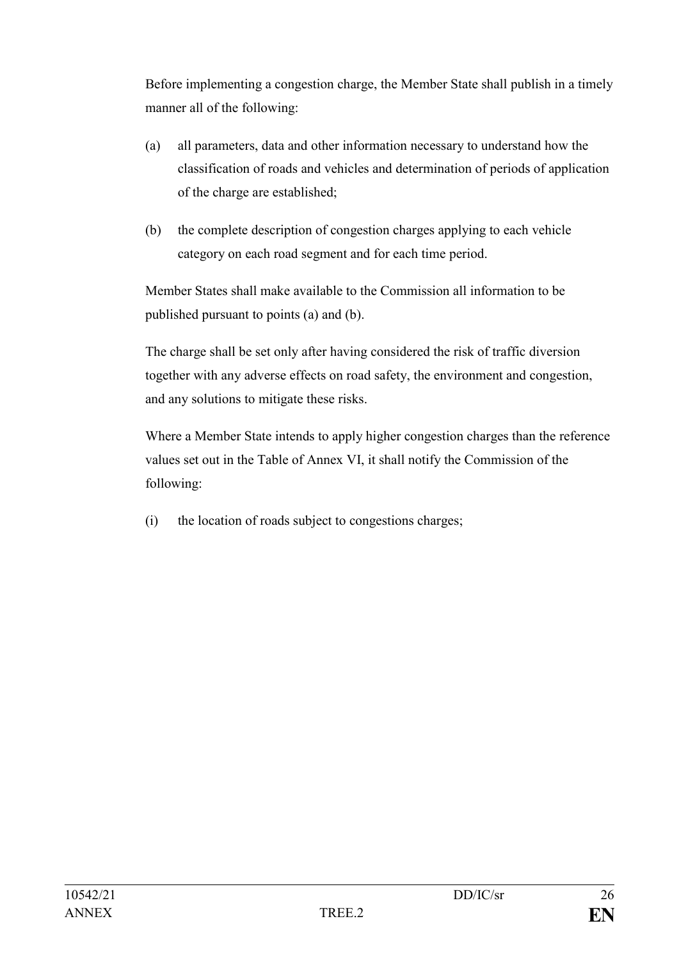Before implementing a congestion charge, the Member State shall publish in a timely manner all of the following:

- (a) all parameters, data and other information necessary to understand how the classification of roads and vehicles and determination of periods of application of the charge are established;
- (b) the complete description of congestion charges applying to each vehicle category on each road segment and for each time period.

Member States shall make available to the Commission all information to be published pursuant to points (a) and (b).

The charge shall be set only after having considered the risk of traffic diversion together with any adverse effects on road safety, the environment and congestion, and any solutions to mitigate these risks.

Where a Member State intends to apply higher congestion charges than the reference values set out in the Table of Annex VI, it shall notify the Commission of the following:

(i) the location of roads subject to congestions charges;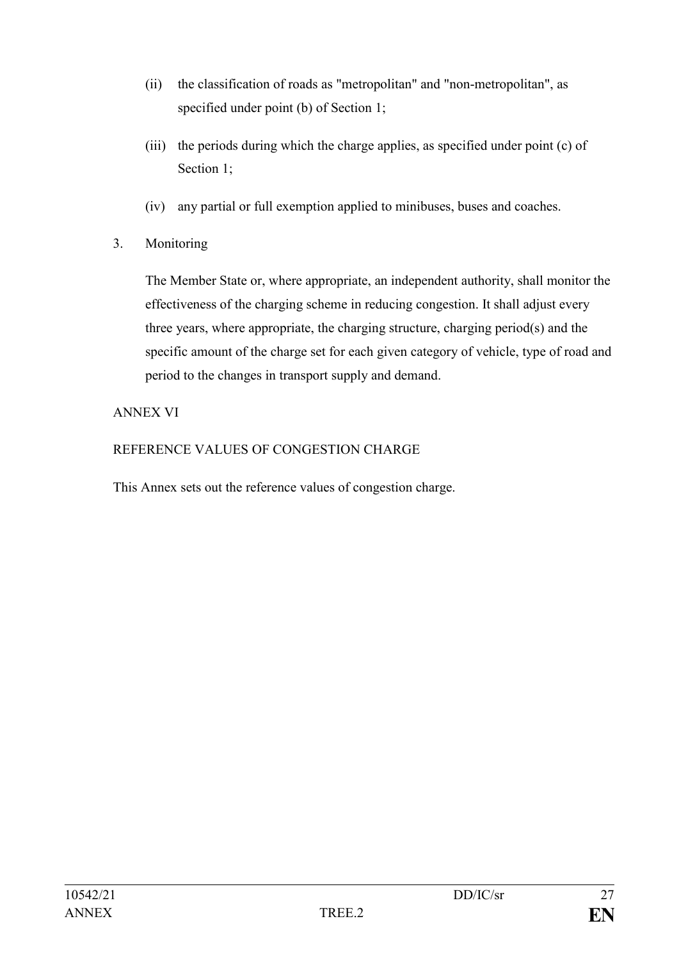- (ii) the classification of roads as "metropolitan" and "non-metropolitan", as specified under point (b) of Section 1;
- (iii) the periods during which the charge applies, as specified under point (c) of Section 1:
- (iv) any partial or full exemption applied to minibuses, buses and coaches.
- 3. Monitoring

The Member State or, where appropriate, an independent authority, shall monitor the effectiveness of the charging scheme in reducing congestion. It shall adjust every three years, where appropriate, the charging structure, charging period(s) and the specific amount of the charge set for each given category of vehicle, type of road and period to the changes in transport supply and demand.

# ANNEX VI

REFERENCE VALUES OF CONGESTION CHARGE

This Annex sets out the reference values of congestion charge.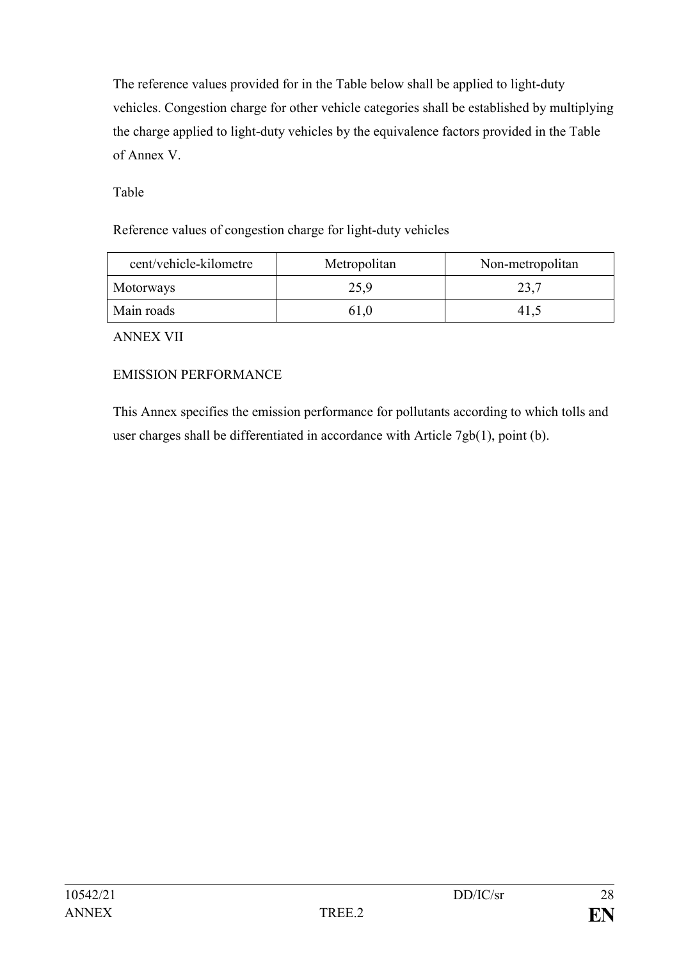The reference values provided for in the Table below shall be applied to light-duty vehicles. Congestion charge for other vehicle categories shall be established by multiplying the charge applied to light-duty vehicles by the equivalence factors provided in the Table of Annex V.

Table

Reference values of congestion charge for light-duty vehicles

| cent/vehicle-kilometre | Metropolitan | Non-metropolitan |
|------------------------|--------------|------------------|
| Motorways              | 25,9         | 23,7             |
| Main roads             | 61.0         | 41.              |

ANNEX VII

## EMISSION PERFORMANCE

This Annex specifies the emission performance for pollutants according to which tolls and user charges shall be differentiated in accordance with Article 7gb(1), point (b).